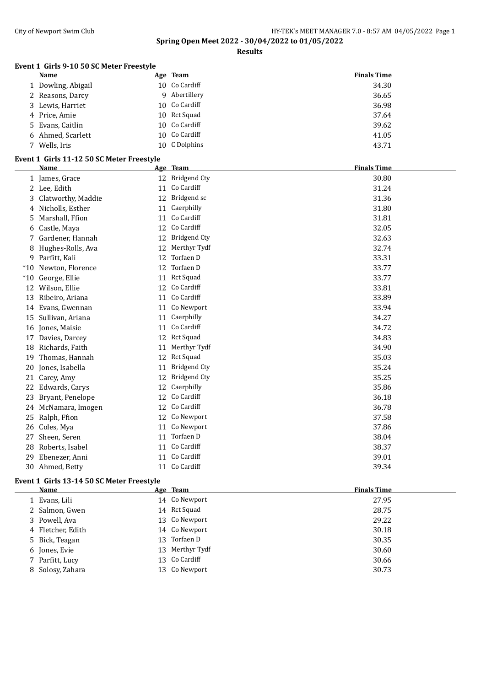#### City of Newport Swim Club City of Newport Swim Club Area HY-TEK's MEET MANAGER 7.0 - 8:57 AM 04/05/2022 Page 1

**Spring Open Meet 2022 - 30/04/2022 to 01/05/2022**

**Results**

#### **Event 1 Girls 9-10 50 SC Meter Freestyle**

| <b>Name</b>        | Age Team      | <b>Finals Time</b> |
|--------------------|---------------|--------------------|
| 1 Dowling, Abigail | 10 Co Cardiff | 34.30              |
| 2 Reasons, Darcy   | 9 Abertillery | 36.65              |
| 3 Lewis, Harriet   | 10 Co Cardiff | 36.98              |
| 4 Price, Amie      | 10 Rct Squad  | 37.64              |
| 5 Evans, Caitlin   | 10 Co Cardiff | 39.62              |
| 6 Ahmed, Scarlett  | 10 Co Cardiff | 41.05              |
| 7 Wells, Iris      | 10 C Dolphins | 43.71              |

#### **Event 1 Girls 11-12 50 SC Meter Freestyle**

|       | <b>Name</b>         |    | Age Team            | <b>Finals Time</b> |
|-------|---------------------|----|---------------------|--------------------|
|       | 1 James, Grace      |    | 12 Bridgend Cty     | 30.80              |
|       | 2 Lee, Edith        | 11 | Co Cardiff          | 31.24              |
| 3     | Clatworthy, Maddie  | 12 | Bridgend sc         | 31.36              |
| 4     | Nicholls, Esther    | 11 | Caerphilly          | 31.80              |
| 5.    | Marshall, Ffion     | 11 | Co Cardiff          | 31.81              |
| 6     | Castle, Maya        | 12 | Co Cardiff          | 32.05              |
| 7.    | Gardener, Hannah    | 12 | <b>Bridgend Cty</b> | 32.63              |
| 8     | Hughes-Rolls, Ava   | 12 | Merthyr Tydf        | 32.74              |
|       | 9 Parfitt, Kali     | 12 | Torfaen D           | 33.31              |
| $*10$ | Newton, Florence    | 12 | Torfaen D           | 33.77              |
| $*10$ | George, Ellie       | 11 | Rct Squad           | 33.77              |
| 12    | Wilson, Ellie       | 12 | Co Cardiff          | 33.81              |
| 13    | Ribeiro, Ariana     | 11 | Co Cardiff          | 33.89              |
| 14    | Evans, Gwennan      | 11 | Co Newport          | 33.94              |
| 15    | Sullivan, Ariana    | 11 | Caerphilly          | 34.27              |
| 16    | Jones, Maisie       | 11 | Co Cardiff          | 34.72              |
| 17    | Davies, Darcey      | 12 | <b>Rct Squad</b>    | 34.83              |
| 18    | Richards, Faith     | 11 | Merthyr Tydf        | 34.90              |
| 19    | Thomas, Hannah      | 12 | <b>Rct Squad</b>    | 35.03              |
| 20    | Jones, Isabella     | 11 | <b>Bridgend Cty</b> | 35.24              |
| 21    | Carey, Amy          | 12 | <b>Bridgend Cty</b> | 35.25              |
| 22    | Edwards, Carys      | 12 | Caerphilly          | 35.86              |
| 23    | Bryant, Penelope    | 12 | Co Cardiff          | 36.18              |
|       | 24 McNamara, Imogen | 12 | Co Cardiff          | 36.78              |
| 25    | Ralph, Ffion        | 12 | Co Newport          | 37.58              |
| 26    | Coles, Mya          | 11 | Co Newport          | 37.86              |
| 27    | Sheen, Seren        | 11 | Torfaen D           | 38.04              |
| 28    | Roberts, Isabel     |    | 11 Co Cardiff       | 38.37              |
| 29    | Ebenezer, Anni      | 11 | Co Cardiff          | 39.01              |
|       | 30 Ahmed, Betty     |    | 11 Co Cardiff       | 39.34              |

#### **Event 1 Girls 13-14 50 SC Meter Freestyle**

| <b>Name</b>       | Age Team         | <b>Finals Time</b> |
|-------------------|------------------|--------------------|
| 1 Evans, Lili     | 14 Co Newport    | 27.95              |
| 2 Salmon, Gwen    | 14 Rct Squad     | 28.75              |
| 3 Powell, Ava     | 13 Co Newport    | 29.22              |
| 4 Fletcher, Edith | 14 Co Newport    | 30.18              |
| 5 Bick, Teagan    | 13 Torfaen D     | 30.35              |
| 6 Jones, Evie     | 13 Merthyr Tydf  | 30.60              |
| 7 Parfitt, Lucy   | 13 Co Cardiff    | 30.66              |
| 8 Solosy, Zahara  | Co Newport<br>13 | 30.73              |
|                   |                  |                    |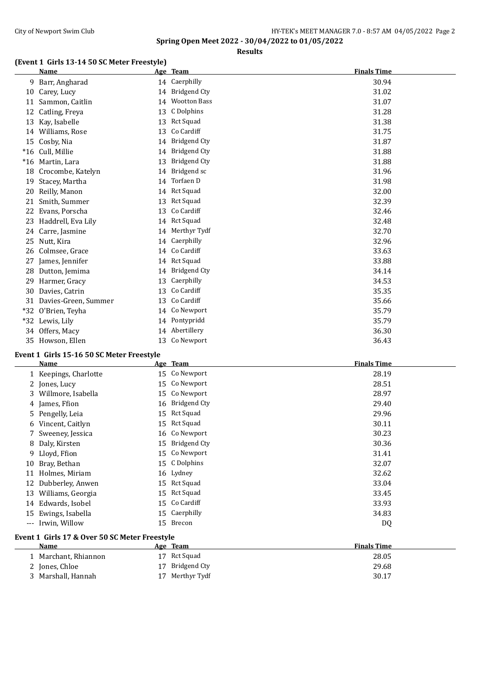## **Results**

## **(Event 1 Girls 13-14 50 SC Meter Freestyle)**

| 14 Caerphilly<br>9 Barr, Angharad<br>30.94<br>14 Bridgend Cty<br>31.02<br>10 Carey, Lucy<br>14 Wootton Bass<br>11 Sammon, Caitlin<br>31.07<br>12 Catling, Freya<br>13 C Dolphins<br>31.28<br>13 Rct Squad<br>31.38<br>13 Kay, Isabelle<br>13 Co Cardiff<br>14 Williams, Rose<br>31.75<br>14 Bridgend Cty<br>15 Cosby, Nia<br>31.87<br>14 Bridgend Cty<br>*16 Cull, Millie<br>31.88<br>13 Bridgend Cty<br>*16 Martin, Lara<br>31.88<br>14 Bridgend sc<br>18 Crocombe, Katelyn<br>31.96<br>14 Torfaen D<br>31.98<br>19 Stacey, Martha<br>14 Rct Squad<br>20 Reilly, Manon<br>32.00<br>Smith, Summer<br>13 Rct Squad<br>32.39<br>21<br>13 Co Cardiff<br>Evans, Porscha<br>32.46<br>22<br>14 Rct Squad<br>32.48<br>23 Haddrell, Eva Lily<br>14 Merthyr Tydf<br>32.70<br>24 Carre, Jasmine<br>25 Nutt, Kira<br>14 Caerphilly<br>32.96<br>14 Co Cardiff<br>33.63<br>26 Colmsee, Grace<br>14 Rct Squad<br>33.88<br>27 James, Jennifer<br>14 Bridgend Cty<br>28 Dutton, Jemima<br>34.14<br>13 Caerphilly<br>34.53<br>29 Harmer, Gracy<br>13 Co Cardiff<br>30 Davies, Catrin<br>35.35<br>13 Co Cardiff<br>31 Davies-Green, Summer<br>35.66<br>14 Co Newport<br>35.79<br>*32 O'Brien, Teyha<br>14 Pontypridd<br>*32 Lewis, Lily<br>35.79<br>14 Abertillery<br>34 Offers, Macy<br>36.30<br>13 Co Newport<br>35 Howson, Ellen<br>36.43<br>Event 1 Girls 15-16 50 SC Meter Freestyle<br><b>Finals Time</b><br>Age Team<br><u>Name</u><br>15 Co Newport<br>1 Keepings, Charlotte<br>28.19<br>15 Co Newport<br>2 Jones, Lucy<br>28.51<br>3 Willmore, Isabella<br>15 Co Newport<br>28.97<br>16 Bridgend Cty<br>4 James, Ffion<br>29.40<br>15 Rct Squad<br>5 Pengelly, Leia<br>29.96<br>15 Rct Squad<br>30.11<br>6 Vincent, Caitlyn<br>16 Co Newport<br>30.23<br>Sweeney, Jessica<br>7<br>15 Bridgend Cty<br>30.36<br>8 Daly, Kirsten<br>15 Co Newport<br>9 Lloyd, Ffion<br>31.41<br>15 C Dolphins<br>32.07<br>10 Bray, Bethan<br>16 Lydney<br>11 Holmes, Miriam<br>32.62<br>15 Rct Squad<br>12 Dubberley, Anwen<br>33.04<br>15 Rct Squad<br>13 Williams, Georgia<br>33.45<br>Co Cardiff<br>33.93<br>14 Edwards, Isobel<br>15<br>Caerphilly<br>Ewings, Isabella<br>34.83<br>15<br>15<br>15 Brecon<br>--- Irwin, Willow<br>DQ<br>Event 1 Girls 17 & Over 50 SC Meter Freestyle<br><b>Finals Time</b><br>Name<br>Age Team<br>17 Rct Squad<br>1 Marchant, Rhiannon<br>28.05<br><b>Bridgend Cty</b><br>2 Jones, Chloe<br>29.68<br>17<br>17 Merthyr Tydf<br>3 Marshall, Hannah<br>30.17 | (EVEIR I GILLS 15-14 50 SC METEL FLEESLYIE)<br>Name | Age Team | <b>Finals Time</b> |
|-------------------------------------------------------------------------------------------------------------------------------------------------------------------------------------------------------------------------------------------------------------------------------------------------------------------------------------------------------------------------------------------------------------------------------------------------------------------------------------------------------------------------------------------------------------------------------------------------------------------------------------------------------------------------------------------------------------------------------------------------------------------------------------------------------------------------------------------------------------------------------------------------------------------------------------------------------------------------------------------------------------------------------------------------------------------------------------------------------------------------------------------------------------------------------------------------------------------------------------------------------------------------------------------------------------------------------------------------------------------------------------------------------------------------------------------------------------------------------------------------------------------------------------------------------------------------------------------------------------------------------------------------------------------------------------------------------------------------------------------------------------------------------------------------------------------------------------------------------------------------------------------------------------------------------------------------------------------------------------------------------------------------------------------------------------------------------------------------------------------------------------------------------------------------------------------------------------------------------------------------------------------------------------------------------------------------------------------------------------------------------------------------------------------------------------------------------------------|-----------------------------------------------------|----------|--------------------|
|                                                                                                                                                                                                                                                                                                                                                                                                                                                                                                                                                                                                                                                                                                                                                                                                                                                                                                                                                                                                                                                                                                                                                                                                                                                                                                                                                                                                                                                                                                                                                                                                                                                                                                                                                                                                                                                                                                                                                                                                                                                                                                                                                                                                                                                                                                                                                                                                                                                                   |                                                     |          |                    |
|                                                                                                                                                                                                                                                                                                                                                                                                                                                                                                                                                                                                                                                                                                                                                                                                                                                                                                                                                                                                                                                                                                                                                                                                                                                                                                                                                                                                                                                                                                                                                                                                                                                                                                                                                                                                                                                                                                                                                                                                                                                                                                                                                                                                                                                                                                                                                                                                                                                                   |                                                     |          |                    |
|                                                                                                                                                                                                                                                                                                                                                                                                                                                                                                                                                                                                                                                                                                                                                                                                                                                                                                                                                                                                                                                                                                                                                                                                                                                                                                                                                                                                                                                                                                                                                                                                                                                                                                                                                                                                                                                                                                                                                                                                                                                                                                                                                                                                                                                                                                                                                                                                                                                                   |                                                     |          |                    |
|                                                                                                                                                                                                                                                                                                                                                                                                                                                                                                                                                                                                                                                                                                                                                                                                                                                                                                                                                                                                                                                                                                                                                                                                                                                                                                                                                                                                                                                                                                                                                                                                                                                                                                                                                                                                                                                                                                                                                                                                                                                                                                                                                                                                                                                                                                                                                                                                                                                                   |                                                     |          |                    |
|                                                                                                                                                                                                                                                                                                                                                                                                                                                                                                                                                                                                                                                                                                                                                                                                                                                                                                                                                                                                                                                                                                                                                                                                                                                                                                                                                                                                                                                                                                                                                                                                                                                                                                                                                                                                                                                                                                                                                                                                                                                                                                                                                                                                                                                                                                                                                                                                                                                                   |                                                     |          |                    |
|                                                                                                                                                                                                                                                                                                                                                                                                                                                                                                                                                                                                                                                                                                                                                                                                                                                                                                                                                                                                                                                                                                                                                                                                                                                                                                                                                                                                                                                                                                                                                                                                                                                                                                                                                                                                                                                                                                                                                                                                                                                                                                                                                                                                                                                                                                                                                                                                                                                                   |                                                     |          |                    |
|                                                                                                                                                                                                                                                                                                                                                                                                                                                                                                                                                                                                                                                                                                                                                                                                                                                                                                                                                                                                                                                                                                                                                                                                                                                                                                                                                                                                                                                                                                                                                                                                                                                                                                                                                                                                                                                                                                                                                                                                                                                                                                                                                                                                                                                                                                                                                                                                                                                                   |                                                     |          |                    |
|                                                                                                                                                                                                                                                                                                                                                                                                                                                                                                                                                                                                                                                                                                                                                                                                                                                                                                                                                                                                                                                                                                                                                                                                                                                                                                                                                                                                                                                                                                                                                                                                                                                                                                                                                                                                                                                                                                                                                                                                                                                                                                                                                                                                                                                                                                                                                                                                                                                                   |                                                     |          |                    |
|                                                                                                                                                                                                                                                                                                                                                                                                                                                                                                                                                                                                                                                                                                                                                                                                                                                                                                                                                                                                                                                                                                                                                                                                                                                                                                                                                                                                                                                                                                                                                                                                                                                                                                                                                                                                                                                                                                                                                                                                                                                                                                                                                                                                                                                                                                                                                                                                                                                                   |                                                     |          |                    |
|                                                                                                                                                                                                                                                                                                                                                                                                                                                                                                                                                                                                                                                                                                                                                                                                                                                                                                                                                                                                                                                                                                                                                                                                                                                                                                                                                                                                                                                                                                                                                                                                                                                                                                                                                                                                                                                                                                                                                                                                                                                                                                                                                                                                                                                                                                                                                                                                                                                                   |                                                     |          |                    |
|                                                                                                                                                                                                                                                                                                                                                                                                                                                                                                                                                                                                                                                                                                                                                                                                                                                                                                                                                                                                                                                                                                                                                                                                                                                                                                                                                                                                                                                                                                                                                                                                                                                                                                                                                                                                                                                                                                                                                                                                                                                                                                                                                                                                                                                                                                                                                                                                                                                                   |                                                     |          |                    |
|                                                                                                                                                                                                                                                                                                                                                                                                                                                                                                                                                                                                                                                                                                                                                                                                                                                                                                                                                                                                                                                                                                                                                                                                                                                                                                                                                                                                                                                                                                                                                                                                                                                                                                                                                                                                                                                                                                                                                                                                                                                                                                                                                                                                                                                                                                                                                                                                                                                                   |                                                     |          |                    |
|                                                                                                                                                                                                                                                                                                                                                                                                                                                                                                                                                                                                                                                                                                                                                                                                                                                                                                                                                                                                                                                                                                                                                                                                                                                                                                                                                                                                                                                                                                                                                                                                                                                                                                                                                                                                                                                                                                                                                                                                                                                                                                                                                                                                                                                                                                                                                                                                                                                                   |                                                     |          |                    |
|                                                                                                                                                                                                                                                                                                                                                                                                                                                                                                                                                                                                                                                                                                                                                                                                                                                                                                                                                                                                                                                                                                                                                                                                                                                                                                                                                                                                                                                                                                                                                                                                                                                                                                                                                                                                                                                                                                                                                                                                                                                                                                                                                                                                                                                                                                                                                                                                                                                                   |                                                     |          |                    |
|                                                                                                                                                                                                                                                                                                                                                                                                                                                                                                                                                                                                                                                                                                                                                                                                                                                                                                                                                                                                                                                                                                                                                                                                                                                                                                                                                                                                                                                                                                                                                                                                                                                                                                                                                                                                                                                                                                                                                                                                                                                                                                                                                                                                                                                                                                                                                                                                                                                                   |                                                     |          |                    |
|                                                                                                                                                                                                                                                                                                                                                                                                                                                                                                                                                                                                                                                                                                                                                                                                                                                                                                                                                                                                                                                                                                                                                                                                                                                                                                                                                                                                                                                                                                                                                                                                                                                                                                                                                                                                                                                                                                                                                                                                                                                                                                                                                                                                                                                                                                                                                                                                                                                                   |                                                     |          |                    |
|                                                                                                                                                                                                                                                                                                                                                                                                                                                                                                                                                                                                                                                                                                                                                                                                                                                                                                                                                                                                                                                                                                                                                                                                                                                                                                                                                                                                                                                                                                                                                                                                                                                                                                                                                                                                                                                                                                                                                                                                                                                                                                                                                                                                                                                                                                                                                                                                                                                                   |                                                     |          |                    |
|                                                                                                                                                                                                                                                                                                                                                                                                                                                                                                                                                                                                                                                                                                                                                                                                                                                                                                                                                                                                                                                                                                                                                                                                                                                                                                                                                                                                                                                                                                                                                                                                                                                                                                                                                                                                                                                                                                                                                                                                                                                                                                                                                                                                                                                                                                                                                                                                                                                                   |                                                     |          |                    |
|                                                                                                                                                                                                                                                                                                                                                                                                                                                                                                                                                                                                                                                                                                                                                                                                                                                                                                                                                                                                                                                                                                                                                                                                                                                                                                                                                                                                                                                                                                                                                                                                                                                                                                                                                                                                                                                                                                                                                                                                                                                                                                                                                                                                                                                                                                                                                                                                                                                                   |                                                     |          |                    |
|                                                                                                                                                                                                                                                                                                                                                                                                                                                                                                                                                                                                                                                                                                                                                                                                                                                                                                                                                                                                                                                                                                                                                                                                                                                                                                                                                                                                                                                                                                                                                                                                                                                                                                                                                                                                                                                                                                                                                                                                                                                                                                                                                                                                                                                                                                                                                                                                                                                                   |                                                     |          |                    |
|                                                                                                                                                                                                                                                                                                                                                                                                                                                                                                                                                                                                                                                                                                                                                                                                                                                                                                                                                                                                                                                                                                                                                                                                                                                                                                                                                                                                                                                                                                                                                                                                                                                                                                                                                                                                                                                                                                                                                                                                                                                                                                                                                                                                                                                                                                                                                                                                                                                                   |                                                     |          |                    |
|                                                                                                                                                                                                                                                                                                                                                                                                                                                                                                                                                                                                                                                                                                                                                                                                                                                                                                                                                                                                                                                                                                                                                                                                                                                                                                                                                                                                                                                                                                                                                                                                                                                                                                                                                                                                                                                                                                                                                                                                                                                                                                                                                                                                                                                                                                                                                                                                                                                                   |                                                     |          |                    |
|                                                                                                                                                                                                                                                                                                                                                                                                                                                                                                                                                                                                                                                                                                                                                                                                                                                                                                                                                                                                                                                                                                                                                                                                                                                                                                                                                                                                                                                                                                                                                                                                                                                                                                                                                                                                                                                                                                                                                                                                                                                                                                                                                                                                                                                                                                                                                                                                                                                                   |                                                     |          |                    |
|                                                                                                                                                                                                                                                                                                                                                                                                                                                                                                                                                                                                                                                                                                                                                                                                                                                                                                                                                                                                                                                                                                                                                                                                                                                                                                                                                                                                                                                                                                                                                                                                                                                                                                                                                                                                                                                                                                                                                                                                                                                                                                                                                                                                                                                                                                                                                                                                                                                                   |                                                     |          |                    |
|                                                                                                                                                                                                                                                                                                                                                                                                                                                                                                                                                                                                                                                                                                                                                                                                                                                                                                                                                                                                                                                                                                                                                                                                                                                                                                                                                                                                                                                                                                                                                                                                                                                                                                                                                                                                                                                                                                                                                                                                                                                                                                                                                                                                                                                                                                                                                                                                                                                                   |                                                     |          |                    |
|                                                                                                                                                                                                                                                                                                                                                                                                                                                                                                                                                                                                                                                                                                                                                                                                                                                                                                                                                                                                                                                                                                                                                                                                                                                                                                                                                                                                                                                                                                                                                                                                                                                                                                                                                                                                                                                                                                                                                                                                                                                                                                                                                                                                                                                                                                                                                                                                                                                                   |                                                     |          |                    |
|                                                                                                                                                                                                                                                                                                                                                                                                                                                                                                                                                                                                                                                                                                                                                                                                                                                                                                                                                                                                                                                                                                                                                                                                                                                                                                                                                                                                                                                                                                                                                                                                                                                                                                                                                                                                                                                                                                                                                                                                                                                                                                                                                                                                                                                                                                                                                                                                                                                                   |                                                     |          |                    |
|                                                                                                                                                                                                                                                                                                                                                                                                                                                                                                                                                                                                                                                                                                                                                                                                                                                                                                                                                                                                                                                                                                                                                                                                                                                                                                                                                                                                                                                                                                                                                                                                                                                                                                                                                                                                                                                                                                                                                                                                                                                                                                                                                                                                                                                                                                                                                                                                                                                                   |                                                     |          |                    |
|                                                                                                                                                                                                                                                                                                                                                                                                                                                                                                                                                                                                                                                                                                                                                                                                                                                                                                                                                                                                                                                                                                                                                                                                                                                                                                                                                                                                                                                                                                                                                                                                                                                                                                                                                                                                                                                                                                                                                                                                                                                                                                                                                                                                                                                                                                                                                                                                                                                                   |                                                     |          |                    |
|                                                                                                                                                                                                                                                                                                                                                                                                                                                                                                                                                                                                                                                                                                                                                                                                                                                                                                                                                                                                                                                                                                                                                                                                                                                                                                                                                                                                                                                                                                                                                                                                                                                                                                                                                                                                                                                                                                                                                                                                                                                                                                                                                                                                                                                                                                                                                                                                                                                                   |                                                     |          |                    |
|                                                                                                                                                                                                                                                                                                                                                                                                                                                                                                                                                                                                                                                                                                                                                                                                                                                                                                                                                                                                                                                                                                                                                                                                                                                                                                                                                                                                                                                                                                                                                                                                                                                                                                                                                                                                                                                                                                                                                                                                                                                                                                                                                                                                                                                                                                                                                                                                                                                                   |                                                     |          |                    |
|                                                                                                                                                                                                                                                                                                                                                                                                                                                                                                                                                                                                                                                                                                                                                                                                                                                                                                                                                                                                                                                                                                                                                                                                                                                                                                                                                                                                                                                                                                                                                                                                                                                                                                                                                                                                                                                                                                                                                                                                                                                                                                                                                                                                                                                                                                                                                                                                                                                                   |                                                     |          |                    |
|                                                                                                                                                                                                                                                                                                                                                                                                                                                                                                                                                                                                                                                                                                                                                                                                                                                                                                                                                                                                                                                                                                                                                                                                                                                                                                                                                                                                                                                                                                                                                                                                                                                                                                                                                                                                                                                                                                                                                                                                                                                                                                                                                                                                                                                                                                                                                                                                                                                                   |                                                     |          |                    |
|                                                                                                                                                                                                                                                                                                                                                                                                                                                                                                                                                                                                                                                                                                                                                                                                                                                                                                                                                                                                                                                                                                                                                                                                                                                                                                                                                                                                                                                                                                                                                                                                                                                                                                                                                                                                                                                                                                                                                                                                                                                                                                                                                                                                                                                                                                                                                                                                                                                                   |                                                     |          |                    |
|                                                                                                                                                                                                                                                                                                                                                                                                                                                                                                                                                                                                                                                                                                                                                                                                                                                                                                                                                                                                                                                                                                                                                                                                                                                                                                                                                                                                                                                                                                                                                                                                                                                                                                                                                                                                                                                                                                                                                                                                                                                                                                                                                                                                                                                                                                                                                                                                                                                                   |                                                     |          |                    |
|                                                                                                                                                                                                                                                                                                                                                                                                                                                                                                                                                                                                                                                                                                                                                                                                                                                                                                                                                                                                                                                                                                                                                                                                                                                                                                                                                                                                                                                                                                                                                                                                                                                                                                                                                                                                                                                                                                                                                                                                                                                                                                                                                                                                                                                                                                                                                                                                                                                                   |                                                     |          |                    |
|                                                                                                                                                                                                                                                                                                                                                                                                                                                                                                                                                                                                                                                                                                                                                                                                                                                                                                                                                                                                                                                                                                                                                                                                                                                                                                                                                                                                                                                                                                                                                                                                                                                                                                                                                                                                                                                                                                                                                                                                                                                                                                                                                                                                                                                                                                                                                                                                                                                                   |                                                     |          |                    |
|                                                                                                                                                                                                                                                                                                                                                                                                                                                                                                                                                                                                                                                                                                                                                                                                                                                                                                                                                                                                                                                                                                                                                                                                                                                                                                                                                                                                                                                                                                                                                                                                                                                                                                                                                                                                                                                                                                                                                                                                                                                                                                                                                                                                                                                                                                                                                                                                                                                                   |                                                     |          |                    |
|                                                                                                                                                                                                                                                                                                                                                                                                                                                                                                                                                                                                                                                                                                                                                                                                                                                                                                                                                                                                                                                                                                                                                                                                                                                                                                                                                                                                                                                                                                                                                                                                                                                                                                                                                                                                                                                                                                                                                                                                                                                                                                                                                                                                                                                                                                                                                                                                                                                                   |                                                     |          |                    |
|                                                                                                                                                                                                                                                                                                                                                                                                                                                                                                                                                                                                                                                                                                                                                                                                                                                                                                                                                                                                                                                                                                                                                                                                                                                                                                                                                                                                                                                                                                                                                                                                                                                                                                                                                                                                                                                                                                                                                                                                                                                                                                                                                                                                                                                                                                                                                                                                                                                                   |                                                     |          |                    |
|                                                                                                                                                                                                                                                                                                                                                                                                                                                                                                                                                                                                                                                                                                                                                                                                                                                                                                                                                                                                                                                                                                                                                                                                                                                                                                                                                                                                                                                                                                                                                                                                                                                                                                                                                                                                                                                                                                                                                                                                                                                                                                                                                                                                                                                                                                                                                                                                                                                                   |                                                     |          |                    |
|                                                                                                                                                                                                                                                                                                                                                                                                                                                                                                                                                                                                                                                                                                                                                                                                                                                                                                                                                                                                                                                                                                                                                                                                                                                                                                                                                                                                                                                                                                                                                                                                                                                                                                                                                                                                                                                                                                                                                                                                                                                                                                                                                                                                                                                                                                                                                                                                                                                                   |                                                     |          |                    |
|                                                                                                                                                                                                                                                                                                                                                                                                                                                                                                                                                                                                                                                                                                                                                                                                                                                                                                                                                                                                                                                                                                                                                                                                                                                                                                                                                                                                                                                                                                                                                                                                                                                                                                                                                                                                                                                                                                                                                                                                                                                                                                                                                                                                                                                                                                                                                                                                                                                                   |                                                     |          |                    |
|                                                                                                                                                                                                                                                                                                                                                                                                                                                                                                                                                                                                                                                                                                                                                                                                                                                                                                                                                                                                                                                                                                                                                                                                                                                                                                                                                                                                                                                                                                                                                                                                                                                                                                                                                                                                                                                                                                                                                                                                                                                                                                                                                                                                                                                                                                                                                                                                                                                                   |                                                     |          |                    |
|                                                                                                                                                                                                                                                                                                                                                                                                                                                                                                                                                                                                                                                                                                                                                                                                                                                                                                                                                                                                                                                                                                                                                                                                                                                                                                                                                                                                                                                                                                                                                                                                                                                                                                                                                                                                                                                                                                                                                                                                                                                                                                                                                                                                                                                                                                                                                                                                                                                                   |                                                     |          |                    |
|                                                                                                                                                                                                                                                                                                                                                                                                                                                                                                                                                                                                                                                                                                                                                                                                                                                                                                                                                                                                                                                                                                                                                                                                                                                                                                                                                                                                                                                                                                                                                                                                                                                                                                                                                                                                                                                                                                                                                                                                                                                                                                                                                                                                                                                                                                                                                                                                                                                                   |                                                     |          |                    |
|                                                                                                                                                                                                                                                                                                                                                                                                                                                                                                                                                                                                                                                                                                                                                                                                                                                                                                                                                                                                                                                                                                                                                                                                                                                                                                                                                                                                                                                                                                                                                                                                                                                                                                                                                                                                                                                                                                                                                                                                                                                                                                                                                                                                                                                                                                                                                                                                                                                                   |                                                     |          |                    |
|                                                                                                                                                                                                                                                                                                                                                                                                                                                                                                                                                                                                                                                                                                                                                                                                                                                                                                                                                                                                                                                                                                                                                                                                                                                                                                                                                                                                                                                                                                                                                                                                                                                                                                                                                                                                                                                                                                                                                                                                                                                                                                                                                                                                                                                                                                                                                                                                                                                                   |                                                     |          |                    |
|                                                                                                                                                                                                                                                                                                                                                                                                                                                                                                                                                                                                                                                                                                                                                                                                                                                                                                                                                                                                                                                                                                                                                                                                                                                                                                                                                                                                                                                                                                                                                                                                                                                                                                                                                                                                                                                                                                                                                                                                                                                                                                                                                                                                                                                                                                                                                                                                                                                                   |                                                     |          |                    |
|                                                                                                                                                                                                                                                                                                                                                                                                                                                                                                                                                                                                                                                                                                                                                                                                                                                                                                                                                                                                                                                                                                                                                                                                                                                                                                                                                                                                                                                                                                                                                                                                                                                                                                                                                                                                                                                                                                                                                                                                                                                                                                                                                                                                                                                                                                                                                                                                                                                                   |                                                     |          |                    |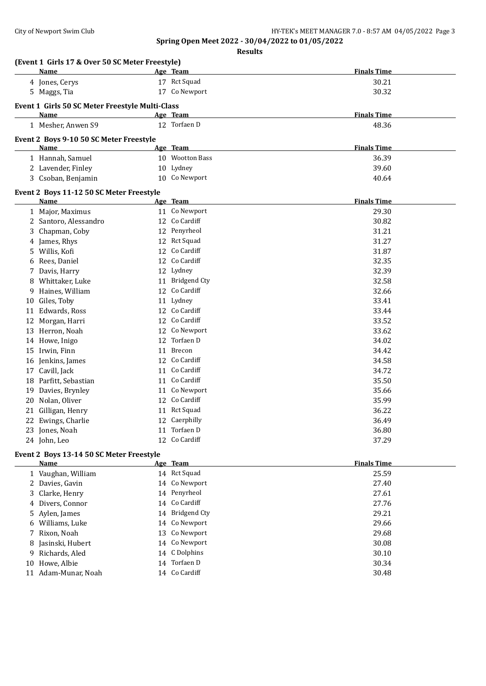**Results**

|    | (Event 1 Girls 17 & Over 50 SC Meter Freestyle)<br>Name |    | Age Team        | <b>Finals Time</b> |
|----|---------------------------------------------------------|----|-----------------|--------------------|
|    | 4 Jones, Cerys                                          |    | 17 Rct Squad    | 30.21              |
|    | 5 Maggs, Tia                                            |    | 17 Co Newport   | 30.32              |
|    |                                                         |    |                 |                    |
|    | Event 1 Girls 50 SC Meter Freestyle Multi-Class         |    |                 |                    |
|    | Name                                                    |    | Age Team        | <b>Finals Time</b> |
|    | 1 Mesher, Anwen S9                                      |    | 12 Torfaen D    | 48.36              |
|    | Event 2 Boys 9-10 50 SC Meter Freestyle                 |    |                 |                    |
|    | Name                                                    |    | Age Team        | <b>Finals Time</b> |
|    | 1 Hannah, Samuel                                        |    | 10 Wootton Bass | 36.39              |
|    | 2 Lavender, Finley                                      |    | 10 Lydney       | 39.60              |
|    | 3 Csoban, Benjamin                                      |    | 10 Co Newport   | 40.64              |
|    | Event 2 Boys 11-12 50 SC Meter Freestyle                |    |                 |                    |
|    | Name                                                    |    | Age Team        | <b>Finals Time</b> |
|    | 1 Major, Maximus                                        |    | 11 Co Newport   | 29.30              |
|    | 2 Santoro, Alessandro                                   |    | 12 Co Cardiff   | 30.82              |
| 3  | Chapman, Coby                                           |    | 12 Penyrheol    | 31.21              |
|    | 4 James, Rhys                                           |    | 12 Rct Squad    | 31.27              |
| 5. | Willis, Kofi                                            | 12 | Co Cardiff      | 31.87              |
|    | 6 Rees, Daniel                                          |    | 12 Co Cardiff   | 32.35              |
|    | 7 Davis, Harry                                          |    | 12 Lydney       | 32.39              |
| 8  | Whittaker, Luke                                         |    | 11 Bridgend Cty | 32.58              |
| 9. | Haines, William                                         |    | 12 Co Cardiff   | 32.66              |
|    | 10 Giles, Toby                                          |    | 11 Lydney       | 33.41              |
|    | 11 Edwards, Ross                                        |    | 12 Co Cardiff   | 33.44              |
| 12 | Morgan, Harri                                           |    | 12 Co Cardiff   | 33.52              |
|    | 13 Herron, Noah                                         |    | 12 Co Newport   | 33.62              |
|    | 14 Howe, Inigo                                          | 12 | Torfaen D       | 34.02              |
|    | 15 Irwin, Finn                                          | 11 | Brecon          | 34.42              |
|    | 16 Jenkins, James                                       | 12 | Co Cardiff      | 34.58              |
|    | 17 Cavill, Jack                                         | 11 | Co Cardiff      | 34.72              |
|    | 18 Parfitt, Sebastian                                   |    | 11 Co Cardiff   | 35.50              |
|    | 19 Davies, Brynley                                      |    | 11 Co Newport   | 35.66              |
|    | 20 Nolan, Oliver                                        |    | 12 Co Cardiff   | 35.99              |
|    | 21 Gilligan, Henry                                      |    | 11 Rct Squad    | 36.22              |
|    | 22 Ewings, Charlie                                      |    | 12 Caerphilly   | 36.49              |
|    | 23 Jones, Noah                                          |    | 11 Torfaen D    | 36.80              |
|    | 24 John, Leo                                            |    | 12 Co Cardiff   | 37.29              |
|    | Event 2 Boys 13-14 50 SC Meter Freestyle                |    |                 |                    |
|    | <u>Name</u>                                             |    | Age Team        | <b>Finals Time</b> |
|    | 1 Vaughan, William                                      |    | 14 Rct Squad    | 25.59              |
|    | 2 Davies, Gavin                                         |    | 14 Co Newport   | 27.40              |
|    | 3 Clarke, Henry                                         |    | 14 Penyrheol    | 27.61              |
|    | 4 Divers, Connor                                        |    | 14 Co Cardiff   | 27.76              |
|    | 5 Aylen, James                                          |    | 14 Bridgend Cty | 29.21              |
|    | 6 Williams, Luke                                        |    | 14 Co Newport   | 29.66              |
|    |                                                         |    |                 |                    |

 Rixon, Noah 13 Co Newport 29.68 8 Jasinski, Hubert 14 Co Newport 30.08<br>
9 Richards, Aled 14 C Dolphins 30.10 Richards, Aled 14 C Dolphins 30.10 10 Howe, Albie 14 Torfaen D 30.34 11 Adam-Munar, Noah 14 Co Cardiff 19 and 20.48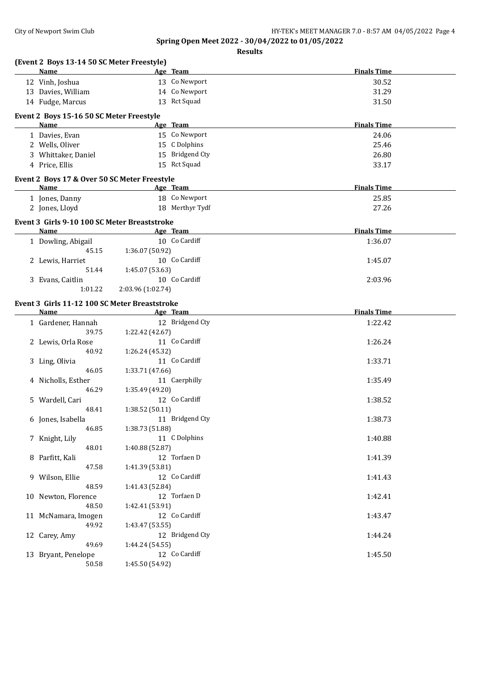| (Event 2 Boys 13-14 50 SC Meter Freestyle)       |                   |                 |                    |
|--------------------------------------------------|-------------------|-----------------|--------------------|
| Name                                             |                   | Age Team        | <b>Finals Time</b> |
| 12 Vinh, Joshua                                  |                   | 13 Co Newport   | 30.52              |
| 13 Davies, William                               |                   | 14 Co Newport   | 31.29              |
| 14 Fudge, Marcus                                 |                   | 13 Rct Squad    | 31.50              |
|                                                  |                   |                 |                    |
| Event 2 Boys 15-16 50 SC Meter Freestyle<br>Name |                   | Age Team        | <b>Finals Time</b> |
| 1 Davies, Evan                                   |                   | 15 Co Newport   | 24.06              |
| 2 Wells, Oliver                                  |                   | 15 C Dolphins   | 25.46              |
| 3 Whittaker, Daniel                              |                   | 15 Bridgend Cty |                    |
|                                                  |                   | 15 Rct Squad    | 26.80              |
| 4 Price, Ellis                                   |                   |                 | 33.17              |
| Event 2 Boys 17 & Over 50 SC Meter Freestyle     |                   |                 |                    |
| Name                                             |                   | Age Team        | <b>Finals Time</b> |
| 1 Jones, Danny                                   |                   | 18 Co Newport   | 25.85              |
| 2 Jones, Lloyd                                   |                   | 18 Merthyr Tydf | 27.26              |
| Event 3 Girls 9-10 100 SC Meter Breaststroke     |                   |                 |                    |
| Name                                             | Age Team          |                 | <b>Finals Time</b> |
| 1 Dowling, Abigail                               |                   | 10 Co Cardiff   | 1:36.07            |
| 45.15                                            | 1:36.07 (50.92)   |                 |                    |
| 2 Lewis, Harriet                                 |                   | 10 Co Cardiff   | 1:45.07            |
| 51.44                                            | 1:45.07 (53.63)   |                 |                    |
| 3 Evans, Caitlin                                 |                   | 10 Co Cardiff   | 2:03.96            |
| 1:01.22                                          | 2:03.96 (1:02.74) |                 |                    |
| Event 3 Girls 11-12 100 SC Meter Breaststroke    |                   |                 |                    |
| Name                                             |                   | Age Team        | <b>Finals Time</b> |
| 1 Gardener, Hannah                               |                   | 12 Bridgend Cty | 1:22.42            |
| 39.75                                            | 1:22.42 (42.67)   |                 |                    |
| 2 Lewis, Orla Rose                               |                   | 11 Co Cardiff   | 1:26.24            |
| 40.92                                            | 1:26.24 (45.32)   |                 |                    |
| 3 Ling, Olivia                                   |                   | 11 Co Cardiff   | 1:33.71            |
| 46.05                                            | 1:33.71 (47.66)   |                 |                    |
| 4 Nicholls, Esther                               |                   | 11 Caerphilly   | 1:35.49            |
| 46.29                                            | 1:35.49 (49.20)   |                 |                    |
| 5 Wardell, Cari                                  |                   | 12 Co Cardiff   | 1:38.52            |
| 48.41                                            | 1:38.52 (50.11)   |                 |                    |
| 6 Jones, Isabella                                | 11 Bridgend Cty   |                 | 1:38.73            |
| 46.85                                            | 1:38.73 (51.88)   |                 |                    |
| 7 Knight, Lily                                   |                   | 11 C Dolphins   | 1:40.88            |
| 48.01                                            | 1:40.88 (52.87)   |                 |                    |
| 8 Parfitt, Kali                                  |                   | 12 Torfaen D    | 1:41.39            |
| 47.58                                            | 1:41.39 (53.81)   |                 |                    |
| 9 Wilson, Ellie                                  |                   | 12 Co Cardiff   | 1:41.43            |
| 48.59                                            | 1:41.43 (52.84)   |                 |                    |
| 10 Newton, Florence                              |                   | 12 Torfaen D    | 1:42.41            |
| 48.50                                            | 1:42.41 (53.91)   |                 |                    |
| 11 McNamara, Imogen                              |                   | 12 Co Cardiff   | 1:43.47            |
| 49.92                                            | 1:43.47 (53.55)   |                 |                    |
| 12 Carey, Amy                                    |                   | 12 Bridgend Cty | 1:44.24            |
| 49.69                                            | 1:44.24 (54.55)   |                 |                    |
| 13 Bryant, Penelope                              |                   | 12 Co Cardiff   | 1:45.50            |
| 50.58                                            | 1:45.50 (54.92)   |                 |                    |
|                                                  |                   |                 |                    |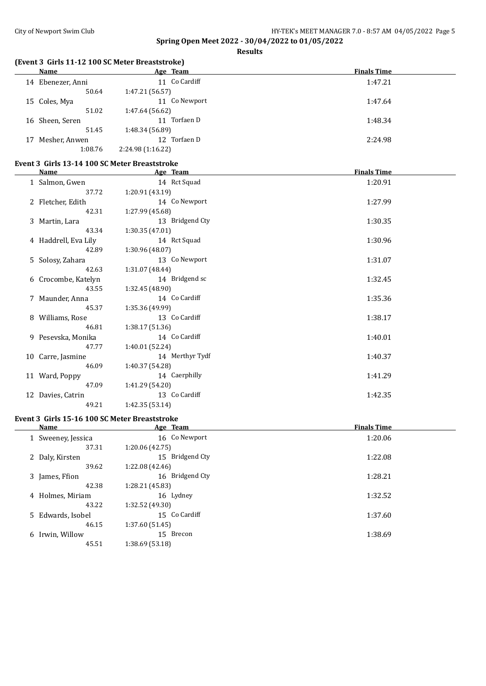**Results**

## **(Event 3 Girls 11-12 100 SC Meter Breaststroke)**

| <b>Name</b>          |         | Age Team          | <b>Finals Time</b> |
|----------------------|---------|-------------------|--------------------|
| Ebenezer, Anni<br>14 |         | 11 Co Cardiff     | 1:47.21            |
|                      | 50.64   | 1:47.21 (56.57)   |                    |
| 15 Coles, Mya        |         | Co Newport<br>11  | 1:47.64            |
|                      | 51.02   | 1:47.64 (56.62)   |                    |
| 16 Sheen, Seren      |         | Torfaen D<br>11   | 1:48.34            |
|                      | 51.45   | 1:48.34 (56.89)   |                    |
| Mesher, Anwen<br>17  |         | Torfaen D<br>12   | 2:24.98            |
|                      | 1:08.76 | 2:24.98 (1:16.22) |                    |

## **Event 3 Girls 13-14 100 SC Meter Breaststroke**

| Name                 | Age Team        | <b>Finals Time</b> |
|----------------------|-----------------|--------------------|
| 1 Salmon, Gwen       | 14 Rct Squad    | 1:20.91            |
| 37.72                | 1:20.91 (43.19) |                    |
| 2 Fletcher, Edith    | 14 Co Newport   | 1:27.99            |
| 42.31                | 1:27.99 (45.68) |                    |
| 3 Martin, Lara       | 13 Bridgend Cty | 1:30.35            |
| 43.34                | 1:30.35 (47.01) |                    |
| 4 Haddrell, Eva Lily | 14 Rct Squad    | 1:30.96            |
| 42.89                | 1:30.96 (48.07) |                    |
| 5 Solosy, Zahara     | 13 Co Newport   | 1:31.07            |
| 42.63                | 1:31.07 (48.44) |                    |
| 6 Crocombe, Katelyn  | 14 Bridgend sc  | 1:32.45            |
| 43.55                | 1:32.45 (48.90) |                    |
| 7 Maunder, Anna      | 14 Co Cardiff   | 1:35.36            |
| 45.37                | 1:35.36 (49.99) |                    |
| 8 Williams, Rose     | 13 Co Cardiff   | 1:38.17            |
| 46.81                | 1:38.17 (51.36) |                    |
| 9 Pesevska, Monika   | 14 Co Cardiff   | 1:40.01            |
| 47.77                | 1:40.01 (52.24) |                    |
| 10 Carre, Jasmine    | 14 Merthyr Tydf | 1:40.37            |
| 46.09                | 1:40.37 (54.28) |                    |
| 11 Ward, Poppy       | 14 Caerphilly   | 1:41.29            |
| 47.09                | 1:41.29 (54.20) |                    |
| 12 Davies, Catrin    | 13 Co Cardiff   | 1:42.35            |
| 49.21                | 1:42.35(53.14)  |                    |

## **Event 3 Girls 15-16 100 SC Meter Breaststroke**

| <b>Name</b>        | Age Team        | <b>Finals Time</b> |
|--------------------|-----------------|--------------------|
| 1 Sweeney, Jessica | 16 Co Newport   | 1:20.06            |
| 37.31              | 1:20.06 (42.75) |                    |
| 2 Daly, Kirsten    | 15 Bridgend Cty | 1:22.08            |
| 39.62              | 1:22.08(42.46)  |                    |
| 3 James, Ffion     | 16 Bridgend Cty | 1:28.21            |
| 42.38              | 1:28.21 (45.83) |                    |
| 4 Holmes, Miriam   | 16 Lydney       | 1:32.52            |
| 43.22              | 1:32.52(49.30)  |                    |
| 5 Edwards, Isobel  | 15 Co Cardiff   | 1:37.60            |
| 46.15              | 1:37.60(51.45)  |                    |
| 6 Irwin, Willow    | 15 Brecon       | 1:38.69            |
| 45.51              | 1:38.69 (53.18) |                    |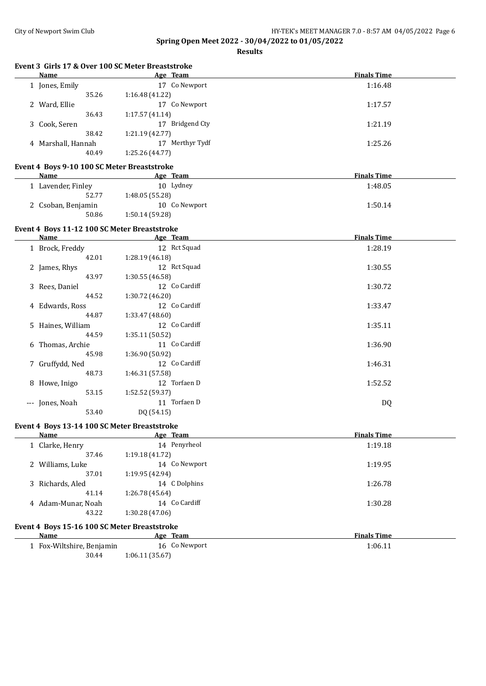**Results**

| Event 3 Girls 17 & Over 100 SC Meter Breaststroke |             |                    |
|---------------------------------------------------|-------------|--------------------|
| Name                                              | Team<br>Age | <b>Finals Time</b> |

| маше                                         | <u>дес ісаш</u>           | гшаю тше           |
|----------------------------------------------|---------------------------|--------------------|
| 1 Jones, Emily                               | 17 Co Newport             | 1:16.48            |
| 35.26                                        | 1:16.48 (41.22)           |                    |
| 2 Ward, Ellie                                | 17 Co Newport             | 1:17.57            |
| 36.43                                        | 1:17.57(41.14)            |                    |
| 3 Cook, Seren                                | 17 Bridgend Cty           | 1:21.19            |
| 38.42                                        | 1:21.19 (42.77)           |                    |
| 4 Marshall, Hannah                           | 17 Merthyr Tydf           | 1:25.26            |
| 40.49                                        | 1:25.26 (44.77)           |                    |
| Event 4 Boys 9-10 100 SC Meter Breaststroke  |                           |                    |
| <b>Name</b>                                  | Age Team                  | <b>Finals Time</b> |
| 1 Lavender, Finley                           | 10 Lydney                 | 1:48.05            |
| 52.77                                        | 1:48.05 (55.28)           |                    |
| 2 Csoban, Benjamin                           | 10 Co Newport             | 1:50.14            |
| 50.86                                        | 1:50.14 (59.28)           |                    |
| Event 4 Boys 11-12 100 SC Meter Breaststroke |                           |                    |
| Name                                         | <b>Example 2</b> Age Team | <b>Finals Time</b> |
| 1 Brock, Freddy                              | 12 Rct Squad              | 1:28.19            |
| 42.01                                        | 1:28.19 (46.18)           |                    |
| 2 James, Rhys                                | 12 Rct Squad              | 1:30.55            |
| 43.97                                        | 1:30.55 (46.58)           |                    |
| 3 Rees, Daniel                               | 12 Co Cardiff             | 1:30.72            |
| 44.52                                        | 1:30.72 (46.20)           |                    |
| 4 Edwards, Ross                              | 12 Co Cardiff             | 1:33.47            |
| 44.87                                        | 1:33.47 (48.60)           |                    |
| 5 Haines, William                            | 12 Co Cardiff             | 1:35.11            |
| 44.59                                        | 1:35.11 (50.52)           |                    |
| 6 Thomas, Archie                             | 11 Co Cardiff             | 1:36.90            |
| 45.98                                        | 1:36.90 (50.92)           |                    |
| 7 Gruffydd, Ned                              | 12 Co Cardiff             | 1:46.31            |
| 48.73                                        | 1:46.31 (57.58)           |                    |
| 8 Howe, Inigo                                | 12 Torfaen D              | 1:52.52            |
| 53.15                                        | 1:52.52 (59.37)           |                    |

#### **Event 4 Boys 13-14 100 SC Meter Breaststroke**

53.40 DQ (54.15)

| Name               | Age Team        | <b>Finals Time</b> |
|--------------------|-----------------|--------------------|
| 1 Clarke, Henry    | 14 Penyrheol    | 1:19.18            |
| 37.46              | 1:19.18(41.72)  |                    |
| 2 Williams, Luke   | 14 Co Newport   | 1:19.95            |
| 37.01              | 1:19.95 (42.94) |                    |
| 3 Richards, Aled   | 14 C Dolphins   | 1:26.78            |
| 41.14              | 1:26.78 (45.64) |                    |
| 4 Adam-Munar, Noah | 14 Co Cardiff   | 1:30.28            |
| 43.22              | 1:30.28(47.06)  |                    |
|                    |                 |                    |

--- Jones, Noah 11 Torfaen D DQ

# **Event 4 Boys 15-16 100 SC Meter Breaststroke**

| <b>Name</b>               | Age Team        | <b>Finals Time</b> |
|---------------------------|-----------------|--------------------|
| . Fox-Wiltshire, Benjamin | 16 Co Newport   | 1:06.11            |
| 30.44                     | 1:06.11 (35.67) |                    |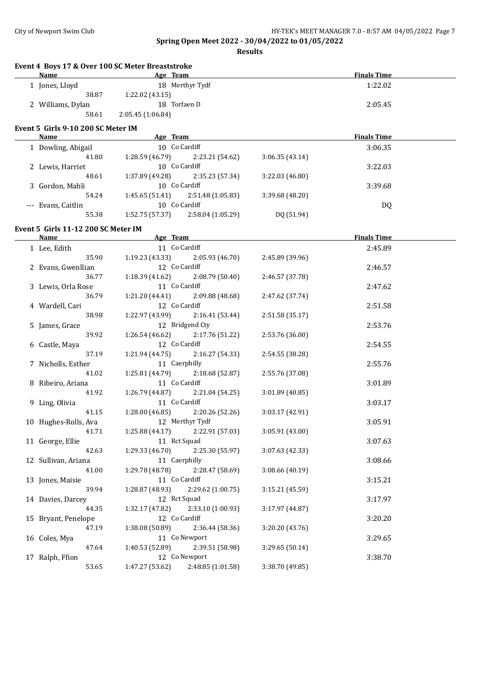| <b>Name</b>                         | Event 4 Boys 17 & Over 100 SC Meter Breaststroke<br><b>Example 2016</b> Age Team |                 | <b>Finals Time</b> |  |
|-------------------------------------|----------------------------------------------------------------------------------|-----------------|--------------------|--|
| 1 Jones, Lloyd                      | 18 Merthyr Tydf                                                                  |                 | 1:22.02            |  |
| 38.87                               | 1:22.02 (43.15)                                                                  |                 |                    |  |
| 2 Williams, Dylan                   | 18 Torfaen D                                                                     |                 | 2:05.45            |  |
| 58.61                               | 2:05.45 (1:06.84)                                                                |                 |                    |  |
|                                     |                                                                                  |                 |                    |  |
| Event 5 Girls 9-10 200 SC Meter IM  |                                                                                  |                 | <b>Finals Time</b> |  |
| Name                                | <b>Example 2</b> Age Team<br>10 Co Cardiff                                       |                 |                    |  |
| 1 Dowling, Abigail                  |                                                                                  |                 | 3:06.35            |  |
| 41.80                               | 1:28.59 (46.79)<br>2:23.21 (54.62)<br>10 Co Cardiff                              | 3:06.35(43.14)  |                    |  |
| 2 Lewis, Harriet                    |                                                                                  | 3:22.03 (46.80) | 3:22.03            |  |
| 48.61                               | 1:37.89 (49.28)<br>2:35.23 (57.34)<br>10 Co Cardiff                              |                 |                    |  |
| 3 Gordon, Mabli<br>54.24            | 1:45.65 (51.41)                                                                  |                 | 3:39.68            |  |
|                                     | 2:51.48 (1:05.83)<br>10 Co Cardiff                                               | 3:39.68 (48.20) |                    |  |
| --- Evans, Caitlin<br>55.38         | $1:52.75(57.37)$ $2:58.04(1:05.29)$                                              | DQ (51.94)      | DQ                 |  |
|                                     |                                                                                  |                 |                    |  |
| Event 5 Girls 11-12 200 SC Meter IM |                                                                                  |                 |                    |  |
| <u>Name</u>                         |                                                                                  |                 | <b>Finals Time</b> |  |
| 1 Lee, Edith                        | 11 Co Cardiff                                                                    |                 | 2:45.89            |  |
| 35.90                               | $1:19.23(43.33)$ $2:05.93(46.70)$                                                | 2:45.89 (39.96) |                    |  |
| 2 Evans, Gwenllian                  | 12 Co Cardiff                                                                    |                 | 2:46.57            |  |
| 36.77                               | $1:18.39(41.62)$ $2:08.79(50.40)$                                                | 2:46.57 (37.78) |                    |  |
| 3 Lewis, Orla Rose                  | 11 Co Cardiff                                                                    |                 | 2:47.62            |  |
| 36.79                               | $1:21.20(44.41)$ $2:09.88(48.68)$                                                | 2:47.62 (37.74) |                    |  |
| 4 Wardell, Cari                     | 12 Co Cardiff                                                                    |                 | 2:51.58            |  |
| 38.98                               | $1:22.97(43.99)$ $2:16.41(53.44)$                                                | 2:51.58 (35.17) |                    |  |
| 5 James, Grace                      | 12 Bridgend Cty                                                                  |                 | 2:53.76            |  |
| 39.92                               | 1:26.54 (46.62)<br>2:17.76 (51.22)                                               | 2:53.76 (36.00) |                    |  |
| 6 Castle, Maya                      | 12 Co Cardiff                                                                    |                 | 2:54.55            |  |
| 37.19                               | 1:21.94 (44.75)<br>2:16.27 (54.33)                                               | 2:54.55 (38.28) |                    |  |
| 7 Nicholls, Esther                  | 11 Caerphilly                                                                    |                 | 2:55.76            |  |
| 41.02                               | 1:25.81 (44.79)<br>2:18.68 (52.87)                                               | 2:55.76 (37.08) |                    |  |
| 8 Ribeiro, Ariana                   | 11 Co Cardiff                                                                    |                 | 3:01.89            |  |
| 41.92                               | 1:26.79 (44.87)<br>2:21.04 (54.25)                                               | 3:01.89 (40.85) |                    |  |
| 9 Ling, Olivia                      | 11 Co Cardiff                                                                    |                 | 3:03.17            |  |
| 41.15                               | 1:28.00 (46.85)<br>2:20.26 (52.26)                                               | 3:03.17 (42.91) |                    |  |
| 10 Hughes-Rolls, Ava                | 12 Merthyr Tydf                                                                  |                 | 3:05.91            |  |
| 41.71                               | 1:25.88 (44.17)<br>2:22.91 (57.03)                                               | 3:05.91 (43.00) |                    |  |
| 11 George, Ellie                    | 11 Rct Squad                                                                     |                 | 3:07.63            |  |
| 42.63                               | 1:29.33 (46.70)<br>2:25.30 (55.97)                                               | 3:07.63 (42.33) |                    |  |
| 12 Sullivan, Ariana                 | 11 Caerphilly                                                                    |                 | 3:08.66            |  |
| 41.00                               | 1:29.78 (48.78)<br>2:28.47 (58.69)<br>11 Co Cardiff                              | 3:08.66 (40.19) |                    |  |
| 13 Jones, Maisie                    |                                                                                  |                 | 3:15.21            |  |
| 39.94                               | 1:28.87 (48.93)<br>2:29.62 (1:00.75)                                             | 3:15.21 (45.59) |                    |  |
| 14 Davies, Darcey<br>44.35          | 12 Rct Squad                                                                     |                 | 3:17.97            |  |
|                                     | 1:32.17 (47.82)<br>2:33.10 (1:00.93)<br>12 Co Cardiff                            | 3:17.97 (44.87) | 3:20.20            |  |
| 15 Bryant, Penelope<br>47.19        | 1:38.08 (50.89)<br>2:36.44 (58.36)                                               | 3:20.20 (43.76) |                    |  |
| 16 Coles, Mya                       | 11 Co Newport                                                                    |                 |                    |  |
| 47.64                               | 1:40.53 (52.89)<br>2:39.51 (58.98)                                               | 3:29.65 (50.14) | 3:29.65            |  |
| 17 Ralph, Ffion                     | 12 Co Newport                                                                    |                 | 3:38.70            |  |
| 53.65                               | 1:47.27 (53.62)<br>2:48.85 (1:01.58)                                             | 3:38.70 (49.85) |                    |  |
|                                     |                                                                                  |                 |                    |  |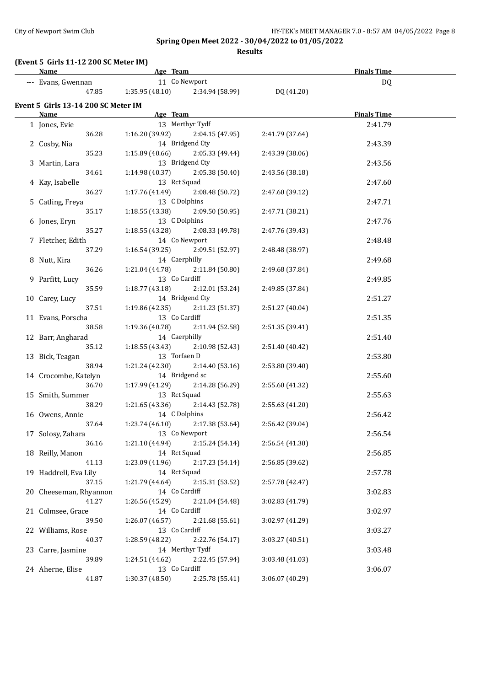**Results**

#### **(Event 5 Girls 11-12 200 SC Meter IM)**

| <b>Name</b>                         | Age Team                          |                                                  |                 | <b>Finals Time</b> |  |
|-------------------------------------|-----------------------------------|--------------------------------------------------|-----------------|--------------------|--|
| --- Evans, Gwennan                  | 11 Co Newport                     |                                                  |                 | DQ                 |  |
|                                     |                                   | 47.85 1:35.95 (48.10) 2:34.94 (58.99) DQ (41.20) |                 |                    |  |
|                                     |                                   |                                                  |                 |                    |  |
| Event 5 Girls 13-14 200 SC Meter IM |                                   |                                                  |                 |                    |  |
| Name                                | Age Team                          |                                                  |                 | <b>Finals Time</b> |  |
| 1 Jones, Evie                       |                                   | 13 Merthyr Tydf                                  |                 | 2:41.79            |  |
| 36.28                               |                                   | $1:16.20(39.92)$ $2:04.15(47.95)$                | 2:41.79 (37.64) |                    |  |
| 2 Cosby, Nia                        |                                   | 14 Bridgend Cty                                  |                 | 2:43.39            |  |
| 35.23                               |                                   | $1:15.89(40.66)$ $2:05.33(49.44)$                | 2:43.39 (38.06) |                    |  |
| 3 Martin, Lara                      |                                   | 13 Bridgend Cty                                  |                 | 2:43.56            |  |
| 34.61                               | $1:14.98(40.37)$ $2:05.38(50.40)$ |                                                  | 2:43.56 (38.18) |                    |  |
| 4 Kay, Isabelle                     | 13 Rct Squad                      |                                                  |                 | 2:47.60            |  |
| 36.27                               | $1:17.76(41.49)$ $2:08.48(50.72)$ |                                                  | 2:47.60 (39.12) |                    |  |
| 5 Catling, Freya                    | 13 C Dolphins                     |                                                  |                 | 2:47.71            |  |
| 35.17                               | $1:18.55(43.38)$ $2:09.50(50.95)$ |                                                  | 2:47.71 (38.21) |                    |  |
| 6 Jones, Eryn                       | 13 C Dolphins                     |                                                  |                 | 2:47.76            |  |
| 35.27                               | 1:18.55 (43.28) 2:08.33 (49.78)   |                                                  | 2:47.76 (39.43) |                    |  |
| 7 Fletcher, Edith                   | 14 Co Newport                     |                                                  |                 | 2:48.48            |  |
| 37.29                               | 1:16.54(39.25)                    | 2:09.51 (52.97)                                  | 2:48.48 (38.97) |                    |  |
| 8 Nutt, Kira                        | 14 Caerphilly                     |                                                  |                 | 2:49.68            |  |
| 36.26                               | 1:21.04 (44.78)                   | 2:11.84 (50.80)                                  | 2:49.68 (37.84) |                    |  |
| 9 Parfitt, Lucy                     | 13 Co Cardiff                     |                                                  |                 | 2:49.85            |  |
| 35.59                               | 1:18.77 (43.18)                   | 2:12.01 (53.24)                                  | 2:49.85 (37.84) |                    |  |
| 10 Carey, Lucy                      |                                   | 14 Bridgend Cty                                  |                 | 2:51.27            |  |
| 37.51                               | 1:19.86 (42.35)                   | 2:11.23 (51.37)                                  | 2:51.27 (40.04) |                    |  |
| 11 Evans, Porscha                   | 13 Co Cardiff                     |                                                  |                 | 2:51.35            |  |
| 38.58                               | 1:19.36 (40.78)                   | 2:11.94 (52.58)                                  | 2:51.35 (39.41) |                    |  |
| 12 Barr, Angharad                   | 14 Caerphilly                     |                                                  |                 | 2:51.40            |  |
| 35.12                               | 1:18.55 (43.43)                   | 2:10.98 (52.43)                                  | 2:51.40 (40.42) |                    |  |
| 13 Bick, Teagan                     | 13 Torfaen D                      |                                                  |                 | 2:53.80            |  |
| 38.94                               | 1:21.24 (42.30)                   | 2:14.40(53.16)                                   | 2:53.80 (39.40) |                    |  |
| 14 Crocombe, Katelyn                | 14 Bridgend sc                    |                                                  |                 | 2:55.60            |  |
| 36.70                               | 1:17.99 (41.29)                   | 2:14.28 (56.29)                                  | 2:55.60 (41.32) |                    |  |
| 15 Smith, Summer                    | 13 Rct Squad                      |                                                  |                 | 2:55.63            |  |
| 38.29                               | 1:21.65(43.36)                    | 2:14.43 (52.78)                                  | 2:55.63 (41.20) |                    |  |
| 16 Owens, Annie                     | 14 C Dolphins                     |                                                  |                 | 2:56.42            |  |
| 37.64                               |                                   | $1:23.74(46.10)$ $2:17.38(53.64)$                | 2:56.42 (39.04) |                    |  |
| 17 Solosy, Zahara                   |                                   | 13 Co Newport                                    |                 | 2:56.54            |  |
| 36.16                               | 1:21.10(44.94)                    | 2:15.24(54.14)                                   | 2:56.54 (41.30) |                    |  |
| 18 Reilly, Manon                    | 14 Rct Squad                      |                                                  |                 | 2:56.85            |  |
| 41.13                               | 1:23.09 (41.96)                   | 2:17.23 (54.14)                                  | 2:56.85 (39.62) |                    |  |
| 19 Haddrell, Eva Lily               | 14 Rct Squad                      |                                                  |                 | 2:57.78            |  |
| 37.15                               | 1:21.79(44.64)                    | 2:15.31 (53.52)                                  | 2:57.78 (42.47) |                    |  |
| 20 Cheeseman, Rhyannon              | 14 Co Cardiff                     |                                                  |                 | 3:02.83            |  |
| 41.27                               | 1:26.56 (45.29)                   | 2:21.04 (54.48)                                  | 3:02.83 (41.79) |                    |  |
| 21 Colmsee, Grace                   | 14 Co Cardiff                     |                                                  |                 | 3:02.97            |  |
| 39.50                               | 1:26.07(46.57)                    | 2:21.68 (55.61)                                  | 3:02.97 (41.29) |                    |  |
| 22 Williams, Rose                   | 13 Co Cardiff                     |                                                  |                 | 3:03.27            |  |
| 40.37                               | 1:28.59 (48.22)                   | 2:22.76 (54.17)                                  | 3:03.27 (40.51) |                    |  |
| 23 Carre, Jasmine                   |                                   | 14 Merthyr Tydf                                  |                 | 3:03.48            |  |
| 39.89                               | 1:24.51 (44.62)                   | 2:22.45 (57.94)                                  | 3:03.48 (41.03) |                    |  |
| 24 Aherne, Elise                    | 13 Co Cardiff                     |                                                  |                 | 3:06.07            |  |
| 41.87                               | 1:30.37 (48.50)                   | 2:25.78 (55.41)                                  | 3:06.07 (40.29) |                    |  |
|                                     |                                   |                                                  |                 |                    |  |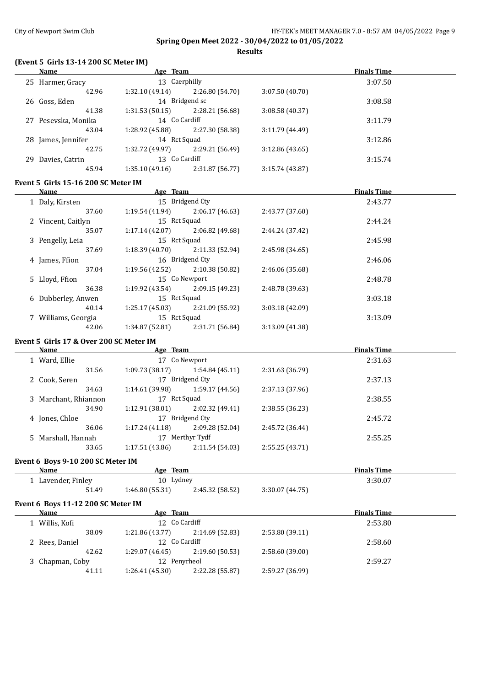## **Results**

## **(Event 5 Girls 13-14 200 SC Meter IM)**

| Name                                                 | <b>Example 2</b> Age Team         |                 |                                                                                           | <b>Finals Time</b> |
|------------------------------------------------------|-----------------------------------|-----------------|-------------------------------------------------------------------------------------------|--------------------|
| 25 Harmer, Gracy                                     | 13 Caerphilly                     |                 |                                                                                           | 3:07.50            |
| 42.96                                                | $1:32.10(49.14)$ $2:26.80(54.70)$ |                 | 3:07.50 (40.70)                                                                           |                    |
| 26 Goss, Eden                                        | 14 Bridgend sc                    |                 |                                                                                           | 3:08.58            |
| 41.38                                                | $1:31.53(50.15)$ $2:28.21(56.68)$ |                 | 3:08.58 (40.37)                                                                           |                    |
| 27 Pesevska, Monika                                  | 14 Co Cardiff                     |                 |                                                                                           | 3:11.79            |
| 43.04                                                | 1:28.92 (45.88) 2:27.30 (58.38)   |                 | 3:11.79(44.49)                                                                            |                    |
| 28 James, Jennifer                                   | 14 Rct Squad                      |                 |                                                                                           | 3:12.86            |
| 42.75                                                | $1:32.72(49.97)$ $2:29.21(56.49)$ |                 | 3:12.86(43.65)                                                                            |                    |
|                                                      | 13 Co Cardiff                     |                 |                                                                                           |                    |
| 29 Davies, Catrin                                    |                                   |                 |                                                                                           | 3:15.74            |
| 45.94                                                | $1:35.10(49.16)$ $2:31.87(56.77)$ |                 | 3:15.74 (43.87)                                                                           |                    |
| Event 5 Girls 15-16 200 SC Meter IM                  |                                   |                 |                                                                                           |                    |
| Name                                                 | <b>Example 2018 Age Team</b>      |                 |                                                                                           | <b>Finals Time</b> |
| 1 Daly, Kirsten                                      | 15 Bridgend Cty                   |                 |                                                                                           | 2:43.77            |
| 37.60                                                | $1:19.54(41.94)$ $2:06.17(46.63)$ |                 | 2:43.77 (37.60)                                                                           |                    |
| 2 Vincent, Caitlyn                                   | 15 Rct Squad                      |                 |                                                                                           | 2:44.24            |
| 35.07                                                | $1:17.14(42.07)$ $2:06.82(49.68)$ |                 | 2:44.24 (37.42)                                                                           |                    |
| 3 Pengelly, Leia                                     | 15 Rct Squad                      |                 |                                                                                           | 2:45.98            |
| 37.69                                                | 1:18.39(40.70)                    | 2:11.33 (52.94) | 2:45.98 (34.65)                                                                           |                    |
|                                                      |                                   |                 |                                                                                           |                    |
| 4 James, Ffion                                       | 16 Bridgend Cty                   |                 |                                                                                           | 2:46.06            |
| 37.04                                                | $1:19.56(42.52)$ $2:10.38(50.82)$ |                 | 2:46.06 (35.68)                                                                           |                    |
| 5 Lloyd, Ffion                                       | 15 Co Newport                     |                 |                                                                                           | 2:48.78            |
| 36.38                                                | $1:19.92(43.54)$ $2:09.15(49.23)$ |                 | 2:48.78 (39.63)                                                                           |                    |
| 6 Dubberley, Anwen                                   | 15 Rct Squad                      |                 |                                                                                           | 3:03.18            |
| 40.14                                                | $1:25.17(45.03)$ $2:21.09(55.92)$ |                 | 3:03.18(42.09)                                                                            |                    |
| 7 Williams, Georgia                                  | 15 Rct Squad                      |                 |                                                                                           | 3:13.09            |
| 42.06                                                | $1:34.87(52.81)$ $2:31.71(56.84)$ |                 | 3:13.09 (41.38)                                                                           |                    |
|                                                      |                                   |                 |                                                                                           |                    |
| Event 5 Girls 17 & Over 200 SC Meter IM              |                                   |                 |                                                                                           |                    |
| <b>Name</b>                                          | Age Team                          |                 | the control of the control of the control of the control of the control of the control of | <b>Finals Time</b> |
| 1 Ward, Ellie                                        | 17 Co Newport                     |                 |                                                                                           | 2:31.63            |
| 31.56                                                | $1:09.73(38.17)$ $1:54.84(45.11)$ |                 | 2:31.63 (36.79)                                                                           |                    |
| 2 Cook, Seren                                        | 17 Bridgend Cty                   |                 |                                                                                           | 2:37.13            |
| 34.63                                                | 1:14.61(39.98)                    | 1:59.17 (44.56) | 2:37.13(37.96)                                                                            |                    |
| 3 Marchant, Rhiannon                                 | 17 Rct Squad                      |                 |                                                                                           | 2:38.55            |
| 34.90                                                | 1:12.91(38.01)                    | 2:02.32 (49.41) | 2:38.55(36.23)                                                                            |                    |
| 4 Jones, Chloe                                       | 17 Bridgend Cty                   |                 |                                                                                           | 2:45.72            |
| 36.06                                                | $1:17.24(41.18)$ $2:09.28(52.04)$ |                 | 2:45.72 (36.44)                                                                           |                    |
| 5 Marshall, Hannah                                   | 17 Merthyr Tydf                   |                 |                                                                                           | 2:55.25            |
| 33.65                                                | 1:17.51(43.86)                    | 2:11.54(54.03)  | 2:55.25 (43.71)                                                                           |                    |
|                                                      |                                   |                 |                                                                                           |                    |
| Event 6 Boys 9-10 200 SC Meter IM                    |                                   |                 |                                                                                           |                    |
| Name<br>the control of the control of the control of | Age Team                          |                 |                                                                                           | <b>Finals Time</b> |
| 1 Lavender, Finley                                   | 10 Lydney                         |                 |                                                                                           | 3:30.07            |
| 51.49                                                | 1:46.80 (55.31)                   | 2:45.32 (58.52) | 3:30.07 (44.75)                                                                           |                    |
|                                                      |                                   |                 |                                                                                           |                    |
| Event 6 Boys 11-12 200 SC Meter IM<br><b>Name</b>    | Age Team                          |                 |                                                                                           | <b>Finals Time</b> |
|                                                      |                                   |                 |                                                                                           |                    |
| 1 Willis, Kofi                                       | 12 Co Cardiff                     |                 |                                                                                           | 2:53.80            |
| 38.09                                                | 1:21.86(43.77)                    | 2:14.69 (52.83) | 2:53.80 (39.11)                                                                           |                    |
| 2 Rees, Daniel                                       | 12 Co Cardiff                     |                 |                                                                                           | 2:58.60            |
| 42.62                                                | 1:29.07 (46.45)                   | 2:19.60 (50.53) | 2:58.60 (39.00)                                                                           |                    |
| 3 Chapman, Coby                                      | 12 Penyrheol                      |                 |                                                                                           | 2:59.27            |
|                                                      |                                   |                 |                                                                                           |                    |

41.11 1:26.41 (45.30) 2:22.28 (55.87) 2:59.27 (36.99)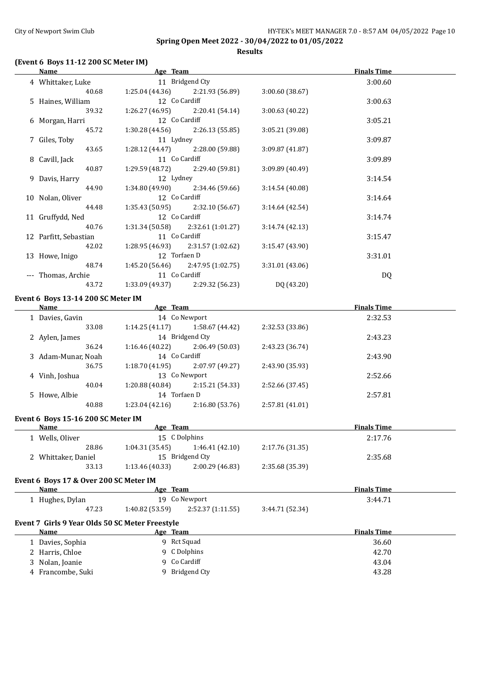**Results**

## **(Event 6 Boys 11-12 200 SC Meter IM)**

|   | <b>Name</b>                                                                                                                                                                                                                    | <u>Age Team and the second service and the service of the service service and the service of the service of the s</u> |                 | <b>Finals Time</b> |
|---|--------------------------------------------------------------------------------------------------------------------------------------------------------------------------------------------------------------------------------|-----------------------------------------------------------------------------------------------------------------------|-----------------|--------------------|
|   | 4 Whittaker, Luke                                                                                                                                                                                                              | 11 Bridgend Cty                                                                                                       |                 | 3:00.60            |
|   | 40.68                                                                                                                                                                                                                          | $1:25.04(44.36)$ $2:21.93(56.89)$                                                                                     | 3:00.60 (38.67) |                    |
|   | 5 Haines, William                                                                                                                                                                                                              | 12 Co Cardiff                                                                                                         |                 | 3:00.63            |
|   | 39.32                                                                                                                                                                                                                          | $1:26.27(46.95)$ $2:20.41(54.14)$                                                                                     | 3:00.63 (40.22) |                    |
|   | 6 Morgan, Harri                                                                                                                                                                                                                | 12 Co Cardiff                                                                                                         |                 | 3:05.21            |
|   | 45.72                                                                                                                                                                                                                          | 1:30.28 (44.56)<br>2:26.13 (55.85)                                                                                    | 3:05.21 (39.08) |                    |
|   | 7 Giles, Toby                                                                                                                                                                                                                  | 11 Lydney                                                                                                             |                 | 3:09.87            |
|   | 43.65                                                                                                                                                                                                                          | 1:28.12 (44.47)<br>2:28.00 (59.88)                                                                                    | 3:09.87 (41.87) |                    |
|   | 8 Cavill, Jack                                                                                                                                                                                                                 | 11 Co Cardiff                                                                                                         |                 | 3:09.89            |
|   | 40.87                                                                                                                                                                                                                          | 1:29.59 (48.72)<br>2:29.40 (59.81)                                                                                    | 3:09.89 (40.49) |                    |
|   | 9 Davis, Harry                                                                                                                                                                                                                 | 12 Lydney                                                                                                             |                 | 3:14.54            |
|   | 44.90                                                                                                                                                                                                                          | 1:34.80 (49.90)<br>2:34.46 (59.66)                                                                                    | 3:14.54 (40.08) |                    |
|   | 10 Nolan, Oliver                                                                                                                                                                                                               | 12 Co Cardiff                                                                                                         |                 | 3:14.64            |
|   | 44.48                                                                                                                                                                                                                          | 1:35.43 (50.95)<br>2:32.10 (56.67)                                                                                    | 3:14.64 (42.54) |                    |
|   | 11 Gruffydd, Ned                                                                                                                                                                                                               | 12 Co Cardiff                                                                                                         |                 | 3:14.74            |
|   | 40.76                                                                                                                                                                                                                          | 1:31.34 (50.58)<br>2:32.61 (1:01.27)                                                                                  | 3:14.74 (42.13) |                    |
|   | 12 Parfitt, Sebastian                                                                                                                                                                                                          | 11 Co Cardiff                                                                                                         |                 | 3:15.47            |
|   | 42.02                                                                                                                                                                                                                          | 1:28.95 (46.93)<br>2:31.57 (1:02.62)                                                                                  | 3:15.47 (43.90) |                    |
|   | 13 Howe, Inigo                                                                                                                                                                                                                 | 12 Torfaen D                                                                                                          |                 | 3:31.01            |
|   | 48.74                                                                                                                                                                                                                          | 1:45.20 (56.46)<br>2:47.95 (1:02.75)                                                                                  | 3:31.01 (43.06) |                    |
|   | --- Thomas, Archie                                                                                                                                                                                                             | 11 Co Cardiff                                                                                                         |                 | <b>DQ</b>          |
|   | 43.72                                                                                                                                                                                                                          | $1:33.09(49.37)$ $2:29.32(56.23)$                                                                                     | DQ (43.20)      |                    |
|   | Event 6 Boys 13-14 200 SC Meter IM                                                                                                                                                                                             |                                                                                                                       |                 |                    |
|   | Name                                                                                                                                                                                                                           | <b>Example 2016</b> Age Team                                                                                          |                 | <b>Finals Time</b> |
|   | 1 Davies, Gavin                                                                                                                                                                                                                | 14 Co Newport                                                                                                         |                 | 2:32.53            |
|   | 33.08                                                                                                                                                                                                                          | $1:14.25(41.17)$ $1:58.67(44.42)$                                                                                     | 2:32.53 (33.86) |                    |
|   | 2 Aylen, James                                                                                                                                                                                                                 | 14 Bridgend Cty                                                                                                       |                 | 2:43.23            |
|   | 36.24                                                                                                                                                                                                                          | $1:16.46(40.22)$ $2:06.49(50.03)$                                                                                     | 2:43.23 (36.74) |                    |
|   | 3 Adam-Munar, Noah                                                                                                                                                                                                             | 14 Co Cardiff                                                                                                         |                 | 2:43.90            |
|   | 36.75                                                                                                                                                                                                                          | $1:18.70(41.95)$ $2:07.97(49.27)$                                                                                     | 2:43.90 (35.93) |                    |
|   | 4 Vinh, Joshua                                                                                                                                                                                                                 | 13 Co Newport                                                                                                         |                 | 2:52.66            |
|   | 40.04                                                                                                                                                                                                                          | $1:20.88(40.84)$ $2:15.21(54.33)$                                                                                     | 2:52.66 (37.45) |                    |
|   | 5 Howe, Albie                                                                                                                                                                                                                  | 14 Torfaen D                                                                                                          |                 | 2:57.81            |
|   | 40.88                                                                                                                                                                                                                          | $1:23.04(42.16)$ $2:16.80(53.76)$                                                                                     | 2:57.81 (41.01) |                    |
|   | Event 6 Boys 15-16 200 SC Meter IM                                                                                                                                                                                             |                                                                                                                       |                 |                    |
|   | Name and the second state of the second state of the second state of the second state of the second state of the second state of the second state of the second state of the second state of the second state of the second st | Age Team                                                                                                              |                 | <b>Finals Time</b> |
|   | 1 Wells, Oliver                                                                                                                                                                                                                | 15 C Dolphins                                                                                                         |                 | 2:17.76            |
|   | 28.86                                                                                                                                                                                                                          | 1:04.31(35.45)<br>1:46.41 (42.10)                                                                                     | 2:17.76 (31.35) |                    |
|   | 2 Whittaker, Daniel                                                                                                                                                                                                            | 15 Bridgend Cty                                                                                                       |                 | 2:35.68            |
|   | 33.13                                                                                                                                                                                                                          | 1:13.46 (40.33)<br>2:00.29 (46.83)                                                                                    | 2:35.68 (35.39) |                    |
|   |                                                                                                                                                                                                                                |                                                                                                                       |                 |                    |
|   | Event 6 Boys 17 & Over 200 SC Meter IM                                                                                                                                                                                         |                                                                                                                       |                 |                    |
|   | Name                                                                                                                                                                                                                           | Age Team                                                                                                              |                 | <b>Finals Time</b> |
|   | 1 Hughes, Dylan                                                                                                                                                                                                                | 19 Co Newport                                                                                                         |                 | 3:44.71            |
|   | 47.23                                                                                                                                                                                                                          | 1:40.82 (53.59)<br>2:52.37 (1:11.55)                                                                                  | 3:44.71 (52.34) |                    |
|   | Event 7 Girls 9 Year Olds 50 SC Meter Freestyle                                                                                                                                                                                |                                                                                                                       |                 |                    |
|   | <b>Name</b>                                                                                                                                                                                                                    | Age Team                                                                                                              |                 | <b>Finals Time</b> |
|   |                                                                                                                                                                                                                                |                                                                                                                       |                 | 36.60              |
|   | 1 Davies, Sophia                                                                                                                                                                                                               | 9 Rct Squad                                                                                                           |                 |                    |
|   | 2 Harris, Chloe                                                                                                                                                                                                                | 9 C Dolphins                                                                                                          |                 | 42.70              |
| 3 | Nolan, Joanie                                                                                                                                                                                                                  | 9 Co Cardiff                                                                                                          |                 | 43.04              |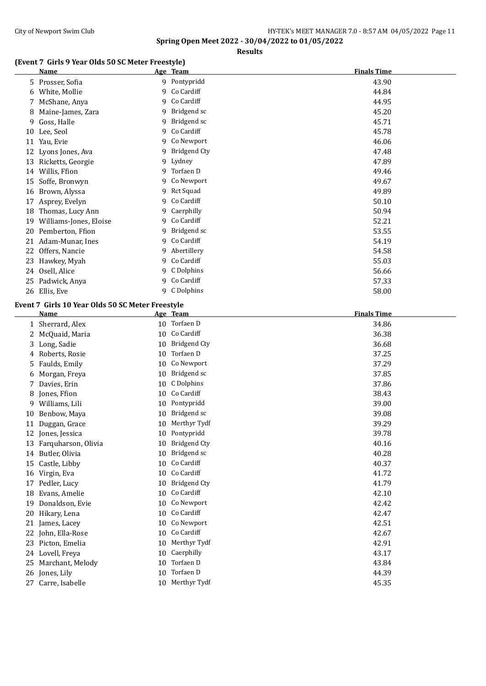## **Results**

## **(Event 7 Girls 9 Year Olds 50 SC Meter Freestyle)**

|    | Name                   |   | Age Team            | <b>Finals Time</b> |
|----|------------------------|---|---------------------|--------------------|
| 5  | Prosser, Sofia         | 9 | Pontypridd          | 43.90              |
|    | 6 White, Mollie        |   | 9 Co Cardiff        | 44.84              |
|    | 7 McShane, Anya        | 9 | Co Cardiff          | 44.95              |
| 8  | Maine-James, Zara      | 9 | Bridgend sc         | 45.20              |
| 9  | Goss, Halle            | 9 | Bridgend sc         | 45.71              |
| 10 | Lee, Seol              | 9 | Co Cardiff          | 45.78              |
| 11 | Yau, Evie              | 9 | Co Newport          | 46.06              |
|    | 12 Lyons Jones, Ava    | 9 | <b>Bridgend Cty</b> | 47.48              |
| 13 | Ricketts, Georgie      |   | 9 Lydney            | 47.89              |
| 14 | Willis, Ffion          | 9 | Torfaen D           | 49.46              |
| 15 | Soffe, Bronwyn         | 9 | Co Newport          | 49.67              |
| 16 | Brown, Alyssa          | 9 | Rct Squad           | 49.89              |
| 17 | Asprey, Evelyn         |   | 9 Co Cardiff        | 50.10              |
| 18 | Thomas, Lucy Ann       | 9 | Caerphilly          | 50.94              |
| 19 | Williams-Jones, Eloise | 9 | Co Cardiff          | 52.21              |
| 20 | Pemberton, Ffion       | 9 | Bridgend sc         | 53.55              |
| 21 | Adam-Munar, Ines       | 9 | Co Cardiff          | 54.19              |
| 22 | Offers, Nancie         | 9 | Abertillery         | 54.58              |
| 23 | Hawkey, Myah           | 9 | Co Cardiff          | 55.03              |
| 24 | Osell, Alice           | 9 | C Dolphins          | 56.66              |
| 25 | Padwick, Anya          | 9 | Co Cardiff          | 57.33              |
|    | 26 Ellis, Eve          |   | 9 C Dolphins        | 58.00              |

## **Event 7 Girls 10 Year Olds 50 SC Meter Freestyle**

|    | Name                |    | Age Team            | <b>Finals Time</b> |
|----|---------------------|----|---------------------|--------------------|
| 1  | Sherrard, Alex      | 10 | Torfaen D           | 34.86              |
| 2  | McQuaid, Maria      | 10 | Co Cardiff          | 36.38              |
| 3  | Long, Sadie         | 10 | <b>Bridgend Cty</b> | 36.68              |
| 4  | Roberts, Rosie      | 10 | Torfaen D           | 37.25              |
| 5  | Faulds, Emily       | 10 | Co Newport          | 37.29              |
| 6  | Morgan, Freya       | 10 | Bridgend sc         | 37.85              |
| 7  | Davies, Erin        | 10 | C Dolphins          | 37.86              |
| 8  | Jones, Ffion        | 10 | Co Cardiff          | 38.43              |
| 9  | Williams, Lili      | 10 | Pontypridd          | 39.00              |
| 10 | Benbow, Maya        | 10 | Bridgend sc         | 39.08              |
| 11 | Duggan, Grace       | 10 | Merthyr Tydf        | 39.29              |
| 12 | Jones, Jessica      | 10 | Pontypridd          | 39.78              |
| 13 | Farquharson, Olivia | 10 | <b>Bridgend Cty</b> | 40.16              |
| 14 | Butler, Olivia      | 10 | Bridgend sc         | 40.28              |
| 15 | Castle, Libby       | 10 | Co Cardiff          | 40.37              |
| 16 | Virgin, Eva         | 10 | Co Cardiff          | 41.72              |
| 17 | Pedler, Lucy        | 10 | <b>Bridgend Cty</b> | 41.79              |
| 18 | Evans, Amelie       | 10 | Co Cardiff          | 42.10              |
| 19 | Donaldson, Evie     | 10 | Co Newport          | 42.42              |
| 20 | Hikary, Lena        | 10 | Co Cardiff          | 42.47              |
| 21 | James, Lacey        | 10 | Co Newport          | 42.51              |
| 22 | John, Ella-Rose     | 10 | Co Cardiff          | 42.67              |
| 23 | Picton, Emelia      | 10 | Merthyr Tydf        | 42.91              |
| 24 | Lovell, Freya       | 10 | Caerphilly          | 43.17              |
| 25 | Marchant, Melody    | 10 | Torfaen D           | 43.84              |
|    | 26 Jones, Lily      | 10 | Torfaen D           | 44.39              |
| 27 | Carre, Isabelle     | 10 | Merthyr Tydf        | 45.35              |
|    |                     |    |                     |                    |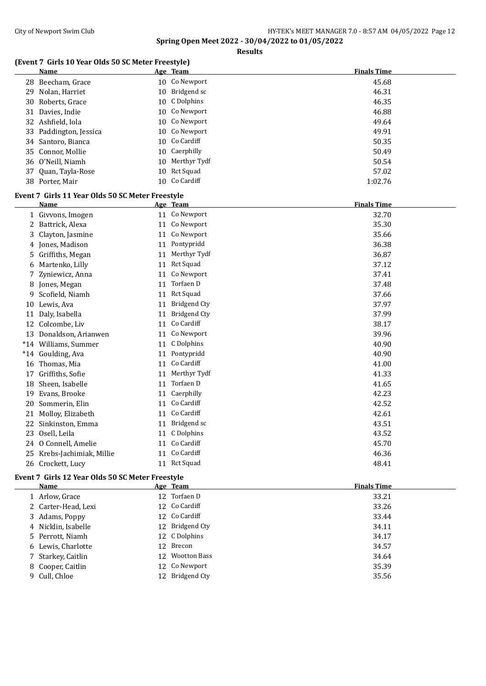**Results**

## **(Event 7 Girls 10 Year Olds 50 SC Meter Freestyle)**

| Name                   | Age Team        | <b>Finals Time</b> |
|------------------------|-----------------|--------------------|
| 28 Beecham, Grace      | 10 Co Newport   | 45.68              |
| 29 Nolan, Harriet      | 10 Bridgend sc  | 46.31              |
| 30 Roberts, Grace      | 10 C Dolphins   | 46.35              |
| 31 Davies, Indie       | 10 Co Newport   | 46.88              |
| 32 Ashfield, Iola      | 10 Co Newport   | 49.64              |
| 33 Paddington, Jessica | 10 Co Newport   | 49.91              |
| 34 Santoro, Bianca     | 10 Co Cardiff   | 50.35              |
| 35 Connor, Mollie      | 10 Caerphilly   | 50.49              |
| 36 O'Neill, Niamh      | 10 Merthyr Tydf | 50.54              |
| 37 Quan, Tayla-Rose    | 10 Rct Squad    | 57.02              |
| 38 Porter, Mair        | 10 Co Cardiff   | 1:02.76            |

#### **Event 7 Girls 11 Year Olds 50 SC Meter Freestyle**

|       | <b>Name</b>             |    | Age Team            | <b>Finals Time</b> |
|-------|-------------------------|----|---------------------|--------------------|
|       | Givvons, Imogen         | 11 | Co Newport          | 32.70              |
|       | 2 Battrick, Alexa       | 11 | Co Newport          | 35.30              |
| 3.    | Clayton, Jasmine        | 11 | Co Newport          | 35.66              |
| 4     | Jones, Madison          | 11 | Pontypridd          | 36.38              |
| 5     | Griffiths, Megan        | 11 | Merthyr Tydf        | 36.87              |
| 6     | Martenko, Lilly         | 11 | Rct Squad           | 37.12              |
| 7     | Zyniewicz, Anna         | 11 | Co Newport          | 37.41              |
| 8     | Jones, Megan            | 11 | Torfaen D           | 37.48              |
| 9     | Scofield, Niamh         | 11 | <b>Rct Squad</b>    | 37.66              |
| 10    | Lewis, Ava              | 11 | <b>Bridgend Cty</b> | 37.97              |
| 11    | Daly, Isabella          | 11 | <b>Bridgend Cty</b> | 37.99              |
| 12    | Colcombe, Liv           | 11 | Co Cardiff          | 38.17              |
| 13    | Donaldson, Arianwen     | 11 | Co Newport          | 39.96              |
| $*14$ | Williams, Summer        | 11 | C Dolphins          | 40.90              |
| $*14$ | Goulding, Ava           | 11 | Pontypridd          | 40.90              |
| 16    | Thomas, Mia             | 11 | Co Cardiff          | 41.00              |
| 17    | Griffiths, Sofie        | 11 | Merthyr Tydf        | 41.33              |
| 18    | Sheen, Isabelle         | 11 | Torfaen D           | 41.65              |
| 19    | Evans, Brooke           | 11 | Caerphilly          | 42.23              |
| 20    | Sommerin, Elin          | 11 | Co Cardiff          | 42.52              |
| 21    | Molloy, Elizabeth       | 11 | Co Cardiff          | 42.61              |
| 22    | Sinkinston, Emma        | 11 | Bridgend sc         | 43.51              |
| 23    | Osell, Leila            | 11 | C Dolphins          | 43.52              |
| 24    | O Connell, Amelie       | 11 | Co Cardiff          | 45.70              |
| 25    | Krebs-Jachimiak, Millie | 11 | Co Cardiff          | 46.36              |
| 26    | Crockett, Lucy          |    | 11 Rct Squad        | 48.41              |

## **Event 7 Girls 12 Year Olds 50 SC Meter Freestyle**

| Name                | Age Team        | <b>Finals Time</b> |
|---------------------|-----------------|--------------------|
| 1 Arlow, Grace      | 12 Torfaen D    | 33.21              |
| 2 Carter-Head, Lexi | 12 Co Cardiff   | 33.26              |
| 3 Adams, Poppy      | 12 Co Cardiff   | 33.44              |
| 4 Nicklin, Isabelle | 12 Bridgend Cty | 34.11              |
| 5 Perrott, Niamh    | 12 C Dolphins   | 34.17              |
| 6 Lewis, Charlotte  | 12 Brecon       | 34.57              |
| 7 Starkey, Caitlin  | 12 Wootton Bass | 34.64              |
| 8 Cooper, Caitlin   | 12 Co Newport   | 35.39              |
| 9 Cull, Chloe       | 12 Bridgend Cty | 35.56              |
|                     |                 |                    |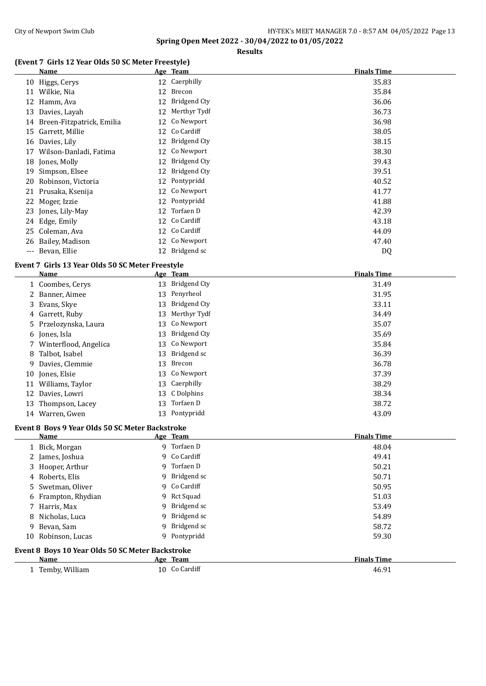**Results**

#### **(Event 7 Girls 12 Year Olds 50 SC Meter Freestyle)**

|       | Name                         |    | Age Team            | <b>Finals Time</b> |
|-------|------------------------------|----|---------------------|--------------------|
|       | 10 Higgs, Cerys              |    | 12 Caerphilly       | 35.83              |
|       | 11 Wilkie, Nia               | 12 | Brecon              | 35.84              |
| 12    | Hamm, Ava                    | 12 | <b>Bridgend Cty</b> | 36.06              |
|       | 13 Davies, Layah             | 12 | Merthyr Tydf        | 36.73              |
|       | 14 Breen-Fitzpatrick, Emilia | 12 | Co Newport          | 36.98              |
|       | 15 Garrett, Millie           | 12 | Co Cardiff          | 38.05              |
| 16    | Davies, Lily                 | 12 | <b>Bridgend Cty</b> | 38.15              |
| 17    | Wilson-Danladi, Fatima       | 12 | Co Newport          | 38.30              |
|       | 18 Jones, Molly              | 12 | <b>Bridgend Cty</b> | 39.43              |
| 19    | Simpson, Elsee               | 12 | <b>Bridgend Cty</b> | 39.51              |
|       | 20 Robinson, Victoria        | 12 | Pontypridd          | 40.52              |
|       | 21 Prusaka, Ksenija          | 12 | Co Newport          | 41.77              |
|       | 22 Moger, Izzie              |    | 12 Pontypridd       | 41.88              |
|       | 23 Jones, Lily-May           | 12 | Torfaen D           | 42.39              |
|       | 24 Edge, Emily               |    | 12 Co Cardiff       | 43.18              |
|       | 25 Coleman, Ava              |    | 12 Co Cardiff       | 44.09              |
|       | 26 Bailey, Madison           |    | 12 Co Newport       | 47.40              |
| $---$ | Bevan, Ellie                 | 12 | Bridgend sc         | DQ                 |

#### **Event 7 Girls 13 Year Olds 50 SC Meter Freestyle**

|   | Name                    |    | Age Team            | <b>Finals Time</b> |
|---|-------------------------|----|---------------------|--------------------|
|   | 1 Coombes, Cerys        |    | 13 Bridgend Cty     | 31.49              |
|   | 2 Banner, Aimee         | 13 | Penyrheol           | 31.95              |
|   | 3 Evans, Skye           | 13 | <b>Bridgend Cty</b> | 33.11              |
|   | 4 Garrett, Ruby         | 13 | Merthyr Tydf        | 34.49              |
|   | 5 Przelozynska, Laura   |    | 13 Co Newport       | 35.07              |
|   | 6 Jones, Isla           | 13 | Bridgend Cty        | 35.69              |
|   | 7 Winterflood, Angelica |    | 13 Co Newport       | 35.84              |
|   | 8 Talbot, Isabel        | 13 | Bridgend sc         | 36.39              |
| 9 | Davies, Clemmie         | 13 | Brecon              | 36.78              |
|   | 10 Jones, Elsie         |    | 13 Co Newport       | 37.39              |
|   | 11 Williams, Taylor     |    | 13 Caerphilly       | 38.29              |
|   | 12 Davies, Lowri        |    | 13 C Dolphins       | 38.34              |
|   | 13 Thompson, Lacey      | 13 | Torfaen D           | 38.72              |
|   | 14 Warren, Gwen         |    | 13 Pontypridd       | 43.09              |

#### **Event 8 Boys 9 Year Olds 50 SC Meter Backstroke**

|                                                  | Name                |  | Age Team      | <b>Finals Time</b> |
|--------------------------------------------------|---------------------|--|---------------|--------------------|
|                                                  | 1 Bick, Morgan      |  | 9 Torfaen D   | 48.04              |
|                                                  | 2 James, Joshua     |  | 9 Co Cardiff  | 49.41              |
|                                                  | 3 Hooper, Arthur    |  | 9 Torfaen D   | 50.21              |
|                                                  | 4 Roberts, Elis     |  | 9 Bridgend sc | 50.71              |
|                                                  | 5 Swetman, Oliver   |  | 9 Co Cardiff  | 50.95              |
|                                                  | 6 Frampton, Rhydian |  | 9 Rct Squad   | 51.03              |
|                                                  | 7 Harris, Max       |  | 9 Bridgend sc | 53.49              |
|                                                  | 8 Nicholas, Luca    |  | 9 Bridgend sc | 54.89              |
|                                                  | 9 Bevan, Sam        |  | 9 Bridgend sc | 58.72              |
|                                                  | 10 Robinson, Lucas  |  | 9 Pontypridd  | 59.30              |
| Event 8 Boys 10 Year Olds 50 SC Meter Backstroke |                     |  |               |                    |

| <b>BLO 1994</b>                                     | AOC          | зан             | --<br>шк          |
|-----------------------------------------------------|--------------|-----------------|-------------------|
| Temhy<br>$U_1$ llin $m$<br>$\sim$ $\sim$<br><br>. ب | 10<br>$\sim$ | .ardiff<br>____ | $\Omega$<br>46.91 |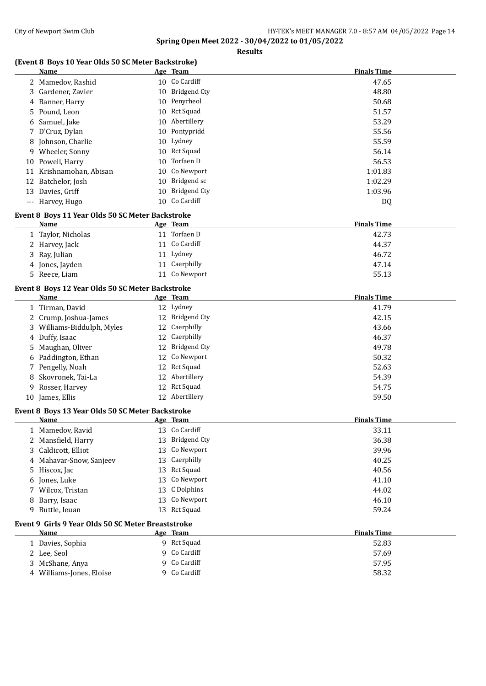#### **Results**

## **(Event 8 Boys 10 Year Olds 50 SC Meter Backstroke)**

|   | Name                                               |    | Age Team                 | <b>Finals Time</b> |
|---|----------------------------------------------------|----|--------------------------|--------------------|
|   | 2 Mamedov, Rashid                                  |    | 10 Co Cardiff            | 47.65              |
| 3 | Gardener, Zavier                                   |    | 10 Bridgend Cty          | 48.80              |
| 4 | Banner, Harry                                      | 10 | Penyrheol                | 50.68              |
|   | 5 Pound, Leon                                      | 10 | <b>Rct Squad</b>         | 51.57              |
| 6 | Samuel, Jake                                       | 10 | Abertillery              | 53.29              |
|   | 7 D'Cruz, Dylan                                    | 10 | Pontypridd               | 55.56              |
|   | 8 Johnson, Charlie                                 | 10 | Lydney                   | 55.59              |
|   | 9 Wheeler, Sonny                                   | 10 | <b>Rct Squad</b>         | 56.14              |
|   | 10 Powell, Harry                                   | 10 | Torfaen D                | 56.53              |
|   | 11 Krishnamohan, Abisan                            | 10 | Co Newport               | 1:01.83            |
|   | 12 Batchelor, Josh                                 | 10 | Bridgend sc              | 1:02.29            |
|   | 13 Davies, Griff                                   | 10 | <b>Bridgend Cty</b>      | 1:03.96            |
|   | --- Harvey, Hugo                                   |    | 10 Co Cardiff            | DQ                 |
|   |                                                    |    |                          |                    |
|   | Event 8 Boys 11 Year Olds 50 SC Meter Backstroke   |    |                          |                    |
|   | Name                                               |    | Age Team<br>11 Torfaen D | <b>Finals Time</b> |
|   | 1 Taylor, Nicholas                                 |    | Co Cardiff               | 42.73              |
|   | 2 Harvey, Jack                                     | 11 |                          | 44.37              |
| 3 | Ray, Julian                                        |    | 11 Lydney                | 46.72              |
|   | 4 Jones, Jayden                                    |    | 11 Caerphilly            | 47.14              |
|   | 5 Reece, Liam                                      |    | 11 Co Newport            | 55.13              |
|   | Event 8 Boys 12 Year Olds 50 SC Meter Backstroke   |    |                          |                    |
|   | Name                                               |    | Age Team                 | <b>Finals Time</b> |
|   | 1 Tirman, David                                    |    | 12 Lydney                | 41.79              |
| 2 | Crump, Joshua-James                                |    | 12 Bridgend Cty          | 42.15              |
|   | 3 Williams-Biddulph, Myles                         | 12 | Caerphilly               | 43.66              |
|   | 4 Duffy, Isaac                                     | 12 | Caerphilly               | 46.37              |
| 5 | Maughan, Oliver                                    | 12 | <b>Bridgend Cty</b>      | 49.78              |
| 6 | Paddington, Ethan                                  | 12 | Co Newport               | 50.32              |
|   | Pengelly, Noah                                     | 12 | Rct Squad                | 52.63              |
| 8 | Skovronek, Tai-La                                  |    | 12 Abertillery           | 54.39              |
|   | 9 Rosser, Harvey                                   |    | 12 Rct Squad             | 54.75              |
|   | 10 James, Ellis                                    |    | 12 Abertillery           | 59.50              |
|   | Event 8 Boys 13 Year Olds 50 SC Meter Backstroke   |    |                          |                    |
|   | Name                                               |    | Age Team                 | <b>Finals Time</b> |
|   | 1 Mamedov, Ravid                                   |    | 13 Co Cardiff            | 33.11              |
|   | 2 Mansfield, Harry                                 | 13 | <b>Bridgend Cty</b>      | 36.38              |
| 3 | Caldicott, Elliot                                  | 13 | Co Newport               | 39.96              |
| 4 | Mahavar-Snow, Sanjeev                              | 13 | Caerphilly               | 40.25              |
|   | 5 Hiscox, Jac                                      | 13 | Rct Squad                | 40.56              |
| 6 | Jones, Luke                                        | 13 | Co Newport               | 41.10              |
|   | 7 Wilcox, Tristan                                  | 13 | C Dolphins               | 44.02              |
| 8 | Barry, Isaac                                       | 13 | Co Newport               | 46.10              |
|   | 9 Buttle, Ieuan                                    |    | 13 Rct Squad             | 59.24              |
|   |                                                    |    |                          |                    |
|   | Event 9 Girls 9 Year Olds 50 SC Meter Breaststroke |    |                          |                    |
|   | <b>Name</b>                                        |    | Age Team                 | <b>Finals Time</b> |
|   | 1 Davies, Sophia                                   |    | 9 Rct Squad              | 52.83              |
|   | 2 Lee, Seol                                        | 9  | Co Cardiff               | 57.69              |
|   | 3 McShane, Anya                                    | 9  | Co Cardiff               | 57.95              |
|   | 4 Williams-Jones, Eloise                           |    | 9 Co Cardiff             | 58.32              |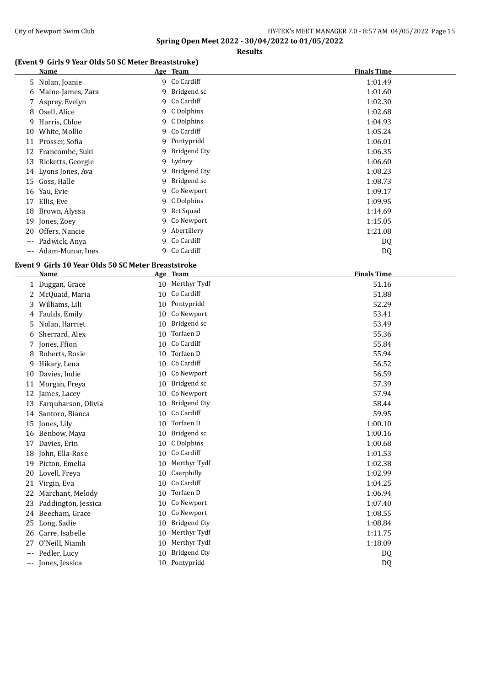#### City of Newport Swim Club City of Newport Swim Club HY-TEK's MEET MANAGER 7.0 - 8:57 AM 04/05/2022 Page 15

**Spring Open Meet 2022 - 30/04/2022 to 01/05/2022**

#### **Results**

## **(Event 9 Girls 9 Year Olds 50 SC Meter Breaststroke)**

|     | Name                 |   | Age Team      | <b>Finals Time</b> |
|-----|----------------------|---|---------------|--------------------|
|     | 5 Nolan, Joanie      |   | 9 Co Cardiff  | 1:01.49            |
|     | 6 Maine-James, Zara  |   | 9 Bridgend sc | 1:01.60            |
|     | 7 Asprey, Evelyn     |   | 9 Co Cardiff  | 1:02.30            |
|     | 8 Osell, Alice       |   | 9 C Dolphins  | 1:02.68            |
| 9   | Harris, Chloe        |   | 9 C Dolphins  | 1:04.93            |
| 10  | White, Mollie        |   | 9 Co Cardiff  | 1:05.24            |
|     | 11 Prosser, Sofia    |   | 9 Pontypridd  | 1:06.01            |
|     | 12 Francombe, Suki   | 9 | Bridgend Cty  | 1:06.35            |
|     | 13 Ricketts, Georgie |   | 9 Lydney      | 1:06.60            |
|     | 14 Lyons Jones, Ava  | 9 | Bridgend Cty  | 1:08.23            |
|     | 15 Goss, Halle       | 9 | Bridgend sc   | 1:08.73            |
| 16  | Yau, Evie            |   | 9 Co Newport  | 1:09.17            |
| 17  | Ellis, Eve           |   | 9 C Dolphins  | 1:09.95            |
| 18  | Brown, Alyssa        |   | 9 Rct Squad   | 1:14.69            |
| 19  | Jones, Zoey          |   | 9 Co Newport  | 1:15.05            |
| 20  | Offers, Nancie       | 9 | Abertillery   | 1:21.08            |
| --- | Padwick, Anya        | 9 | Co Cardiff    | DQ                 |
| --- | Adam-Munar, Ines     | 9 | Co Cardiff    | DQ                 |
|     |                      |   |               |                    |

## **Event 9 Girls 10 Year Olds 50 SC Meter Breaststroke**

|              | <b>Name</b>         |    | Age Team            | <b>Finals Time</b> |
|--------------|---------------------|----|---------------------|--------------------|
| $\mathbf{1}$ | Duggan, Grace       | 10 | Merthyr Tydf        | 51.16              |
| 2            | McQuaid, Maria      | 10 | Co Cardiff          | 51.88              |
| 3            | Williams, Lili      | 10 | Pontypridd          | 52.29              |
| 4            | Faulds, Emily       | 10 | Co Newport          | 53.41              |
| 5.           | Nolan, Harriet      | 10 | Bridgend sc         | 53.49              |
| 6            | Sherrard, Alex      | 10 | Torfaen D           | 55.36              |
| 7            | Jones, Ffion        | 10 | Co Cardiff          | 55.84              |
| 8            | Roberts, Rosie      | 10 | Torfaen D           | 55.94              |
| 9            | Hikary, Lena        | 10 | Co Cardiff          | 56.52              |
| 10           | Davies, Indie       | 10 | Co Newport          | 56.59              |
| 11           | Morgan, Freya       | 10 | Bridgend sc         | 57.39              |
| 12           | James, Lacey        | 10 | Co Newport          | 57.94              |
| 13           | Farquharson, Olivia | 10 | <b>Bridgend Cty</b> | 58.44              |
| 14           | Santoro, Bianca     | 10 | Co Cardiff          | 59.95              |
| 15           | Jones, Lily         | 10 | Torfaen D           | 1:00.10            |
| 16           | Benbow, Maya        | 10 | Bridgend sc         | 1:00.16            |
| 17           | Davies, Erin        | 10 | C Dolphins          | 1:00.68            |
| 18           | John, Ella-Rose     | 10 | Co Cardiff          | 1:01.53            |
| 19           | Picton, Emelia      | 10 | Merthyr Tydf        | 1:02.38            |
| 20           | Lovell, Freya       | 10 | Caerphilly          | 1:02.99            |
| 21           | Virgin, Eva         | 10 | Co Cardiff          | 1:04.25            |
| 22           | Marchant, Melody    | 10 | Torfaen D           | 1:06.94            |
| 23           | Paddington, Jessica | 10 | Co Newport          | 1:07.40            |
| 24           | Beecham, Grace      | 10 | Co Newport          | 1:08.55            |
| 25           | Long, Sadie         | 10 | <b>Bridgend Cty</b> | 1:08.84            |
| 26           | Carre, Isabelle     | 10 | Merthyr Tydf        | 1:11.75            |
| 27           | O'Neill, Niamh      | 10 | Merthyr Tydf        | 1:18.09            |
| $---$        | Pedler, Lucy        | 10 | <b>Bridgend Cty</b> | DQ                 |
| $---$        | Jones, Jessica      | 10 | Pontypridd          | DQ                 |
|              |                     |    |                     |                    |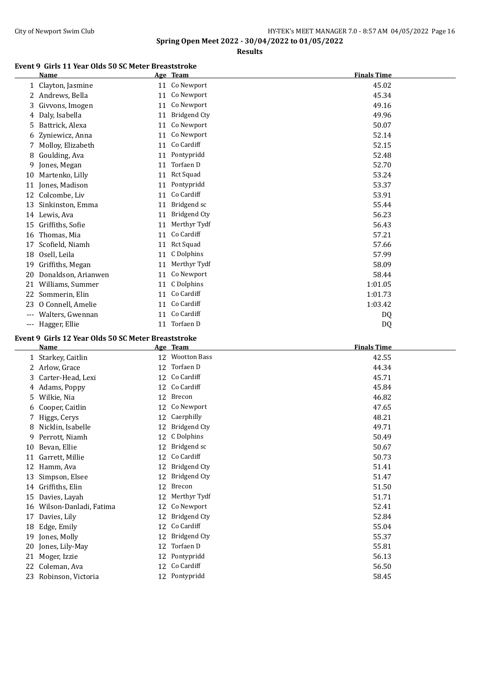#### City of Newport Swim Club City of Newport Swim Club HY-TEK's MEET MANAGER 7.0 - 8:57 AM 04/05/2022 Page 16

**Spring Open Meet 2022 - 30/04/2022 to 01/05/2022**

**Results**

#### **Event 9 Girls 11 Year Olds 50 SC Meter Breaststroke**

|              | <b>Name</b>         |    | Age Team            | <b>Finals Time</b> |
|--------------|---------------------|----|---------------------|--------------------|
| $\mathbf{1}$ | Clayton, Jasmine    | 11 | Co Newport          | 45.02              |
| 2            | Andrews, Bella      | 11 | Co Newport          | 45.34              |
| 3            | Givvons, Imogen     | 11 | Co Newport          | 49.16              |
| 4            | Daly, Isabella      | 11 | <b>Bridgend Cty</b> | 49.96              |
| 5            | Battrick, Alexa     | 11 | Co Newport          | 50.07              |
| 6            | Zyniewicz, Anna     | 11 | Co Newport          | 52.14              |
| 7            | Molloy, Elizabeth   | 11 | Co Cardiff          | 52.15              |
| 8            | Goulding, Ava       | 11 | Pontypridd          | 52.48              |
| 9            | Jones, Megan        | 11 | Torfaen D           | 52.70              |
| 10           | Martenko, Lilly     | 11 | Rct Squad           | 53.24              |
| 11           | Jones, Madison      | 11 | Pontypridd          | 53.37              |
| 12           | Colcombe, Liv       | 11 | Co Cardiff          | 53.91              |
| 13           | Sinkinston, Emma    | 11 | Bridgend sc         | 55.44              |
| 14           | Lewis, Ava          | 11 | <b>Bridgend Cty</b> | 56.23              |
| 15           | Griffiths, Sofie    | 11 | Merthyr Tydf        | 56.43              |
| 16           | Thomas, Mia         | 11 | Co Cardiff          | 57.21              |
| 17           | Scofield, Niamh     | 11 | <b>Rct Squad</b>    | 57.66              |
| 18           | Osell, Leila        | 11 | C Dolphins          | 57.99              |
| 19           | Griffiths, Megan    | 11 | Merthyr Tydf        | 58.09              |
| 20           | Donaldson, Arianwen | 11 | Co Newport          | 58.44              |
| 21           | Williams, Summer    | 11 | C Dolphins          | 1:01.05            |
| 22           | Sommerin, Elin      | 11 | Co Cardiff          | 1:01.73            |
| 23           | O Connell, Amelie   | 11 | Co Cardiff          | 1:03.42            |
|              | Walters, Gwennan    | 11 | Co Cardiff          | DQ                 |
| ---          | Hagger, Ellie       | 11 | Torfaen D           | DQ                 |

## **Event 9 Girls 12 Year Olds 50 SC Meter Breaststroke**

|    | <b>Name</b>            |    | Age Team            | <b>Finals Time</b> |
|----|------------------------|----|---------------------|--------------------|
|    | 1 Starkey, Caitlin     | 12 | <b>Wootton Bass</b> | 42.55              |
|    | 2 Arlow, Grace         | 12 | Torfaen D           | 44.34              |
| 3  | Carter-Head, Lexi      | 12 | Co Cardiff          | 45.71              |
|    | 4 Adams, Poppy         |    | 12 Co Cardiff       | 45.84              |
|    | 5 Wilkie, Nia          | 12 | Brecon              | 46.82              |
|    | 6 Cooper, Caitlin      | 12 | Co Newport          | 47.65              |
| 7  | Higgs, Cerys           | 12 | Caerphilly          | 48.21              |
| 8  | Nicklin, Isabelle      | 12 | <b>Bridgend Cty</b> | 49.71              |
| 9  | Perrott, Niamh         | 12 | C Dolphins          | 50.49              |
| 10 | Bevan, Ellie           | 12 | Bridgend sc         | 50.67              |
| 11 | Garrett, Millie        | 12 | Co Cardiff          | 50.73              |
| 12 | Hamm, Ava              | 12 | Bridgend Cty        | 51.41              |
| 13 | Simpson, Elsee         | 12 | <b>Bridgend Cty</b> | 51.47              |
| 14 | Griffiths, Elin        | 12 | Brecon              | 51.50              |
| 15 | Davies, Layah          | 12 | Merthyr Tydf        | 51.71              |
| 16 | Wilson-Danladi, Fatima | 12 | Co Newport          | 52.41              |
| 17 | Davies, Lily           | 12 | <b>Bridgend Cty</b> | 52.84              |
| 18 | Edge, Emily            | 12 | Co Cardiff          | 55.04              |
| 19 | Jones, Molly           | 12 | Bridgend Cty        | 55.37              |
| 20 | Jones, Lily-May        | 12 | Torfaen D           | 55.81              |
| 21 | Moger, Izzie           | 12 | Pontypridd          | 56.13              |
| 22 | Coleman, Ava           | 12 | Co Cardiff          | 56.50              |
|    | 23 Robinson, Victoria  |    | 12 Pontypridd       | 58.45              |
|    |                        |    |                     |                    |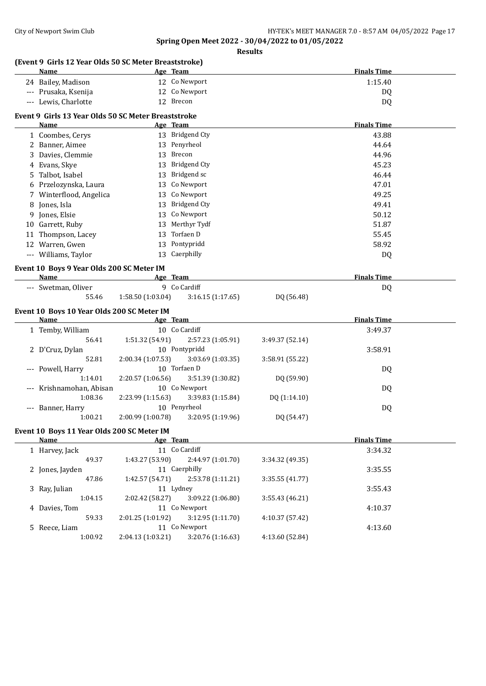#### **Spring Open Meet 2022 - 30/04/2022 to 01/05/2022 Results**

| (Event 9 Girls 12 Year Olds 50 SC Meter Breaststroke) |                   |                                    |                 |                    |  |
|-------------------------------------------------------|-------------------|------------------------------------|-----------------|--------------------|--|
| Name                                                  |                   | Age Team<br>12 Co Newport          |                 | <b>Finals Time</b> |  |
| 24 Bailey, Madison                                    |                   |                                    |                 | 1:15.40            |  |
| --- Prusaka, Ksenija                                  |                   | 12 Co Newport                      |                 | DQ                 |  |
| --- Lewis, Charlotte                                  |                   | 12 Brecon                          |                 | DQ                 |  |
| Event 9 Girls 13 Year Olds 50 SC Meter Breaststroke   |                   |                                    |                 |                    |  |
| Name                                                  |                   | Age Team                           |                 | <b>Finals Time</b> |  |
| 1 Coombes, Cerys                                      |                   | 13 Bridgend Cty                    |                 | 43.88              |  |
| 2 Banner, Aimee                                       |                   | 13 Penyrheol                       |                 | 44.64              |  |
| 3 Davies, Clemmie                                     |                   | 13 Brecon                          |                 | 44.96              |  |
| 4 Evans, Skye                                         |                   | 13 Bridgend Cty                    |                 | 45.23              |  |
| 5 Talbot, Isabel                                      |                   | 13 Bridgend sc                     |                 | 46.44              |  |
| 6 Przelozynska, Laura                                 |                   | 13 Co Newport                      |                 | 47.01              |  |
| 7 Winterflood, Angelica                               |                   | 13 Co Newport                      |                 | 49.25              |  |
| 8 Jones, Isla                                         | 13                | <b>Bridgend Cty</b>                |                 | 49.41              |  |
| 9 Jones, Elsie                                        | 13                | Co Newport                         |                 | 50.12              |  |
| 10 Garrett, Ruby                                      | 13                | Merthyr Tydf                       |                 | 51.87              |  |
| 11 Thompson, Lacey                                    | 13                | Torfaen D                          |                 | 55.45              |  |
| 12 Warren, Gwen                                       |                   | 13 Pontypridd                      |                 | 58.92              |  |
|                                                       | 13                | Caerphilly                         |                 |                    |  |
| --- Williams, Taylor                                  |                   |                                    |                 | DQ                 |  |
| Event 10 Boys 9 Year Olds 200 SC Meter IM             |                   |                                    |                 |                    |  |
| <b>Name</b>                                           |                   | Age Team                           |                 | <b>Finals Time</b> |  |
| --- Swetman, Oliver                                   |                   | 9 Co Cardiff                       |                 | DQ                 |  |
| 55.46                                                 | 1:58.50 (1:03.04) | 3:16.15 (1:17.65)                  | DQ (56.48)      |                    |  |
|                                                       |                   |                                    |                 |                    |  |
| Event 10 Boys 10 Year Olds 200 SC Meter IM            |                   |                                    |                 |                    |  |
| Name                                                  |                   | Age Team                           |                 | <b>Finals Time</b> |  |
|                                                       |                   | 10 Co Cardiff                      |                 | 3:49.37            |  |
| 1 Temby, William<br>56.41                             | 1:51.32 (54.91)   | 2:57.23 (1:05.91)                  | 3:49.37 (52.14) |                    |  |
| 2 D'Cruz, Dylan                                       |                   | 10 Pontypridd                      |                 | 3:58.91            |  |
| 52.81                                                 |                   | 3:03.69 (1:03.35)                  | 3:58.91 (55.22) |                    |  |
|                                                       | 2:00.34 (1:07.53) | 10 Torfaen D                       |                 |                    |  |
| --- Powell, Harry<br>1:14.01                          | 2:20.57 (1:06.56) | 3:51.39 (1:30.82)                  | DQ (59.90)      | DQ                 |  |
| Krishnamohan, Abisan                                  |                   | 10 Co Newport                      |                 |                    |  |
| 1:08.36                                               | 2:23.99 (1:15.63) |                                    | DQ (1:14.10)    | DQ                 |  |
|                                                       |                   | 3:39.83 (1:15.84)<br>10 Penyrheol  |                 |                    |  |
| --- Banner, Harry<br>1:00.21                          |                   |                                    |                 | DQ                 |  |
|                                                       | 2:00.99 (1:00.78) | 3:20.95 (1:19.96)                  | DQ (54.47)      |                    |  |
| Event 10 Boys 11 Year Olds 200 SC Meter IM            |                   |                                    |                 |                    |  |
| <b>Name</b>                                           |                   | Age Team                           |                 | <b>Finals Time</b> |  |
| 1 Harvey, Jack                                        |                   | 11 Co Cardiff                      |                 | 3:34.32            |  |
| 49.37                                                 | 1:43.27 (53.90)   | 2:44.97 (1:01.70)                  | 3:34.32 (49.35) |                    |  |
| 2 Jones, Jayden                                       |                   | 11 Caerphilly                      |                 | 3:35.55            |  |
| 47.86                                                 | 1:42.57 (54.71)   | 2:53.78 (1:11.21)                  | 3:35.55 (41.77) |                    |  |
| 3 Ray, Julian                                         |                   | 11 Lydney                          |                 | 3:55.43            |  |
| 1:04.15                                               | 2:02.42 (58.27)   | 3:09.22 (1:06.80)                  | 3:55.43 (46.21) |                    |  |
| 4 Davies, Tom                                         |                   | 11 Co Newport                      |                 | 4:10.37            |  |
| 59.33                                                 | 2:01.25 (1:01.92) | 3:12.95 (1:11.70)                  | 4:10.37 (57.42) |                    |  |
| 5 Reece, Liam<br>1:00.92                              | 2:04.13 (1:03.21) | 11 Co Newport<br>3:20.76 (1:16.63) | 4:13.60 (52.84) | 4:13.60            |  |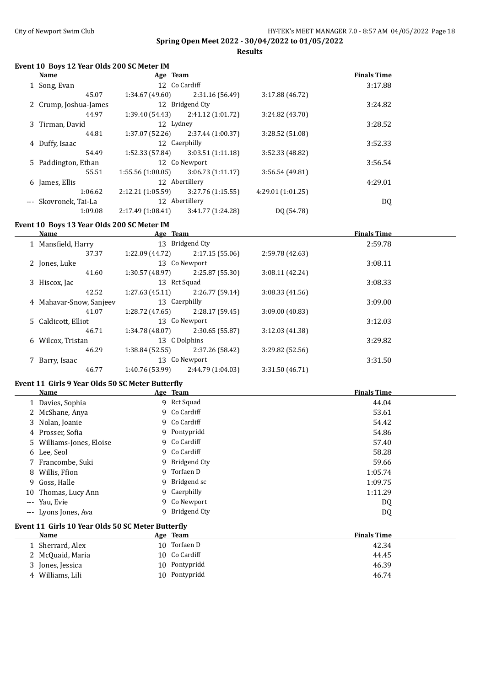**Results**

### **Event 10 Boys 12 Year Olds 200 SC Meter IM**

| <b>Name</b>           | Age Team          |                   |                  | <b>Finals Time</b> |  |
|-----------------------|-------------------|-------------------|------------------|--------------------|--|
| 1 Song, Evan          |                   | 12 Co Cardiff     |                  | 3:17.88            |  |
| 45.07                 | 1:34.67(49.60)    | 2:31.16(56.49)    | 3:17.88(46.72)   |                    |  |
| 2 Crump, Joshua-James |                   | 12 Bridgend Cty   |                  | 3:24.82            |  |
| 44.97                 | 1:39.40(54.43)    | 2:41.12 (1:01.72) | 3:24.82 (43.70)  |                    |  |
| 3 Tirman, David       | 12 Lydney         |                   |                  | 3:28.52            |  |
| 44.81                 | 1:37.07(52.26)    | 2:37.44(1:00.37)  | 3:28.52 (51.08)  |                    |  |
| 4 Duffy, Isaac        |                   | 12 Caerphilly     |                  | 3:52.33            |  |
| 54.49                 | 1:52.33(57.84)    | 3:03.51(1:11.18)  | 3:52.33 (48.82)  |                    |  |
| 5 Paddington, Ethan   |                   | 12 Co Newport     |                  | 3:56.54            |  |
| 55.51                 | 1:55.56(1:00.05)  | 3:06.73(1:11.17)  | 3:56.54(49.81)   |                    |  |
| 6 James, Ellis        |                   | 12 Abertillery    |                  | 4:29.01            |  |
| 1:06.62               | 2:12.21 (1:05.59) | 3:27.76(1:15.55)  | 4:29.01(1:01.25) |                    |  |
| --- Skovronek, Tai-La |                   | 12 Abertillery    |                  | DQ                 |  |
| 1:09.08               | 2:17.49(1:08.41)  | 3:41.77 (1:24.28) | DQ (54.78)       |                    |  |
|                       |                   |                   |                  |                    |  |

## **Event 10 Boys 13 Year Olds 200 SC Meter IM**

| Name                    | Age Team        |                   |                 | <b>Finals Time</b> |  |
|-------------------------|-----------------|-------------------|-----------------|--------------------|--|
| 1 Mansfield, Harry      |                 | 13 Bridgend Cty   |                 | 2:59.78            |  |
| 37.37                   | 1:22.09 (44.72) | 2:17.15(55.06)    | 2:59.78 (42.63) |                    |  |
| 2 Jones, Luke           |                 | 13 Co Newport     |                 | 3:08.11            |  |
| 41.60                   | 1:30.57 (48.97) | 2:25.87 (55.30)   | 3:08.11(42.24)  |                    |  |
| 3 Hiscox, Jac           |                 | 13 Rct Squad      |                 | 3:08.33            |  |
| 42.52                   | 1:27.63(45.11)  | 2:26.77(59.14)    | 3:08.33(41.56)  |                    |  |
| 4 Mahavar-Snow, Sanjeev |                 | 13 Caerphilly     |                 | 3:09.00            |  |
| 41.07                   | 1:28.72 (47.65) | 2:28.17(59.45)    | 3:09.00 (40.83) |                    |  |
| 5 Caldicott, Elliot     |                 | 13 Co Newport     |                 | 3:12.03            |  |
| 46.71                   | 1:34.78 (48.07) | 2:30.65 (55.87)   | 3:12.03 (41.38) |                    |  |
| 6 Wilcox, Tristan       |                 | 13 C Dolphins     |                 | 3:29.82            |  |
| 46.29                   | 1:38.84(52.55)  | 2:37.26 (58.42)   | 3:29.82 (52.56) |                    |  |
| 7 Barry, Isaac          |                 | 13 Co Newport     |                 | 3:31.50            |  |
| 46.77                   | 1:40.76 (53.99) | 2:44.79 (1:04.03) | 3:31.50 (46.71) |                    |  |

## **Event 11 Girls 9 Year Olds 50 SC Meter Butterfly**

|                     | Name                                              |    | Age Team       | <b>Finals Time</b> |  |  |  |
|---------------------|---------------------------------------------------|----|----------------|--------------------|--|--|--|
|                     | 1 Davies, Sophia                                  |    | 9 Rct Squad    | 44.04              |  |  |  |
|                     | 2 McShane, Anya                                   |    | 9 Co Cardiff   | 53.61              |  |  |  |
|                     | 3 Nolan, Joanie                                   |    | 9 Co Cardiff   | 54.42              |  |  |  |
|                     | 4 Prosser, Sofia                                  |    | 9 Pontypridd   | 54.86              |  |  |  |
|                     | 5 Williams-Jones, Eloise                          |    | 9 Co Cardiff   | 57.40              |  |  |  |
|                     | 6 Lee, Seol                                       |    | 9 Co Cardiff   | 58.28              |  |  |  |
|                     | 7 Francombe, Suki                                 |    | 9 Bridgend Cty | 59.66              |  |  |  |
| 8.                  | Willis, Ffion                                     | 9  | Torfaen D      | 1:05.74            |  |  |  |
|                     | 9 Goss, Halle                                     | 9. | Bridgend sc    | 1:09.75            |  |  |  |
| 10                  | Thomas, Lucy Ann                                  |    | 9 Caerphilly   | 1:11.29            |  |  |  |
| $\cdots$            | Yau, Evie                                         | 9  | Co Newport     | DQ                 |  |  |  |
| $\qquad \qquad - -$ | Lyons Jones, Ava                                  | 9  | Bridgend Cty   | DQ                 |  |  |  |
|                     | Event 11 Girls 10 Year Olds 50 SC Meter Butterfly |    |                |                    |  |  |  |
|                     | Name                                              |    | Age Team       | <b>Finals Time</b> |  |  |  |
|                     | 1 Sherrard, Alex                                  |    | 10 Torfaen D   | 42.34              |  |  |  |
|                     | 2 McQuaid, Maria                                  |    | 10 Co Cardiff  | 44.45              |  |  |  |
|                     | 3 Jones, Jessica                                  |    | 10 Pontypridd  | 46.39              |  |  |  |
|                     | 4 Williams, Lili                                  |    | 10 Pontypridd  | 46.74              |  |  |  |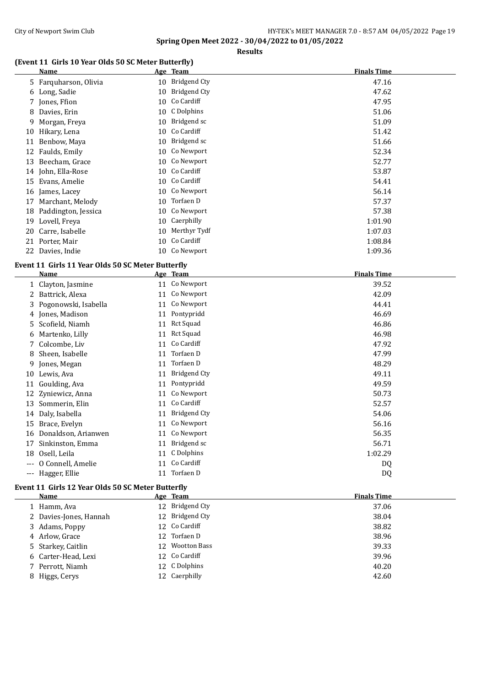## **Results**

## **(Event 11 Girls 10 Year Olds 50 SC Meter Butterfly)**

|    | Name                  |    | Age Team      | <b>Finals Time</b> |
|----|-----------------------|----|---------------|--------------------|
|    | 5 Farguharson, Olivia | 10 | Bridgend Cty  | 47.16              |
|    | 6 Long, Sadie         | 10 | Bridgend Cty  | 47.62              |
|    | 7 Jones, Ffion        | 10 | Co Cardiff    | 47.95              |
| 8  | Davies, Erin          | 10 | C Dolphins    | 51.06              |
| 9  | Morgan, Freya         | 10 | Bridgend sc   | 51.09              |
| 10 | Hikary, Lena          | 10 | Co Cardiff    | 51.42              |
| 11 | Benbow, Maya          | 10 | Bridgend sc   | 51.66              |
| 12 | Faulds, Emily         | 10 | Co Newport    | 52.34              |
| 13 | Beecham, Grace        | 10 | Co Newport    | 52.77              |
|    | 14 John, Ella-Rose    | 10 | Co Cardiff    | 53.87              |
| 15 | Evans, Amelie         |    | 10 Co Cardiff | 54.41              |
|    | 16 James, Lacey       | 10 | Co Newport    | 56.14              |
| 17 | Marchant, Melody      | 10 | Torfaen D     | 57.37              |
| 18 | Paddington, Jessica   | 10 | Co Newport    | 57.38              |
| 19 | Lovell, Freya         | 10 | Caerphilly    | 1:01.90            |
| 20 | Carre, Isabelle       | 10 | Merthyr Tydf  | 1:07.03            |
| 21 | Porter, Mair          | 10 | Co Cardiff    | 1:08.84            |
| 22 | Davies, Indie         |    | 10 Co Newport | 1:09.36            |

#### **Event 11 Girls 11 Year Olds 50 SC Meter Butterfly**

|     | <b>Name</b>            |    | Age Team            | <b>Finals Time</b> |
|-----|------------------------|----|---------------------|--------------------|
|     | 1 Clayton, Jasmine     |    | 11 Co Newport       | 39.52              |
|     | 2 Battrick, Alexa      | 11 | Co Newport          | 42.09              |
|     | 3 Pogonowski, Isabella | 11 | Co Newport          | 44.41              |
|     | 4 Jones, Madison       | 11 | Pontypridd          | 46.69              |
|     | 5 Scofield, Niamh      |    | 11 Rct Squad        | 46.86              |
| 6   | Martenko, Lilly        | 11 | Rct Squad           | 46.98              |
| 7   | Colcombe, Liv          | 11 | Co Cardiff          | 47.92              |
| 8   | Sheen, Isabelle        | 11 | Torfaen D           | 47.99              |
| 9.  | Jones, Megan           | 11 | Torfaen D           | 48.29              |
|     | 10 Lewis, Ava          | 11 | <b>Bridgend Cty</b> | 49.11              |
| 11  | Goulding, Ava          | 11 | Pontypridd          | 49.59              |
|     | 12 Zyniewicz, Anna     | 11 | Co Newport          | 50.73              |
| 13  | Sommerin, Elin         | 11 | Co Cardiff          | 52.57              |
| 14  | Daly, Isabella         | 11 | <b>Bridgend Cty</b> | 54.06              |
| 15  | Brace, Evelyn          | 11 | Co Newport          | 56.16              |
| 16  | Donaldson, Arianwen    | 11 | Co Newport          | 56.35              |
| 17  | Sinkinston, Emma       | 11 | Bridgend sc         | 56.71              |
| 18  | Osell, Leila           | 11 | C Dolphins          | 1:02.29            |
|     | O Connell, Amelie      | 11 | Co Cardiff          | DQ                 |
| --- | Hagger, Ellie          | 11 | Torfaen D           | D <sub>Q</sub>     |

## **Event 11 Girls 12 Year Olds 50 SC Meter Butterfly**

| Name                   | Age Team        | <b>Finals Time</b> |
|------------------------|-----------------|--------------------|
| 1 Hamm, Ava            | 12 Bridgend Cty | 37.06              |
| 2 Davies-Jones, Hannah | 12 Bridgend Cty | 38.04              |
| 3 Adams, Poppy         | 12 Co Cardiff   | 38.82              |
| 4 Arlow, Grace         | 12 Torfaen D    | 38.96              |
| 5 Starkey, Caitlin     | 12 Wootton Bass | 39.33              |
| 6 Carter-Head, Lexi    | 12 Co Cardiff   | 39.96              |
| 7 Perrott, Niamh       | 12 C Dolphins   | 40.20              |
| 8 Higgs, Cerys         | 12 Caerphilly   | 42.60              |
|                        |                 |                    |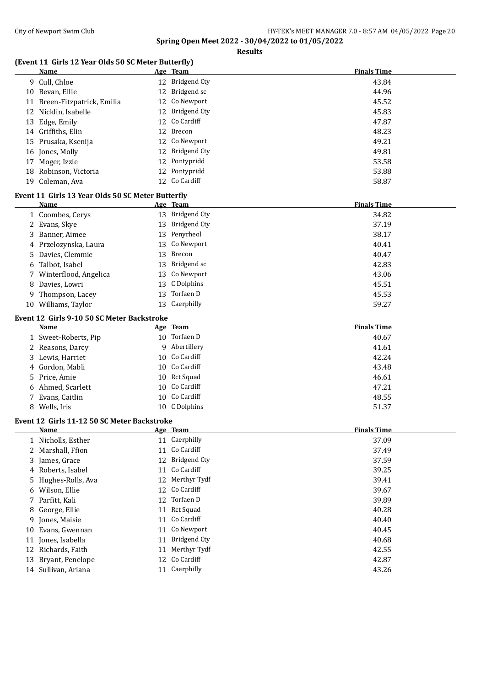**Event 11** 

**Spring Open Meet 2022 - 30/04/2022 to 01/05/2022**

#### **(Event 11)**

|                                                  |    | <b>Results</b>  |                    |
|--------------------------------------------------|----|-----------------|--------------------|
| ent 11 Girls 12 Year Olds 50 SC Meter Butterfly) |    |                 |                    |
| Name                                             |    | Age Team        | <b>Finals Time</b> |
| 9 Cull, Chloe                                    |    | 12 Bridgend Cty | 43.84              |
| 10 Bevan, Ellie                                  |    | 12 Bridgend sc  | 44.96              |
| 11 Breen-Fitzpatrick, Emilia                     |    | 12 Co Newport   | 45.52              |
| 12 Nicklin, Isabelle                             |    | 12 Bridgend Cty | 45.83              |
| 13 Edge, Emily                                   |    | 12 Co Cardiff   | 47.87              |
| 14 Griffiths, Elin                               |    | 12 Brecon       | 48.23              |
| 15 Prusaka, Ksenija                              |    | 12 Co Newport   | 49.21              |
| 16 Jones, Molly                                  |    | 12 Bridgend Cty | 49.81              |
| 17 Moger, Izzie                                  |    | 12 Pontypridd   | 53.58              |
| 18 Robinson, Victoria                            |    | 12 Pontypridd   | 53.88              |
| 19 Coleman, Ava                                  |    | 12 Co Cardiff   | 58.87              |
| nt 11 Girls 13 Year Olds 50 SC Meter Butterfly:  |    |                 |                    |
| <b>Name</b>                                      |    | Age Team        | <b>Finals Time</b> |
| 1 Coombes, Cerys                                 |    | 13 Bridgend Cty | 34.82              |
| 2 Evans, Skye                                    |    | 13 Bridgend Cty | 37.19              |
| 3 Banner, Aimee                                  |    | 13 Penyrheol    | 38.17              |
| 4 Przelozynska, Laura                            |    | 13 Co Newport   | 40.41              |
| 5 Davies, Clemmie                                |    | 13 Brecon       | 40.47              |
| 6 Talbot, Isabel                                 |    | 13 Bridgend sc  | 42.83              |
| 7 Winterflood, Angelica                          |    | 13 Co Newport   | 43.06              |
| 8 Davies, Lowri                                  |    | 13 C Dolphins   | 45.51              |
| 9 Thompson, Lacey                                | 13 | Torfaen D       | 45.53              |
| 10 Williams, Taylor                              |    | 13 Caerphilly   | 59.27              |
| nt 12  Girls 9-10 50 SC Meter Backstroke:        |    |                 |                    |
| <b>Name</b>                                      |    | Age Team        | <b>Finals Time</b> |
| 1 Sweet-Roberts, Pip                             |    | 10 Torfaen D    | 40.67              |
| 2 Reasons, Darcy                                 |    | 9 Abertillery   | 41.61              |

|   | Event 12 Girls 9-10 50 SC Meter Backstroke |   |               |                    |
|---|--------------------------------------------|---|---------------|--------------------|
|   | Name                                       |   | Age Team      | <b>Finals Time</b> |
|   | 1 Sweet-Roberts, Pip                       |   | 10 Torfaen D  | 40.67              |
|   | 2 Reasons, Darcy                           | 9 | Abertillery   | 41.61              |
|   | 3 Lewis, Harriet                           |   | 10 Co Cardiff | 42.24              |
|   | 4 Gordon, Mabli                            |   | 10 Co Cardiff | 43.48              |
|   | 5 Price, Amie                              |   | 10 Rct Squad  | 46.61              |
|   | 6 Ahmed, Scarlett                          |   | 10 Co Cardiff | 47.21              |
|   | 7 Evans, Caitlin                           |   | 10 Co Cardiff | 48.55              |
| 8 | Wells, Iris                                |   | 10 C Dolphins | 51.37              |

#### **Event 12 Girls 11-12 50 SC Meter Backstroke**

| Name                |    | Age Team        | <b>Finals Time</b> |
|---------------------|----|-----------------|--------------------|
| 1 Nicholls, Esther  |    | 11 Caerphilly   | 37.09              |
| 2 Marshall, Ffion   |    | 11 Co Cardiff   | 37.49              |
| 3 James, Grace      |    | 12 Bridgend Cty | 37.59              |
| 4 Roberts, Isabel   |    | 11 Co Cardiff   | 39.25              |
| 5 Hughes-Rolls, Ava |    | 12 Merthyr Tydf | 39.41              |
| 6 Wilson, Ellie     |    | 12 Co Cardiff   | 39.67              |
| 7 Parfitt, Kali     |    | 12 Torfaen D    | 39.89              |
| 8 George, Ellie     |    | 11 Rct Squad    | 40.28              |
| 9 Jones, Maisie     |    | 11 Co Cardiff   | 40.40              |
| 10 Evans, Gwennan   |    | 11 Co Newport   | 40.45              |
| 11 Jones, Isabella  | 11 | Bridgend Cty    | 40.68              |
| 12 Richards, Faith  |    | 11 Merthyr Tydf | 42.55              |
| 13 Bryant, Penelope |    | 12 Co Cardiff   | 42.87              |
| 14 Sullivan, Ariana |    | 11 Caerphilly   | 43.26              |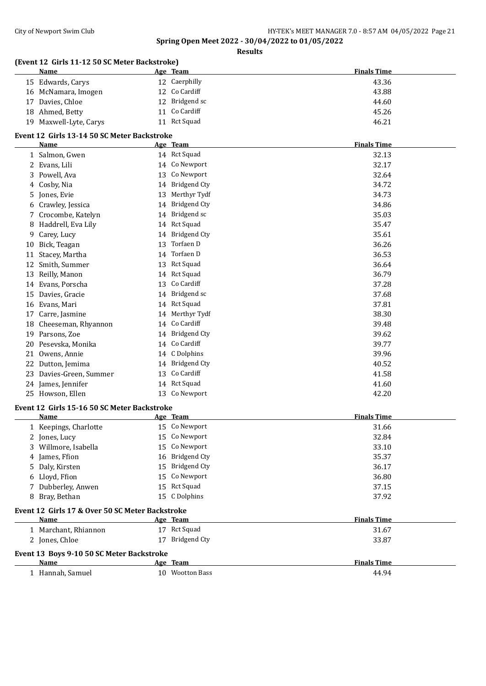| Name                    | (Event 12 Girls 11-12 50 SC Meter Backstroke)   | Age Team            | <b>Finals Time</b> |
|-------------------------|-------------------------------------------------|---------------------|--------------------|
| 15 Edwards, Carys       |                                                 | 12 Caerphilly       | 43.36              |
| 16 McNamara, Imogen     |                                                 | 12 Co Cardiff       | 43.88              |
| Davies, Chloe<br>17     |                                                 | 12 Bridgend sc      | 44.60              |
| 18 Ahmed, Betty         |                                                 | 11 Co Cardiff       | 45.26              |
| 19 Maxwell-Lyte, Carys  |                                                 | 11 Rct Squad        | 46.21              |
|                         |                                                 |                     |                    |
| Name                    | Event 12 Girls 13-14 50 SC Meter Backstroke     | Age Team            | <b>Finals Time</b> |
| 1 Salmon, Gwen          |                                                 | 14 Rct Squad        | 32.13              |
| 2 Evans, Lili           |                                                 | 14 Co Newport       | 32.17              |
| Powell, Ava<br>3        |                                                 | 13 Co Newport       | 32.64              |
| Cosby, Nia<br>4         |                                                 | 14 Bridgend Cty     | 34.72              |
| Jones, Evie             |                                                 | 13 Merthyr Tydf     | 34.73              |
| 5<br>6 Crawley, Jessica |                                                 | 14 Bridgend Cty     | 34.86              |
|                         |                                                 | 14 Bridgend sc      |                    |
| Crocombe, Katelyn<br>7  |                                                 | 14 Rct Squad        | 35.03              |
| Haddrell, Eva Lily<br>8 |                                                 | <b>Bridgend Cty</b> | 35.47              |
| Carey, Lucy<br>9        | 14                                              |                     | 35.61              |
| Bick, Teagan<br>10      | 13                                              | Torfaen D           | 36.26              |
| Stacey, Martha<br>11    | 14                                              | Torfaen D           | 36.53              |
| Smith, Summer<br>12     |                                                 | 13 Rct Squad        | 36.64              |
| 13 Reilly, Manon        |                                                 | 14 Rct Squad        | 36.79              |
| 14 Evans, Porscha       | 13                                              | Co Cardiff          | 37.28              |
| Davies, Gracie<br>15    |                                                 | 14 Bridgend sc      | 37.68              |
| Evans, Mari<br>16       |                                                 | 14 Rct Squad        | 37.81              |
| Carre, Jasmine<br>17    |                                                 | 14 Merthyr Tydf     | 38.30              |
| 18                      | Cheeseman, Rhyannon                             | 14 Co Cardiff       | 39.48              |
| Parsons, Zoe<br>19      |                                                 | 14 Bridgend Cty     | 39.62              |
| Pesevska, Monika<br>20  |                                                 | 14 Co Cardiff       | 39.77              |
| Owens, Annie<br>21      |                                                 | 14 C Dolphins       | 39.96              |
| Dutton, Jemima<br>22    |                                                 | 14 Bridgend Cty     | 40.52              |
| 23                      | Davies-Green, Summer<br>13                      | Co Cardiff          | 41.58              |
| 24 James, Jennifer      |                                                 | 14 Rct Squad        | 41.60              |
| 25 Howson, Ellen        |                                                 | 13 Co Newport       | 42.20              |
|                         | Event 12 Girls 15-16 50 SC Meter Backstroke     |                     |                    |
| Name                    |                                                 | Age Team            | <b>Finals Time</b> |
| 1 Keepings, Charlotte   |                                                 | 15 Co Newport       | 31.66              |
| Jones, Lucy<br>2        |                                                 | 15 Co Newport       | 32.84              |
| Willmore, Isabella<br>3 | 15                                              | Co Newport          | 33.10              |
| James, Ffion            | 16                                              | <b>Bridgend Cty</b> | 35.37              |
| Daly, Kirsten<br>5      | 15                                              | <b>Bridgend Cty</b> | 36.17              |
| Lloyd, Ffion            | 15                                              | Co Newport          | 36.80              |
| Dubberley, Anwen        | 15                                              | Rct Squad           | 37.15              |
| 8 Bray, Bethan          |                                                 | 15 C Dolphins       | 37.92              |
|                         | Event 12 Girls 17 & Over 50 SC Meter Backstroke |                     |                    |
| Name                    |                                                 | Age Team            | <b>Finals Time</b> |
| 1 Marchant, Rhiannon    |                                                 | 17 Rct Squad        | 31.67              |
| 2 Jones, Chloe          |                                                 | 17 Bridgend Cty     | 33.87              |
|                         |                                                 |                     |                    |
| <b>Name</b>             | Event 13 Boys 9-10 50 SC Meter Backstroke       |                     |                    |
|                         |                                                 | Age Team            | <b>Finals Time</b> |
| 1 Hannah, Samuel        |                                                 | 10 Wootton Bass     | 44.94              |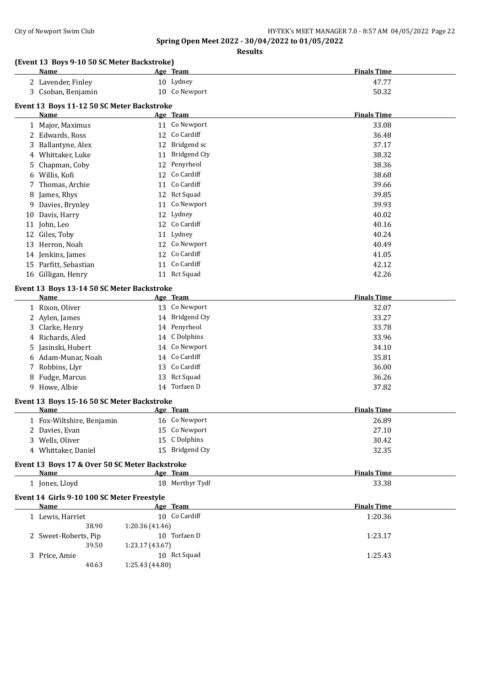**Results**

## **(Event 13 Boys 9-10 50 SC Meter Backstroke)**

|    | Name                                           |                 | Age Team        | <b>Finals Time</b> |
|----|------------------------------------------------|-----------------|-----------------|--------------------|
|    | 2 Lavender, Finley                             |                 | 10 Lydney       | 47.77              |
|    | 3 Csoban, Benjamin                             |                 | 10 Co Newport   | 50.32              |
|    | Event 13 Boys 11-12 50 SC Meter Backstroke     |                 |                 |                    |
|    | Name                                           |                 | Age Team        | <b>Finals Time</b> |
|    | 1 Major, Maximus                               |                 | 11 Co Newport   | 33.08              |
|    | 2 Edwards, Ross                                |                 | 12 Co Cardiff   | 36.48              |
|    | 3 Ballantyne, Alex                             |                 | 12 Bridgend sc  | 37.17              |
|    | 4 Whittaker, Luke                              |                 | 11 Bridgend Cty | 38.32              |
| 5. | Chapman, Coby                                  |                 | 12 Penyrheol    | 38.36              |
| 6  | Willis, Kofi                                   |                 | 12 Co Cardiff   | 38.68              |
| 7  | Thomas, Archie                                 |                 | 11 Co Cardiff   | 39.66              |
| 8  | James, Rhys                                    |                 | 12 Rct Squad    | 39.85              |
| 9  | Davies, Brynley                                |                 | 11 Co Newport   | 39.93              |
| 10 | Davis, Harry                                   | 12              | Lydney          | 40.02              |
| 11 | John, Leo                                      | 12              | Co Cardiff      | 40.16              |
| 12 | Giles, Toby                                    | 11              | Lydney          | 40.24              |
| 13 | Herron, Noah                                   | 12              | Co Newport      | 40.49              |
|    | 14 Jenkins, James                              | 12              | Co Cardiff      | 41.05              |
|    | 15 Parfitt, Sebastian                          |                 | 11 Co Cardiff   | 42.12              |
|    | 16 Gilligan, Henry                             |                 | 11 Rct Squad    | 42.26              |
|    |                                                |                 |                 |                    |
|    | Event 13 Boys 13-14 50 SC Meter Backstroke     |                 |                 |                    |
|    | Name                                           |                 | Age Team        | <b>Finals Time</b> |
|    | 1 Rixon, Oliver                                |                 | 13 Co Newport   | 32.07              |
|    | 2 Aylen, James                                 |                 | 14 Bridgend Cty | 33.27              |
| 3  | Clarke, Henry                                  |                 | 14 Penyrheol    | 33.78              |
| 4  | Richards, Aled                                 |                 | 14 C Dolphins   | 33.96              |
|    | Jasinski, Hubert                               |                 | 14 Co Newport   | 34.10              |
| 6  | Adam-Munar, Noah                               |                 | 14 Co Cardiff   | 35.81              |
|    | 7 Robbins, Llyr                                |                 | 13 Co Cardiff   | 36.00              |
| 8  | Fudge, Marcus                                  |                 | 13 Rct Squad    | 36.26              |
|    | 9 Howe, Albie                                  |                 | 14 Torfaen D    | 37.82              |
|    | Event 13 Boys 15-16 50 SC Meter Backstroke     |                 |                 |                    |
|    | Name                                           |                 | <u>Age Team</u> | <b>Finals Time</b> |
|    | 1 Fox-Wiltshire, Benjamin                      |                 | 16 Co Newport   | 26.89              |
|    | 2 Davies, Evan                                 |                 | 15 Co Newport   | 27.10              |
|    | 3 Wells, Oliver                                |                 | 15 C Dolphins   | 30.42              |
|    | 4 Whittaker, Daniel                            |                 | 15 Bridgend Cty | 32.35              |
|    | Event 13 Boys 17 & Over 50 SC Meter Backstroke |                 |                 |                    |
|    | Name                                           | Age Team        |                 | <b>Finals Time</b> |
|    | 1 Jones, Lloyd                                 |                 | 18 Merthyr Tydf | 33.38              |
|    | Event 14 Girls 9-10 100 SC Meter Freestyle     |                 |                 |                    |
|    | <b>Name</b>                                    |                 | Age Team        | <b>Finals Time</b> |
|    | 1 Lewis, Harriet                               |                 | 10 Co Cardiff   | 1:20.36            |
|    | 38.90                                          | 1:20.36 (41.46) |                 |                    |
|    | 2 Sweet-Roberts, Pip                           |                 | 10 Torfaen D    | 1:23.17            |
|    | 39.50                                          | 1:23.17 (43.67) |                 |                    |
|    | 3 Price, Amie                                  |                 | 10 Rct Squad    | 1:25.43            |
|    |                                                |                 |                 |                    |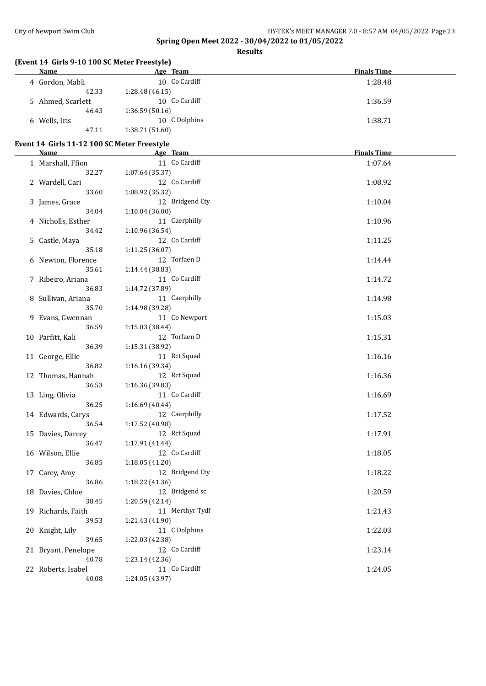$\overline{a}$ 

## **Spring Open Meet 2022 - 30/04/2022 to 01/05/2022**

**Results**

#### **(Event 14 Girls 9-10 100 SC Meter Freestyle)**

| Name              | Age Team        | <b>Finals Time</b> |
|-------------------|-----------------|--------------------|
| 4 Gordon, Mabli   | 10 Co Cardiff   | 1:28.48            |
| 42.33             | 1:28.48(46.15)  |                    |
| 5 Ahmed, Scarlett | 10 Co Cardiff   | 1:36.59            |
| 46.43             | 1:36.59(50.16)  |                    |
| 6 Wells, Iris     | 10 C Dolphins   | 1:38.71            |
| 47.11             | 1:38.71 (51.60) |                    |

#### **Event 14 Girls 11-12 100 SC Meter Freestyle**

| <b>Name</b>         |       | Age Team                         | <b>Finals Time</b> |
|---------------------|-------|----------------------------------|--------------------|
| 1 Marshall, Ffion   |       | 11 Co Cardiff                    | 1:07.64            |
|                     | 32.27 | 1:07.64 (35.37)                  |                    |
| 2 Wardell, Cari     |       | 12 Co Cardiff                    | 1:08.92            |
|                     | 33.60 | 1:08.92 (35.32)                  |                    |
| 3 James, Grace      |       | 12 Bridgend Cty                  | 1:10.04            |
|                     | 34.04 | 1:10.04 (36.00)                  |                    |
| 4 Nicholls, Esther  |       | 11 Caerphilly                    | 1:10.96            |
|                     | 34.42 | 1:10.96 (36.54)                  |                    |
| 5 Castle, Maya      |       | 12 Co Cardiff                    | 1:11.25            |
|                     | 35.18 | 1:11.25 (36.07)                  |                    |
| 6 Newton, Florence  |       | 12 Torfaen D                     | 1:14.44            |
|                     | 35.61 | 1:14.44 (38.83)                  |                    |
| 7 Ribeiro, Ariana   |       | 11 Co Cardiff                    | 1:14.72            |
|                     | 36.83 | 1:14.72 (37.89)                  |                    |
| 8 Sullivan, Ariana  |       | 11 Caerphilly                    | 1:14.98            |
|                     | 35.70 | 1:14.98 (39.28)                  |                    |
| 9 Evans, Gwennan    |       | 11 Co Newport                    | 1:15.03            |
|                     | 36.59 | 1:15.03 (38.44)                  |                    |
| 10 Parfitt, Kali    |       | 12 Torfaen D                     | 1:15.31            |
|                     | 36.39 | 1:15.31 (38.92)                  |                    |
| 11 George, Ellie    |       | 11 Rct Squad                     | 1:16.16            |
|                     | 36.82 | 1:16.16 (39.34)                  |                    |
| 12 Thomas, Hannah   |       | 12 Rct Squad                     | 1:16.36            |
|                     | 36.53 | 1:16.36 (39.83)                  |                    |
| 13 Ling, Olivia     |       | 11 Co Cardiff                    | 1:16.69            |
|                     | 36.25 | 1:16.69 (40.44)                  |                    |
| 14 Edwards, Carys   |       | 12 Caerphilly                    | 1:17.52            |
|                     | 36.54 | 1:17.52 (40.98)                  |                    |
| 15 Davies, Darcey   |       | 12 Rct Squad                     | 1:17.91            |
|                     | 36.47 | 1:17.91 (41.44)                  |                    |
| 16 Wilson, Ellie    |       | 12 Co Cardiff                    | 1:18.05            |
|                     | 36.85 | 1:18.05(41.20)                   |                    |
| 17 Carey, Amy       |       | 12 Bridgend Cty                  | 1:18.22            |
|                     | 36.86 | 1:18.22 (41.36)                  |                    |
| 18 Davies, Chloe    |       | 12 Bridgend sc                   | 1:20.59            |
|                     | 38.45 | 1:20.59 (42.14)                  |                    |
| 19 Richards, Faith  |       | 11 Merthyr Tydf                  | 1:21.43            |
|                     | 39.53 | 1:21.43 (41.90)                  |                    |
| 20 Knight, Lily     | 39.65 | 11 C Dolphins<br>1:22.03 (42.38) | 1:22.03            |
|                     |       | 12 Co Cardiff                    | 1:23.14            |
| 21 Bryant, Penelope | 40.78 | 1:23.14 (42.36)                  |                    |
| 22 Roberts, Isabel  |       | 11 Co Cardiff                    | 1:24.05            |
|                     | 40.08 | 1:24.05 (43.97)                  |                    |
|                     |       |                                  |                    |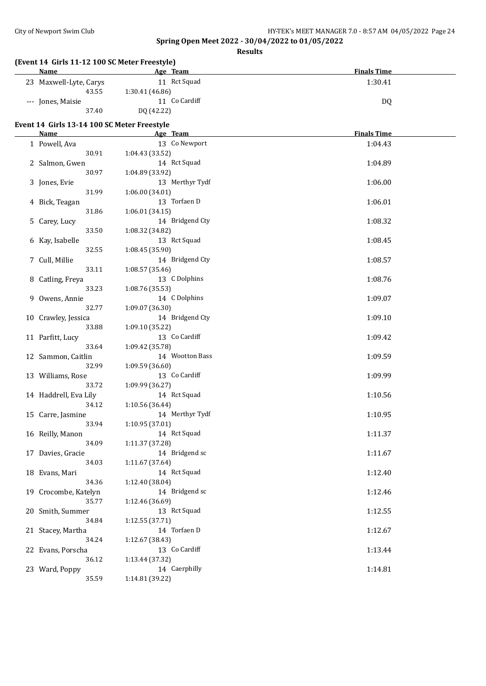| (Event 14 Girls 11-12 100 SC Meter Freestyle)<br>Name | Age Team                           | <b>Finals Time</b> |
|-------------------------------------------------------|------------------------------------|--------------------|
| 23 Maxwell-Lyte, Carys                                | 11 Rct Squad                       | 1:30.41            |
| 43.55                                                 | 1:30.41 (46.86)                    |                    |
| --- Jones, Maisie                                     | 11 Co Cardiff                      | DQ                 |
| 37.40                                                 | DQ (42.22)                         |                    |
|                                                       |                                    |                    |
| Event 14 Girls 13-14 100 SC Meter Freestyle<br>Name   | Age Team                           | <b>Finals Time</b> |
| 1 Powell, Ava                                         | 13 Co Newport                      | 1:04.43            |
| 30.91                                                 | 1:04.43 (33.52)                    |                    |
| 2 Salmon, Gwen                                        | 14 Rct Squad                       | 1:04.89            |
| 30.97                                                 | 1:04.89 (33.92)                    |                    |
| 3 Jones, Evie                                         | 13 Merthyr Tydf                    | 1:06.00            |
| 31.99                                                 | 1:06.00 (34.01)                    |                    |
| 4 Bick, Teagan                                        | 13 Torfaen D                       | 1:06.01            |
| 31.86                                                 | 1:06.01(34.15)                     |                    |
| 5 Carey, Lucy                                         | 14 Bridgend Cty                    | 1:08.32            |
| 33.50                                                 | 1:08.32 (34.82)                    |                    |
| 6 Kay, Isabelle                                       | 13 Rct Squad                       | 1:08.45            |
| 32.55                                                 | 1:08.45 (35.90)                    |                    |
| 7 Cull, Millie                                        | 14 Bridgend Cty                    | 1:08.57            |
| 33.11                                                 | 1:08.57 (35.46)                    |                    |
| 8 Catling, Freya                                      | 13 C Dolphins                      | 1:08.76            |
| 33.23                                                 | 1:08.76 (35.53)                    |                    |
| 9 Owens, Annie                                        | 14 C Dolphins                      | 1:09.07            |
| 32.77                                                 | 1:09.07 (36.30)                    |                    |
| 10 Crawley, Jessica                                   | 14 Bridgend Cty                    | 1:09.10            |
| 33.88                                                 | 1:09.10 (35.22)                    |                    |
| 11 Parfitt, Lucy                                      | 13 Co Cardiff                      | 1:09.42            |
| 33.64                                                 | 1:09.42 (35.78)                    |                    |
| 12 Sammon, Caitlin                                    | 14 Wootton Bass                    | 1:09.59            |
| 32.99                                                 | 1:09.59 (36.60)                    |                    |
| 13 Williams, Rose                                     | 13 Co Cardiff                      | 1:09.99            |
| 33.72                                                 | 1:09.99 (36.27)                    |                    |
| 14 Haddrell, Eva Lily                                 | 14 Rct Squad                       | 1:10.56            |
| 34.12                                                 | 1:10.56 (36.44)<br>14 Merthyr Tydf |                    |
| 15 Carre, Jasmine<br>33.94                            | 1:10.95 (37.01)                    | 1:10.95            |
| 16 Reilly, Manon                                      | 14 Rct Squad                       | 1:11.37            |
| 34.09                                                 | 1:11.37 (37.28)                    |                    |
| 17 Davies, Gracie                                     | 14 Bridgend sc                     | 1:11.67            |
| 34.03                                                 | 1:11.67 (37.64)                    |                    |
| 18 Evans, Mari                                        | 14 Rct Squad                       | 1:12.40            |
| 34.36                                                 | 1:12.40 (38.04)                    |                    |
| 19 Crocombe, Katelyn                                  | 14 Bridgend sc                     | 1:12.46            |
| 35.77                                                 | 1:12.46 (36.69)                    |                    |
| 20 Smith, Summer                                      | 13 Rct Squad                       | 1:12.55            |
| 34.84                                                 | 1:12.55 (37.71)                    |                    |
| 21 Stacey, Martha                                     | 14 Torfaen D                       | 1:12.67            |
| 34.24                                                 | 1:12.67 (38.43)                    |                    |
| 22 Evans, Porscha                                     | 13 Co Cardiff                      | 1:13.44            |
| 36.12                                                 | 1:13.44 (37.32)                    |                    |
| 23 Ward, Poppy                                        | 14 Caerphilly                      | 1:14.81            |
| 35.59                                                 | 1:14.81 (39.22)                    |                    |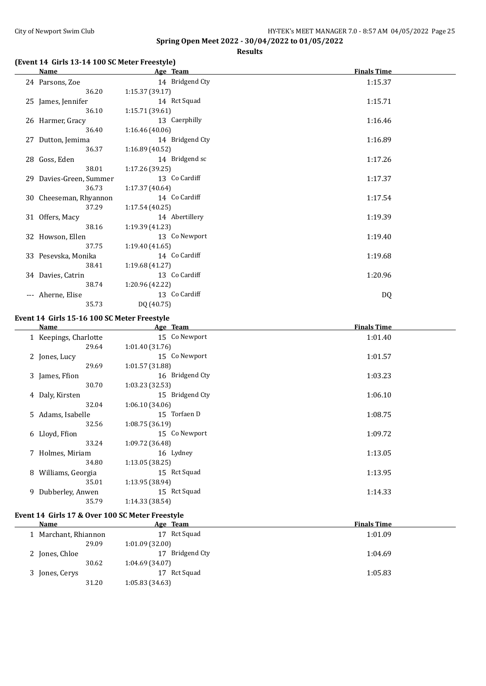**Results**

## **(Event 14 Girls 13-14 100 SC Meter Freestyle)**

| Name                    | Age Team        | <b>Finals Time</b> |
|-------------------------|-----------------|--------------------|
| 24 Parsons, Zoe         | 14 Bridgend Cty | 1:15.37            |
| 36.20                   | 1:15.37 (39.17) |                    |
| 25 James, Jennifer      | 14 Rct Squad    | 1:15.71            |
| 36.10                   | 1:15.71 (39.61) |                    |
| 26 Harmer, Gracy        | 13 Caerphilly   | 1:16.46            |
| 36.40                   | 1:16.46(40.06)  |                    |
| 27 Dutton, Jemima       | 14 Bridgend Cty | 1:16.89            |
| 36.37                   | 1:16.89(40.52)  |                    |
| 28 Goss, Eden           | 14 Bridgend sc  | 1:17.26            |
| 38.01                   | 1:17.26(39.25)  |                    |
| 29 Davies-Green, Summer | 13 Co Cardiff   | 1:17.37            |
| 36.73                   | 1:17.37 (40.64) |                    |
| 30 Cheeseman, Rhyannon  | 14 Co Cardiff   | 1:17.54            |
| 37.29                   | 1:17.54(40.25)  |                    |
| 31 Offers, Macy         | 14 Abertillery  | 1:19.39            |
| 38.16                   | 1:19.39 (41.23) |                    |
| 32 Howson, Ellen        | 13 Co Newport   | 1:19.40            |
| 37.75                   | 1:19.40(41.65)  |                    |
| 33 Pesevska, Monika     | 14 Co Cardiff   | 1:19.68            |
| 38.41                   | 1:19.68 (41.27) |                    |
| 34 Davies, Catrin       | 13 Co Cardiff   | 1:20.96            |
| 38.74                   | 1:20.96 (42.22) |                    |
| --- Aherne, Elise       | 13 Co Cardiff   | DQ                 |
| 35.73                   | DQ (40.75)      |                    |

#### **Event 14 Girls 15-16 100 SC Meter Freestyle**

| Name                  | Age Team        | <b>Finals Time</b> |
|-----------------------|-----------------|--------------------|
| 1 Keepings, Charlotte | 15 Co Newport   | 1:01.40            |
| 29.64                 | 1:01.40(31.76)  |                    |
| 2 Jones, Lucy         | 15 Co Newport   | 1:01.57            |
| 29.69                 | 1:01.57 (31.88) |                    |
| 3 James, Ffion        | 16 Bridgend Cty | 1:03.23            |
| 30.70                 | 1:03.23 (32.53) |                    |
| 4 Daly, Kirsten       | 15 Bridgend Cty | 1:06.10            |
| 32.04                 | 1:06.10(34.06)  |                    |
| 5 Adams, Isabelle     | 15 Torfaen D    | 1:08.75            |
| 32.56                 | 1:08.75(36.19)  |                    |
| 6 Lloyd, Ffion        | 15 Co Newport   | 1:09.72            |
| 33.24                 | 1:09.72 (36.48) |                    |
| 7 Holmes, Miriam      | 16 Lydney       | 1:13.05            |
| 34.80                 | 1:13.05(38.25)  |                    |
| 8 Williams, Georgia   | 15 Rct Squad    | 1:13.95            |
| 35.01                 | 1:13.95 (38.94) |                    |
| 9 Dubberley, Anwen    | 15 Rct Squad    | 1:14.33            |
| 35.79                 | 1:14.33 (38.54) |                    |
|                       |                 |                    |

## **Event 14 Girls 17 & Over 100 SC Meter Freestyle**

| Name                 | Age Team        | <b>Finals Time</b> |
|----------------------|-----------------|--------------------|
| 1 Marchant, Rhiannon | Rct Squad<br>17 | 1:01.09            |
| 29.09                | 1:01.09(32.00)  |                    |
| 2 Jones, Chloe       | Bridgend Cty    | 1:04.69            |
| 30.62                | 1:04.69(34.07)  |                    |
| 3 Jones, Cerys       | Rct Squad<br>17 | 1:05.83            |
| 31.20                | 1:05.83(34.63)  |                    |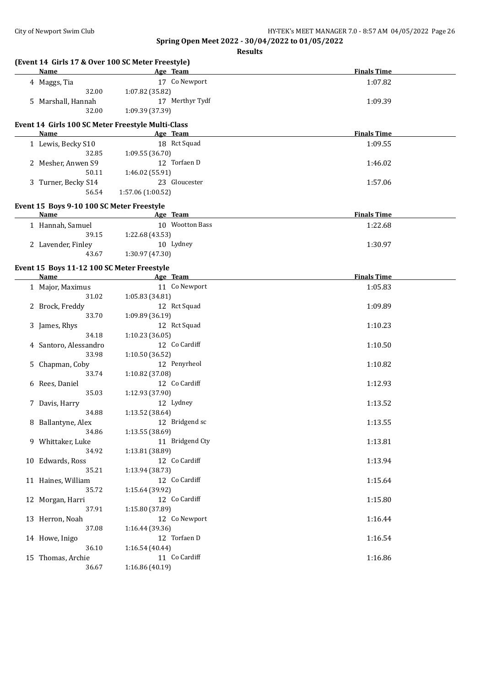**Spring Open Meet 2022 - 30/04/2022 to 01/05/2022 Results**

| (Event 14 Girls 17 & Over 100 SC Meter Freestyle)         |                   |                 |                    |  |
|-----------------------------------------------------------|-------------------|-----------------|--------------------|--|
| Name                                                      | Age Team          |                 | <b>Finals Time</b> |  |
| 4 Maggs, Tia                                              |                   | 17 Co Newport   | 1:07.82            |  |
| 32.00                                                     | 1:07.82 (35.82)   |                 |                    |  |
| 5 Marshall, Hannah                                        |                   | 17 Merthyr Tydf | 1:09.39            |  |
| 32.00                                                     | 1:09.39 (37.39)   |                 |                    |  |
| Event 14 Girls 100 SC Meter Freestyle Multi-Class         |                   |                 |                    |  |
| Name                                                      | Age Team          |                 | <b>Finals Time</b> |  |
| 1 Lewis, Becky S10                                        |                   | 18 Rct Squad    | 1:09.55            |  |
| 32.85                                                     | 1:09.55 (36.70)   |                 |                    |  |
| 2 Mesher, Anwen S9                                        |                   | 12 Torfaen D    | 1:46.02            |  |
| 50.11                                                     | 1:46.02 (55.91)   |                 |                    |  |
| 3 Turner, Becky S14                                       |                   | 23 Gloucester   | 1:57.06            |  |
| 56.54                                                     | 1:57.06 (1:00.52) |                 |                    |  |
| Event 15 Boys 9-10 100 SC Meter Freestyle                 |                   |                 |                    |  |
| Name                                                      | Age Team          |                 | <b>Finals Time</b> |  |
| 1 Hannah, Samuel                                          |                   | 10 Wootton Bass | 1:22.68            |  |
| 39.15                                                     | 1:22.68 (43.53)   |                 |                    |  |
| 2 Lavender, Finley                                        |                   | 10 Lydney       | 1:30.97            |  |
| 43.67                                                     | 1:30.97 (47.30)   |                 |                    |  |
|                                                           |                   |                 |                    |  |
| Event 15 Boys 11-12 100 SC Meter Freestyle<br><b>Name</b> | Age Team          |                 | <b>Finals Time</b> |  |
| 1 Major, Maximus                                          |                   | 11 Co Newport   | 1:05.83            |  |
| 31.02                                                     | 1:05.83 (34.81)   |                 |                    |  |
| 2 Brock, Freddy                                           |                   | 12 Rct Squad    | 1:09.89            |  |
| 33.70                                                     | 1:09.89 (36.19)   |                 |                    |  |
| 3 James, Rhys                                             |                   | 12 Rct Squad    | 1:10.23            |  |
| 34.18                                                     | 1:10.23(36.05)    |                 |                    |  |
| 4 Santoro, Alessandro                                     |                   | 12 Co Cardiff   | 1:10.50            |  |
| 33.98                                                     | 1:10.50 (36.52)   |                 |                    |  |
| 5 Chapman, Coby                                           |                   | 12 Penyrheol    | 1:10.82            |  |
| 33.74                                                     | 1:10.82 (37.08)   |                 |                    |  |
| 6 Rees, Daniel                                            |                   | 12 Co Cardiff   | 1:12.93            |  |
| 35.03                                                     | 1:12.93 (37.90)   |                 |                    |  |
| 7 Davis, Harry                                            |                   | 12 Lydney       | 1:13.52            |  |
| 34.88                                                     | 1:13.52 (38.64)   |                 |                    |  |
| 8 Ballantyne, Alex                                        |                   | 12 Bridgend sc  | 1:13.55            |  |
| 34.86                                                     | 1:13.55(38.69)    |                 |                    |  |
| 9 Whittaker, Luke                                         |                   | 11 Bridgend Cty | 1:13.81            |  |
| 34.92                                                     | 1:13.81 (38.89)   |                 |                    |  |
| 10 Edwards, Ross                                          |                   | 12 Co Cardiff   | 1:13.94            |  |
| 35.21                                                     | 1:13.94 (38.73)   |                 |                    |  |
| 11 Haines, William                                        |                   | 12 Co Cardiff   | 1:15.64            |  |
| 35.72                                                     | 1:15.64 (39.92)   |                 |                    |  |
| 12 Morgan, Harri                                          |                   | 12 Co Cardiff   | 1:15.80            |  |
| 37.91                                                     | 1:15.80 (37.89)   |                 |                    |  |
| 13 Herron, Noah                                           |                   | 12 Co Newport   | 1:16.44            |  |
| 37.08                                                     | 1:16.44 (39.36)   |                 |                    |  |
| 14 Howe, Inigo                                            |                   | 12 Torfaen D    | 1:16.54            |  |
| 36.10                                                     | 1:16.54 (40.44)   |                 |                    |  |
| 15 Thomas, Archie                                         |                   | 11 Co Cardiff   | 1:16.86            |  |
| 36.67                                                     | 1:16.86 (40.19)   |                 |                    |  |
|                                                           |                   |                 |                    |  |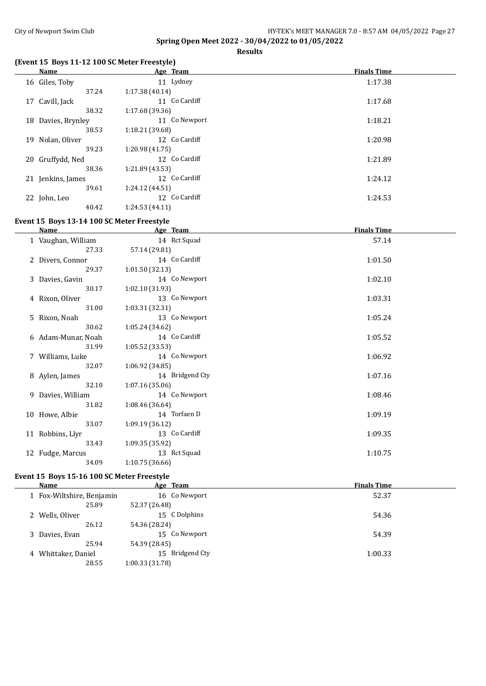**Results**

## **(Event 15 Boys 11-12 100 SC Meter Freestyle)**

|    | Name               | Age Team       | <b>Finals Time</b> |
|----|--------------------|----------------|--------------------|
|    | 16 Giles, Toby     | 11 Lydney      | 1:17.38            |
|    | 37.24              | 1:17.38(40.14) |                    |
|    | 17 Cavill, Jack    | 11 Co Cardiff  | 1:17.68            |
|    | 38.32              | 1:17.68(39.36) |                    |
|    | 18 Davies, Brynley | 11 Co Newport  | 1:18.21            |
|    | 38.53              | 1:18.21(39.68) |                    |
| 19 | Nolan, Oliver      | 12 Co Cardiff  | 1:20.98            |
|    | 39.23              | 1:20.98(41.75) |                    |
|    | 20 Gruffydd, Ned   | 12 Co Cardiff  | 1:21.89            |
|    | 38.36              | 1:21.89(43.53) |                    |
|    | 21 Jenkins, James  | 12 Co Cardiff  | 1:24.12            |
|    | 39.61              | 1:24.12(44.51) |                    |
|    | 22 John, Leo       | 12 Co Cardiff  | 1:24.53            |
|    | 40.42              | 1:24.53(44.11) |                    |

## **Event 15 Boys 13-14 100 SC Meter Freestyle**

| <b>Name</b>        | Age Team        | <b>Finals Time</b> |
|--------------------|-----------------|--------------------|
| 1 Vaughan, William | 14 Rct Squad    | 57.14              |
| 27.33              | 57.14 (29.81)   |                    |
| 2 Divers, Connor   | 14 Co Cardiff   | 1:01.50            |
| 29.37              | 1:01.50(32.13)  |                    |
| 3 Davies, Gavin    | 14 Co Newport   | 1:02.10            |
| 30.17              | 1:02.10 (31.93) |                    |
| 4 Rixon, Oliver    | 13 Co Newport   | 1:03.31            |
| 31.00              | 1:03.31 (32.31) |                    |
| 5 Rixon, Noah      | 13 Co Newport   | 1:05.24            |
| 30.62              | 1:05.24(34.62)  |                    |
| 6 Adam-Munar, Noah | 14 Co Cardiff   | 1:05.52            |
| 31.99              | 1:05.52(33.53)  |                    |
| 7 Williams, Luke   | 14 Co Newport   | 1:06.92            |
| 32.07              | 1:06.92(34.85)  |                    |
| 8 Aylen, James     | 14 Bridgend Cty | 1:07.16            |
| 32.10              | 1:07.16(35.06)  |                    |
| 9 Davies, William  | 14 Co Newport   | 1:08.46            |
| 31.82              | 1:08.46(36.64)  |                    |
| 10 Howe, Albie     | 14 Torfaen D    | 1:09.19            |
| 33.07              | 1:09.19(36.12)  |                    |
| 11 Robbins, Llyr   | 13 Co Cardiff   | 1:09.35            |
| 33.43              | 1:09.35(35.92)  |                    |
| 12 Fudge, Marcus   | 13 Rct Squad    | 1:10.75            |
| 34.09              | 1:10.75(36.66)  |                    |

## **Event 15 Boys 15-16 100 SC Meter Freestyle**

| Name                      |                | Age Team        | <b>Finals Time</b> |  |
|---------------------------|----------------|-----------------|--------------------|--|
| 1 Fox-Wiltshire, Benjamin |                | 16 Co Newport   | 52.37              |  |
| 25.89                     | 52.37 (26.48)  |                 |                    |  |
| 2 Wells, Oliver           |                | 15 C Dolphins   | 54.36              |  |
| 26.12                     | 54.36 (28.24)  |                 |                    |  |
| 3 Davies, Evan            |                | 15 Co Newport   | 54.39              |  |
| 25.94                     | 54.39 (28.45)  |                 |                    |  |
| 4 Whittaker, Daniel       |                | 15 Bridgend Cty | 1:00.33            |  |
| 28.55                     | 1:00.33(31.78) |                 |                    |  |
|                           |                |                 |                    |  |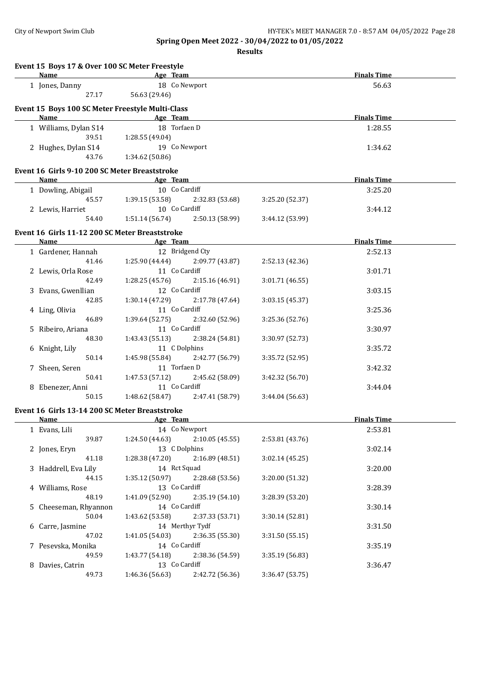| Event 15 Boys 17 & Over 100 SC Meter Freestyle         |                                                                                                                                                                                                                                    |                                                                                           |                 |                    |  |
|--------------------------------------------------------|------------------------------------------------------------------------------------------------------------------------------------------------------------------------------------------------------------------------------------|-------------------------------------------------------------------------------------------|-----------------|--------------------|--|
| <b>Name</b>                                            | <b>Example 2</b> Age Team                                                                                                                                                                                                          | the control of the control of the control of the control of the control of the control of |                 | <b>Finals Time</b> |  |
| 1 Jones, Danny                                         |                                                                                                                                                                                                                                    | 18 Co Newport                                                                             |                 | 56.63              |  |
| 27.17                                                  | 56.63 (29.46)                                                                                                                                                                                                                      |                                                                                           |                 |                    |  |
| Event 15 Boys 100 SC Meter Freestyle Multi-Class       |                                                                                                                                                                                                                                    |                                                                                           |                 |                    |  |
| Name Age Team                                          |                                                                                                                                                                                                                                    |                                                                                           |                 | <b>Finals Time</b> |  |
| 1 Williams, Dylan S14                                  |                                                                                                                                                                                                                                    | 18 Torfaen D                                                                              |                 | 1:28.55            |  |
| 39.51                                                  | 1:28.55 (49.04)                                                                                                                                                                                                                    |                                                                                           |                 |                    |  |
| 2 Hughes, Dylan S14                                    |                                                                                                                                                                                                                                    | 19 Co Newport                                                                             |                 | 1:34.62            |  |
| 43.76                                                  | 1:34.62 (50.86)                                                                                                                                                                                                                    |                                                                                           |                 |                    |  |
| Event 16 Girls 9-10 200 SC Meter Breaststroke          |                                                                                                                                                                                                                                    |                                                                                           |                 |                    |  |
| Name                                                   | <b>Example 2</b> and 2 and 2 and 2 and 2 and 2 and 2 and 2 and 2 and 2 and 2 and 2 and 2 and 2 and 2 and 2 and 2 and 2 and 2 and 2 and 2 and 2 and 2 and 2 and 2 and 2 and 2 and 2 and 2 and 2 and 2 and 2 and 2 and 2 and 2 and 2 |                                                                                           |                 | <b>Finals Time</b> |  |
| 1 Dowling, Abigail                                     |                                                                                                                                                                                                                                    | 10 Co Cardiff                                                                             |                 | 3:25.20            |  |
|                                                        |                                                                                                                                                                                                                                    | 45.57 1:39.15 (53.58) 2:32.83 (53.68)                                                     | 3:25.20 (52.37) |                    |  |
| 2 Lewis, Harriet                                       |                                                                                                                                                                                                                                    | 10 Co Cardiff                                                                             |                 | 3:44.12            |  |
| 54.40                                                  |                                                                                                                                                                                                                                    | $1:51.14(56.74)$ $2:50.13(58.99)$                                                         | 3:44.12 (53.99) |                    |  |
|                                                        |                                                                                                                                                                                                                                    |                                                                                           |                 |                    |  |
| Event 16 Girls 11-12 200 SC Meter Breaststroke<br>Name | <b>Example 2016</b> Age Team                                                                                                                                                                                                       |                                                                                           |                 | <b>Finals Time</b> |  |
| 1 Gardener, Hannah                                     |                                                                                                                                                                                                                                    | 12 Bridgend Cty                                                                           |                 | 2:52.13            |  |
| 41.46                                                  | 1:25.90 (44.44)                                                                                                                                                                                                                    | 2:09.77 (43.87)                                                                           | 2:52.13 (42.36) |                    |  |
| 2 Lewis, Orla Rose                                     |                                                                                                                                                                                                                                    | 11 Co Cardiff                                                                             |                 | 3:01.71            |  |
| 42.49                                                  | 1:28.25(45.76)                                                                                                                                                                                                                     | 2:15.16 (46.91)                                                                           | 3:01.71(46.55)  |                    |  |
|                                                        |                                                                                                                                                                                                                                    | 12 Co Cardiff                                                                             |                 |                    |  |
| 3 Evans, Gwenllian                                     |                                                                                                                                                                                                                                    |                                                                                           |                 | 3:03.15            |  |
| 42.85                                                  | 1:30.14 (47.29)                                                                                                                                                                                                                    | 2:17.78(47.64)                                                                            | 3:03.15 (45.37) |                    |  |
| 4 Ling, Olivia                                         |                                                                                                                                                                                                                                    | 11 Co Cardiff                                                                             |                 | 3:25.36            |  |
| 46.89                                                  | 1:39.64 (52.75)                                                                                                                                                                                                                    | 2:32.60 (52.96)                                                                           | 3:25.36(52.76)  |                    |  |
| 5 Ribeiro, Ariana                                      |                                                                                                                                                                                                                                    | 11 Co Cardiff                                                                             |                 | 3:30.97            |  |
| 48.30                                                  | 1:43.43(55.13)                                                                                                                                                                                                                     | 2:38.24 (54.81)                                                                           | 3:30.97 (52.73) |                    |  |
| 6 Knight, Lily                                         |                                                                                                                                                                                                                                    | 11 C Dolphins                                                                             |                 | 3:35.72            |  |
| 50.14                                                  | 1:45.98 (55.84)                                                                                                                                                                                                                    | 2:42.77 (56.79)                                                                           | 3:35.72 (52.95) |                    |  |
| 7 Sheen, Seren                                         |                                                                                                                                                                                                                                    | 11 Torfaen D                                                                              |                 | 3:42.32            |  |
| 50.41                                                  | 1:47.53 (57.12)                                                                                                                                                                                                                    | 2:45.62 (58.09)                                                                           | 3:42.32 (56.70) |                    |  |
| 8 Ebenezer, Anni                                       |                                                                                                                                                                                                                                    | 11 Co Cardiff                                                                             |                 | 3:44.04            |  |
| 50.15                                                  | 1:48.62 (58.47)                                                                                                                                                                                                                    | 2:47.41 (58.79)                                                                           | 3:44.04 (56.63) |                    |  |
| Event 16 Girls 13-14 200 SC Meter Breaststroke         |                                                                                                                                                                                                                                    |                                                                                           |                 |                    |  |
| <b>Name</b>                                            | Age Team                                                                                                                                                                                                                           |                                                                                           |                 | <b>Finals Time</b> |  |
| 1 Evans, Lili                                          |                                                                                                                                                                                                                                    | 14 Co Newport                                                                             |                 | 2:53.81            |  |
| 39.87                                                  | 1:24.50(44.63)                                                                                                                                                                                                                     | 2:10.05(45.55)                                                                            | 2:53.81 (43.76) |                    |  |
| 2 Jones, Eryn                                          |                                                                                                                                                                                                                                    | 13 C Dolphins                                                                             |                 | 3:02.14            |  |
| 41.18                                                  | 1:28.38 (47.20)                                                                                                                                                                                                                    | 2:16.89 (48.51)                                                                           | 3:02.14(45.25)  |                    |  |
| 3 Haddrell, Eva Lily                                   |                                                                                                                                                                                                                                    | 14 Rct Squad                                                                              |                 | 3:20.00            |  |
| 44.15                                                  | 1:35.12 (50.97)                                                                                                                                                                                                                    | 2:28.68 (53.56)                                                                           | 3:20.00 (51.32) |                    |  |
| 4 Williams, Rose                                       |                                                                                                                                                                                                                                    | 13 Co Cardiff                                                                             |                 | 3:28.39            |  |
| 48.19                                                  | 1:41.09(52.90)                                                                                                                                                                                                                     | 2:35.19 (54.10)                                                                           | 3:28.39 (53.20) |                    |  |
| 5 Cheeseman, Rhyannon                                  |                                                                                                                                                                                                                                    | 14 Co Cardiff                                                                             |                 | 3:30.14            |  |
| 50.04                                                  | 1:43.62 (53.58)                                                                                                                                                                                                                    | 2:37.33 (53.71)                                                                           | 3:30.14 (52.81) |                    |  |
|                                                        |                                                                                                                                                                                                                                    | 14 Merthyr Tydf                                                                           |                 |                    |  |
| 6 Carre, Jasmine                                       |                                                                                                                                                                                                                                    |                                                                                           |                 | 3:31.50            |  |
| 47.02                                                  | 1:41.05(54.03)                                                                                                                                                                                                                     | 2:36.35 (55.30)                                                                           | 3:31.50 (55.15) |                    |  |
| 7 Pesevska, Monika                                     |                                                                                                                                                                                                                                    | 14 Co Cardiff                                                                             |                 | 3:35.19            |  |
| 49.59                                                  | 1:43.77(54.18)                                                                                                                                                                                                                     | 2:38.36 (54.59)                                                                           | 3:35.19 (56.83) |                    |  |
| 8 Davies, Catrin                                       |                                                                                                                                                                                                                                    | 13 Co Cardiff                                                                             |                 | 3:36.47            |  |
| 49.73                                                  | 1:46.36 (56.63)                                                                                                                                                                                                                    | 2:42.72 (56.36)                                                                           | 3:36.47 (53.75) |                    |  |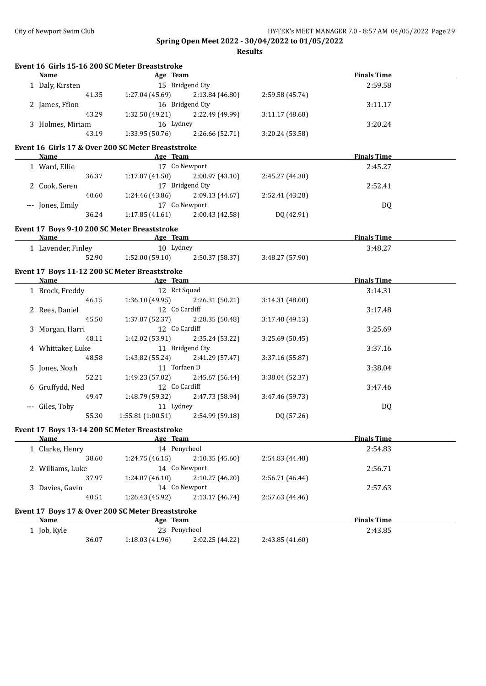| Event 16 Girls 15-16 200 SC Meter Breaststroke<br><b>Name</b><br><u> 1980 - Johann Barbara, martxa alemaniar a</u> |                                                    | Age Team and the state of the state of the state of the state of the state of the state of the state of the state of the state of the state of the state of the state of the state of the state of the state of the state of t |                 | <b>Finals Time</b> |  |
|--------------------------------------------------------------------------------------------------------------------|----------------------------------------------------|--------------------------------------------------------------------------------------------------------------------------------------------------------------------------------------------------------------------------------|-----------------|--------------------|--|
| 1 Daly, Kirsten                                                                                                    | 15 Bridgend Cty                                    |                                                                                                                                                                                                                                |                 | 2:59.58            |  |
| 41.35                                                                                                              | $1:27.04(45.69)$ $2:13.84(46.80)$                  |                                                                                                                                                                                                                                | 2:59.58 (45.74) |                    |  |
| 2 James, Ffion                                                                                                     | 16 Bridgend Cty                                    |                                                                                                                                                                                                                                |                 | 3:11.17            |  |
| 43.29                                                                                                              | 1:32.50 (49.21) 2:22.49 (49.99)                    |                                                                                                                                                                                                                                | 3:11.17(48.68)  |                    |  |
| 3 Holmes, Miriam                                                                                                   | 16 Lydney                                          |                                                                                                                                                                                                                                |                 | 3:20.24            |  |
| 43.19                                                                                                              | 1:33.95 (50.76)                                    | 2:26.66 (52.71)                                                                                                                                                                                                                | 3:20.24 (53.58) |                    |  |
|                                                                                                                    |                                                    |                                                                                                                                                                                                                                |                 |                    |  |
|                                                                                                                    | Event 16 Girls 17 & Over 200 SC Meter Breaststroke |                                                                                                                                                                                                                                |                 |                    |  |
| Name                                                                                                               | Age Team                                           |                                                                                                                                                                                                                                |                 | <b>Finals Time</b> |  |
| 1 Ward, Ellie                                                                                                      | 17 Co Newport                                      |                                                                                                                                                                                                                                |                 | 2:45.27            |  |
| 36.37                                                                                                              | 1:17.87(41.50)                                     | 2:00.97(43.10)                                                                                                                                                                                                                 | 2:45.27 (44.30) |                    |  |
| 2 Cook, Seren                                                                                                      | 17 Bridgend Cty                                    |                                                                                                                                                                                                                                |                 | 2:52.41            |  |
| 40.60                                                                                                              | 1:24.46 (43.86)                                    | 2:09.13(44.67)                                                                                                                                                                                                                 | 2:52.41 (43.28) |                    |  |
| --- Jones, Emily                                                                                                   | 17 Co Newport                                      |                                                                                                                                                                                                                                |                 | DQ                 |  |
| 36.24                                                                                                              | 1:17.85 (41.61)                                    | 2:00.43 (42.58)                                                                                                                                                                                                                | DQ (42.91)      |                    |  |
| Event 17 Boys 9-10 200 SC Meter Breaststroke                                                                       |                                                    |                                                                                                                                                                                                                                |                 |                    |  |
| <b>Name</b>                                                                                                        | <b>Example 2018</b> Age Team <b>Age 2018</b>       |                                                                                                                                                                                                                                |                 | <b>Finals Time</b> |  |
| 1 Lavender, Finley                                                                                                 | 10 Lydney                                          |                                                                                                                                                                                                                                |                 | 3:48.27            |  |
|                                                                                                                    | 52.90 1:52.00 (59.10) 2:50.37 (58.37)              |                                                                                                                                                                                                                                | 3:48.27 (57.90) |                    |  |
|                                                                                                                    | Event 17 Boys 11-12 200 SC Meter Breaststroke      |                                                                                                                                                                                                                                |                 |                    |  |
|                                                                                                                    | Name Age Team                                      |                                                                                                                                                                                                                                |                 | <b>Finals Time</b> |  |
| 1 Brock, Freddy                                                                                                    | 12 Rct Squad                                       |                                                                                                                                                                                                                                |                 | 3:14.31            |  |
| 46.15                                                                                                              | 1:36.10 (49.95)                                    | 2:26.31 (50.21)                                                                                                                                                                                                                | 3:14.31(48.00)  |                    |  |
| 2 Rees, Daniel                                                                                                     | 12 Co Cardiff                                      |                                                                                                                                                                                                                                |                 | 3:17.48            |  |
| 45.50                                                                                                              | 1:37.87 (52.37)                                    | 2:28.35 (50.48)                                                                                                                                                                                                                | 3:17.48(49.13)  |                    |  |
| 3 Morgan, Harri                                                                                                    | 12 Co Cardiff                                      |                                                                                                                                                                                                                                |                 | 3:25.69            |  |
| 48.11                                                                                                              | 1:42.02 (53.91)                                    | 2:35.24 (53.22)                                                                                                                                                                                                                | 3:25.69 (50.45) |                    |  |
| 4 Whittaker, Luke                                                                                                  | 11 Bridgend Cty                                    |                                                                                                                                                                                                                                |                 | 3:37.16            |  |
| 48.58                                                                                                              | 1:43.82 (55.24) 2:41.29 (57.47)                    |                                                                                                                                                                                                                                | 3:37.16 (55.87) |                    |  |
|                                                                                                                    | 11 Torfaen D                                       |                                                                                                                                                                                                                                |                 |                    |  |
| 5 Jones, Noah                                                                                                      |                                                    |                                                                                                                                                                                                                                |                 | 3:38.04            |  |
| 52.21                                                                                                              | 1:49.23 (57.02)                                    | 2:45.67 (56.44)                                                                                                                                                                                                                | 3:38.04 (52.37) |                    |  |
| 6 Gruffydd, Ned                                                                                                    | 12 Co Cardiff                                      |                                                                                                                                                                                                                                |                 | 3:47.46            |  |
| 49.47                                                                                                              | 1:48.79 (59.32)                                    | 2:47.73 (58.94)                                                                                                                                                                                                                | 3:47.46 (59.73) |                    |  |
| --- Giles, Toby                                                                                                    | 11 Lydney                                          |                                                                                                                                                                                                                                |                 | <b>DQ</b>          |  |
| 55.30                                                                                                              | $1:55.81(1:00.51)$ $2:54.99(59.18)$                |                                                                                                                                                                                                                                | DQ (57.26)      |                    |  |
| Event 17 Boys 13-14 200 SC Meter Breaststroke                                                                      |                                                    |                                                                                                                                                                                                                                |                 |                    |  |
| <b>Name</b>                                                                                                        | Age Team                                           |                                                                                                                                                                                                                                |                 | <b>Finals Time</b> |  |
| 1 Clarke, Henry                                                                                                    | 14 Penyrheol                                       |                                                                                                                                                                                                                                |                 | 2:54.83            |  |
| 38.60                                                                                                              | 1:24.75(46.15)                                     | 2:10.35(45.60)                                                                                                                                                                                                                 | 2:54.83 (44.48) |                    |  |
| 2 Williams, Luke                                                                                                   | 14 Co Newport                                      |                                                                                                                                                                                                                                |                 | 2:56.71            |  |
| 37.97                                                                                                              | 1:24.07(46.10)                                     | 2:10.27 (46.20)                                                                                                                                                                                                                | 2:56.71 (46.44) |                    |  |
| 3 Davies, Gavin                                                                                                    | 14 Co Newport                                      |                                                                                                                                                                                                                                |                 | 2:57.63            |  |
| 40.51                                                                                                              | 1:26.43 (45.92)                                    | 2:13.17 (46.74)                                                                                                                                                                                                                | 2:57.63 (44.46) |                    |  |
|                                                                                                                    | Event 17 Boys 17 & Over 200 SC Meter Breaststroke  |                                                                                                                                                                                                                                |                 |                    |  |
| Name                                                                                                               | Age Team                                           |                                                                                                                                                                                                                                |                 | <b>Finals Time</b> |  |
| 1 Job, Kyle                                                                                                        | 23 Penyrheol                                       |                                                                                                                                                                                                                                |                 | 2:43.85            |  |
| 36.07                                                                                                              | 1:18.03 (41.96)                                    | 2:02.25 (44.22)                                                                                                                                                                                                                | 2:43.85 (41.60) |                    |  |
|                                                                                                                    |                                                    |                                                                                                                                                                                                                                |                 |                    |  |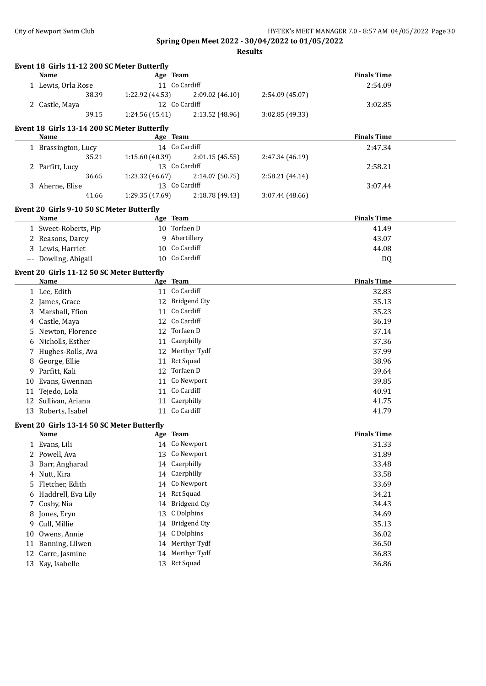|    | Event 18 Girls 11-12 200 SC Meter Butterfly |                 |                 |                 |                    |  |
|----|---------------------------------------------|-----------------|-----------------|-----------------|--------------------|--|
|    | Name                                        |                 | Age Team        |                 | <b>Finals Time</b> |  |
|    | 1 Lewis, Orla Rose                          |                 | 11 Co Cardiff   |                 | 2:54.09            |  |
|    | 38.39                                       | 1:22.92 (44.53) | 2:09.02 (46.10) | 2:54.09 (45.07) |                    |  |
|    | 2 Castle, Maya                              |                 | 12 Co Cardiff   |                 | 3:02.85            |  |
|    | 39.15                                       | 1:24.56 (45.41) | 2:13.52 (48.96) | 3:02.85 (49.33) |                    |  |
|    | Event 18 Girls 13-14 200 SC Meter Butterfly |                 |                 |                 |                    |  |
|    | Name                                        |                 | Age Team        |                 | <b>Finals Time</b> |  |
|    | 1 Brassington, Lucy                         |                 | 14 Co Cardiff   |                 | 2:47.34            |  |
|    | 35.21                                       | 1:15.60 (40.39) | 2:01.15 (45.55) | 2:47.34 (46.19) |                    |  |
|    | 2 Parfitt, Lucy                             |                 | 13 Co Cardiff   |                 | 2:58.21            |  |
|    | 36.65                                       | 1:23.32 (46.67) | 2:14.07 (50.75) | 2:58.21 (44.14) |                    |  |
|    | 3 Aherne, Elise                             |                 | 13 Co Cardiff   |                 | 3:07.44            |  |
|    | 41.66                                       | 1:29.35 (47.69) | 2:18.78 (49.43) | 3:07.44 (48.66) |                    |  |
|    | Event 20 Girls 9-10 50 SC Meter Butterfly   |                 |                 |                 |                    |  |
|    | Name                                        |                 | Age Team        |                 | <b>Finals Time</b> |  |
|    | 1 Sweet-Roberts, Pip                        |                 | 10 Torfaen D    |                 | 41.49              |  |
|    | 2 Reasons, Darcy                            |                 | 9 Abertillery   |                 | 43.07              |  |
|    | 3 Lewis, Harriet                            |                 | 10 Co Cardiff   |                 | 44.08              |  |
|    | --- Dowling, Abigail                        |                 | 10 Co Cardiff   |                 | DQ                 |  |
|    | Event 20 Girls 11-12 50 SC Meter Butterfly  |                 |                 |                 |                    |  |
|    | Name                                        |                 | Age Team        |                 | <b>Finals Time</b> |  |
|    | 1 Lee, Edith                                |                 | 11 Co Cardiff   |                 | 32.83              |  |
|    | 2 James, Grace                              |                 | 12 Bridgend Cty |                 | 35.13              |  |
|    | 3 Marshall, Ffion                           |                 | 11 Co Cardiff   |                 | 35.23              |  |
|    | 4 Castle, Maya                              |                 | 12 Co Cardiff   |                 | 36.19              |  |
|    | 5 Newton, Florence                          |                 | 12 Torfaen D    |                 | 37.14              |  |
|    | 6 Nicholls, Esther                          |                 | 11 Caerphilly   |                 | 37.36              |  |
|    | 7 Hughes-Rolls, Ava                         |                 | 12 Merthyr Tydf |                 | 37.99              |  |
|    | 8 George, Ellie                             |                 | 11 Rct Squad    |                 | 38.96              |  |
|    | 9 Parfitt, Kali                             |                 | 12 Torfaen D    |                 | 39.64              |  |
|    | 10 Evans, Gwennan                           |                 | 11 Co Newport   |                 | 39.85              |  |
|    | 11 Tejedo, Lola                             |                 | 11 Co Cardiff   |                 | 40.91              |  |
|    | 12 Sullivan, Ariana                         |                 | 11 Caerphilly   |                 | 41.75              |  |
|    | 13 Roberts, Isabel                          |                 | 11 Co Cardiff   |                 | 41.79              |  |
|    | Event 20 Girls 13-14 50 SC Meter Butterfly  |                 |                 |                 |                    |  |
|    | <u>Name</u>                                 |                 | Age Team        |                 | <b>Finals Time</b> |  |
|    | 1 Evans, Lili                               |                 | 14 Co Newport   |                 | 31.33              |  |
|    | 2 Powell, Ava                               |                 | 13 Co Newport   |                 | 31.89              |  |
| 3. | Barr, Angharad                              |                 | 14 Caerphilly   |                 | 33.48              |  |
| 4  | Nutt, Kira                                  | 14              | Caerphilly      |                 | 33.58              |  |
| 5. | Fletcher, Edith                             | 14              | Co Newport      |                 | 33.69              |  |
| 6  | Haddrell, Eva Lily                          |                 | 14 Rct Squad    |                 | 34.21              |  |
| 7  | Cosby, Nia                                  |                 | 14 Bridgend Cty |                 | 34.43              |  |
| 8  | Jones, Eryn                                 | 13              | C Dolphins      |                 | 34.69              |  |
| 9  | Cull, Millie                                |                 | 14 Bridgend Cty |                 | 35.13              |  |
| 10 | Owens, Annie                                |                 | 14 C Dolphins   |                 | 36.02              |  |
|    | 11 Banning, Lilwen                          |                 | 14 Merthyr Tydf |                 | 36.50              |  |
|    | 12 Carre, Jasmine                           |                 | 14 Merthyr Tydf |                 | 36.83              |  |
|    | 13 Kay, Isabelle                            |                 | 13 Rct Squad    |                 | 36.86              |  |
|    |                                             |                 |                 |                 |                    |  |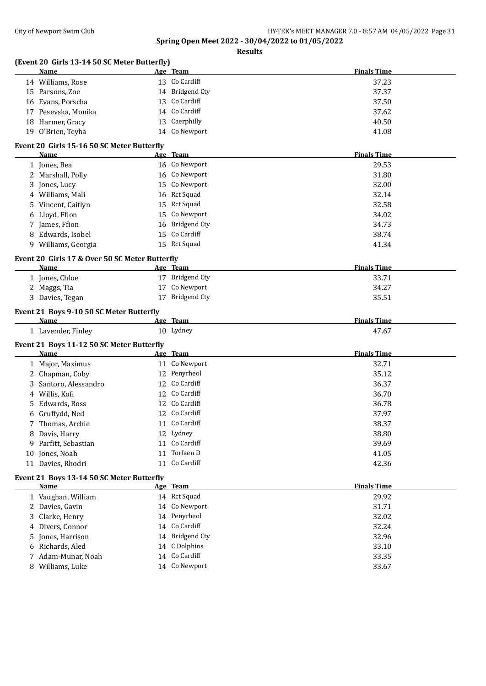|    | (Event 20 Girls 13-14 50 SC Meter Butterfly)              |                                |                    |
|----|-----------------------------------------------------------|--------------------------------|--------------------|
|    | Name                                                      | Age Team                       | <b>Finals Time</b> |
|    | 14 Williams, Rose                                         | 13 Co Cardiff                  | 37.23              |
|    | 15 Parsons, Zoe                                           | 14 Bridgend Cty                | 37.37              |
|    | 16 Evans, Porscha                                         | 13 Co Cardiff                  | 37.50              |
|    | 17 Pesevska, Monika                                       | 14 Co Cardiff                  | 37.62              |
|    | 18 Harmer, Gracy                                          | 13 Caerphilly                  | 40.50              |
|    | 19 O'Brien, Teyha                                         | 14 Co Newport                  | 41.08              |
|    | Event 20 Girls 15-16 50 SC Meter Butterfly<br><b>Name</b> | Age Team                       | <b>Finals Time</b> |
|    |                                                           | 16 Co Newport                  |                    |
|    | 1 Jones, Bea                                              |                                | 29.53              |
|    | 2 Marshall, Polly                                         | 16 Co Newport                  | 31.80              |
| 3  | Jones, Lucy                                               | 15 Co Newport                  | 32.00              |
|    | 4 Williams, Mali                                          | 16 Rct Squad                   | 32.14              |
| 5. | Vincent, Caitlyn                                          | 15 Rct Squad                   | 32.58              |
|    | 6 Lloyd, Ffion                                            | 15 Co Newport                  | 34.02              |
|    | 7 James, Ffion                                            | 16 Bridgend Cty                | 34.73              |
|    | 8 Edwards, Isobel                                         | 15 Co Cardiff                  | 38.74              |
|    | 9 Williams, Georgia                                       | 15 Rct Squad                   | 41.34              |
|    | Event 20 Girls 17 & Over 50 SC Meter Butterfly            |                                |                    |
|    | Name                                                      | Age Team                       | <b>Finals Time</b> |
|    | 1 Jones, Chloe                                            | 17 Bridgend Cty                | 33.71              |
|    | 2 Maggs, Tia                                              | 17 Co Newport                  | 34.27              |
|    | 3 Davies, Tegan                                           | 17 Bridgend Cty                | 35.51              |
|    | Event 21 Boys 9-10 50 SC Meter Butterfly                  |                                |                    |
|    | Name                                                      | Age Team                       | <b>Finals Time</b> |
|    | 1 Lavender, Finley                                        | 10 Lydney                      | 47.67              |
|    | Event 21 Boys 11-12 50 SC Meter Butterfly<br>Name         | Age Team                       | <b>Finals Time</b> |
|    | 1 Major, Maximus                                          | 11 Co Newport                  | 32.71              |
|    | 2 Chapman, Coby                                           | 12 Penyrheol                   | 35.12              |
|    | Santoro, Alessandro                                       | 12 Co Cardiff                  | 36.37              |
|    | 4 Willis, Kofi                                            | 12 Co Cardiff                  | 36.70              |
|    | Edwards, Ross                                             | 12 Co Cardiff                  | 36.78              |
|    | 6 Gruffydd, Ned                                           | 12 Co Cardiff                  | 37.97              |
|    | 7 Thomas, Archie                                          | 11 Co Cardiff                  | 38.37              |
|    |                                                           | 12 Lydney                      | 38.80              |
|    | 8 Davis, Harry                                            | 11 Co Cardiff                  | 39.69              |
| 9  | Parfitt, Sebastian                                        | 11 Torfaen D                   |                    |
|    | 10 Jones, Noah                                            | 11 Co Cardiff                  | 41.05              |
|    | 11 Davies, Rhodri                                         |                                | 42.36              |
|    | Event 21 Boys 13-14 50 SC Meter Butterfly<br><b>Name</b>  | Age Team                       | <b>Finals Time</b> |
|    | 1 Vaughan, William                                        | 14 Rct Squad                   | 29.92              |
|    | 2 Davies, Gavin                                           | 14 Co Newport                  | 31.71              |
|    | 3 Clarke, Henry                                           | 14 Penyrheol                   | 32.02              |
|    | 4 Divers, Connor                                          | 14 Co Cardiff                  | 32.24              |
|    | 5 Jones, Harrison                                         | 14 Bridgend Cty                | 32.96              |
|    |                                                           |                                |                    |
|    | 6 Richards, Aled                                          | 14 C Dolphins                  | 33.10              |
|    | 7 Adam-Munar, Noah<br>8 Williams, Luke                    | 14 Co Cardiff<br>14 Co Newport | 33.35<br>33.67     |
|    |                                                           |                                |                    |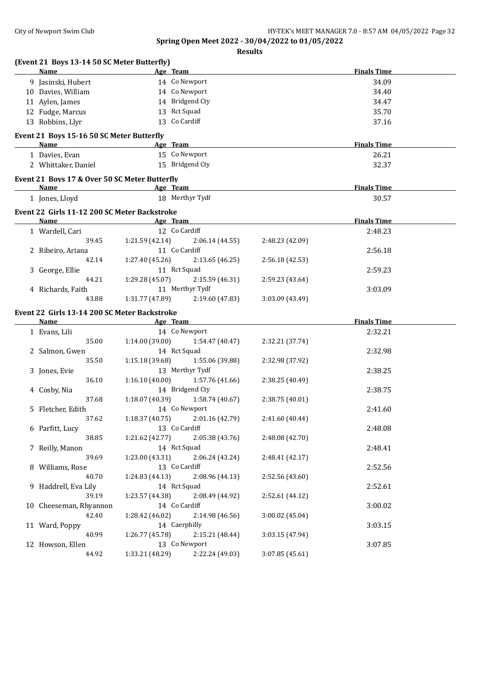| \SIII<br> |
|-----------|
|-----------|

| (Event 21 Boys 13-14 50 SC Meter Butterfly)                 |                 |                                 |                 |                    |  |
|-------------------------------------------------------------|-----------------|---------------------------------|-----------------|--------------------|--|
| Name                                                        |                 | Age Team                        |                 | <b>Finals Time</b> |  |
| 9 Jasinski, Hubert                                          |                 | 14 Co Newport                   |                 | 34.09              |  |
| 10 Davies, William                                          |                 | 14 Co Newport                   |                 | 34.40              |  |
| 11 Aylen, James                                             |                 | 14 Bridgend Cty                 |                 | 34.47              |  |
| 12 Fudge, Marcus                                            |                 | 13 Rct Squad                    |                 | 35.70              |  |
| 13 Robbins, Llyr                                            |                 | 13 Co Cardiff                   |                 | 37.16              |  |
| Event 21 Boys 15-16 50 SC Meter Butterfly                   |                 |                                 |                 |                    |  |
| Name                                                        |                 | Age Team                        |                 | <b>Finals Time</b> |  |
| 1 Davies, Evan                                              |                 | 15 Co Newport                   |                 | 26.21              |  |
| 2 Whittaker, Daniel                                         |                 | 15 Bridgend Cty                 |                 | 32.37              |  |
| Event 21 Boys 17 & Over 50 SC Meter Butterfly               |                 |                                 |                 |                    |  |
| Name                                                        |                 | Age Team                        |                 | <b>Finals Time</b> |  |
| 1 Jones, Lloyd                                              |                 | 18 Merthyr Tydf                 |                 | 30.57              |  |
| Event 22 Girls 11-12 200 SC Meter Backstroke<br>Name        |                 | Age Team                        |                 | <b>Finals Time</b> |  |
|                                                             |                 |                                 |                 |                    |  |
| 1 Wardell, Cari                                             |                 | 12 Co Cardiff                   |                 | 2:48.23            |  |
| 39.45                                                       | 1:21.59 (42.14) | 2:06.14 (44.55)                 | 2:48.23 (42.09) |                    |  |
| 2 Ribeiro, Ariana                                           |                 | 11 Co Cardiff                   |                 | 2:56.18            |  |
| 42.14                                                       | 1:27.40 (45.26) | 2:13.65 (46.25)                 | 2:56.18 (42.53) |                    |  |
| 3 George, Ellie                                             |                 | 11 Rct Squad                    |                 | 2:59.23            |  |
| 44.21                                                       | 1:29.28 (45.07) | 2:15.59 (46.31)                 | 2:59.23 (43.64) |                    |  |
| 4 Richards, Faith                                           |                 | 11 Merthyr Tydf                 |                 | 3:03.09            |  |
| 43.88                                                       | 1:31.77 (47.89) | 2:19.60 (47.83)                 | 3:03.09 (43.49) |                    |  |
| Event 22 Girls 13-14 200 SC Meter Backstroke<br><b>Name</b> |                 | Age Team                        |                 | <b>Finals Time</b> |  |
|                                                             |                 | 14 Co Newport                   |                 |                    |  |
| 1 Evans, Lili<br>35.00                                      | 1:14.00 (39.00) |                                 |                 | 2:32.21            |  |
|                                                             |                 | 1:54.47 (40.47)<br>14 Rct Squad | 2:32.21 (37.74) |                    |  |
| 2 Salmon, Gwen                                              |                 |                                 |                 | 2:32.98            |  |
| 35.50                                                       | 1:15.18 (39.68) | 1:55.06 (39.88)                 | 2:32.98 (37.92) |                    |  |
| 3 Jones, Evie                                               |                 | 13 Merthyr Tydf                 |                 | 2:38.25            |  |
| 36.10                                                       | 1:16.10(40.00)  | 1:57.76 (41.66)                 | 2:38.25 (40.49) |                    |  |
| 4 Cosby, Nia                                                |                 | 14 Bridgend Cty                 |                 | 2:38.75            |  |
| 37.68                                                       | 1:18.07 (40.39) | 1:58.74 (40.67)                 | 2:38.75 (40.01) |                    |  |
| 5 Fletcher, Edith                                           |                 | 14 Co Newport                   |                 | 2:41.60            |  |
| 37.62                                                       | 1:18.37(40.75)  | 2:01.16 (42.79)                 | 2:41.60 (40.44) |                    |  |
| 6 Parfitt, Lucy                                             |                 | 13 Co Cardiff                   |                 | 2:48.08            |  |
| 38.85                                                       | 1:21.62 (42.77) | 2:05.38 (43.76)                 | 2:48.08 (42.70) |                    |  |
| 7 Reilly, Manon                                             |                 | 14 Rct Squad                    |                 | 2:48.41            |  |
| 39.69                                                       | 1:23.00 (43.31) | 2:06.24 (43.24)                 | 2:48.41 (42.17) |                    |  |
| 8 Williams, Rose                                            |                 | 13 Co Cardiff                   |                 | 2:52.56            |  |
| 40.70                                                       | 1:24.83(44.13)  | 2:08.96 (44.13)                 | 2:52.56 (43.60) |                    |  |
| 9 Haddrell, Eva Lily                                        |                 | 14 Rct Squad                    |                 | 2:52.61            |  |
| 39.19                                                       | 1:23.57 (44.38) | 2:08.49 (44.92)                 | 2:52.61 (44.12) |                    |  |
| 10 Cheeseman, Rhyannon                                      |                 | 14 Co Cardiff                   |                 | 3:00.02            |  |
| 42.40                                                       | 1:28.42 (46.02) | 2:14.98 (46.56)                 | 3:00.02 (45.04) |                    |  |
| 11 Ward, Poppy                                              |                 | 14 Caerphilly                   |                 | 3:03.15            |  |
| 40.99                                                       | 1:26.77 (45.78) | 2:15.21 (48.44)                 | 3:03.15 (47.94) |                    |  |
| 12 Howson, Ellen                                            |                 | 13 Co Newport                   |                 | 3:07.85            |  |
| 44.92                                                       | 1:33.21 (48.29) | 2:22.24 (49.03)                 | 3:07.85 (45.61) |                    |  |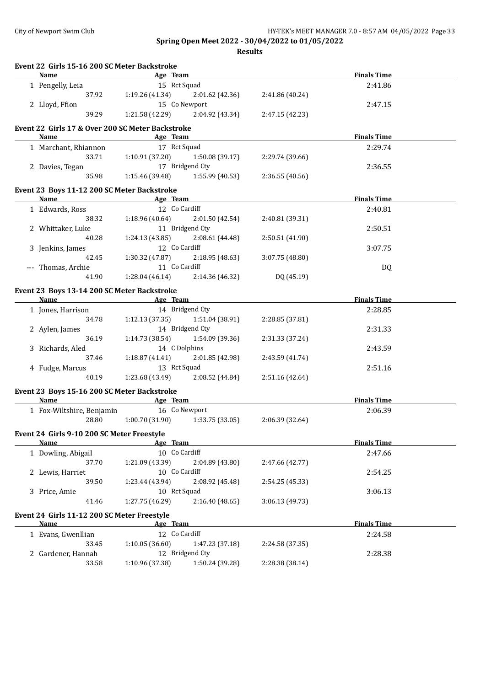**Event 22 Girls 15-16 200 SC Meter Backstroke**

**Spring Open Meet 2022 - 30/04/2022 to 01/05/2022**

| <b>Name</b>                                         | <b>Example 2</b> Age Team    |                                   |                 | <b>Finals Time</b> |  |
|-----------------------------------------------------|------------------------------|-----------------------------------|-----------------|--------------------|--|
| 1 Pengelly, Leia                                    | 15 Rct Squad                 |                                   |                 | 2:41.86            |  |
| 37.92                                               |                              | $1:19.26(41.34)$ $2:01.62(42.36)$ | 2:41.86 (40.24) |                    |  |
| 2 Lloyd, Ffion                                      |                              | 15 Co Newport                     |                 | 2:47.15            |  |
| 39.29                                               |                              | $1:21.58(42.29)$ $2:04.92(43.34)$ | 2:47.15 (42.23) |                    |  |
|                                                     |                              |                                   |                 |                    |  |
| Event 22 Girls 17 & Over 200 SC Meter Backstroke    |                              |                                   |                 |                    |  |
| Name                                                | <b>Example 2</b> Age Team    |                                   |                 | <b>Finals Time</b> |  |
| 1 Marchant, Rhiannon 17 Rct Squad                   |                              |                                   |                 | 2:29.74            |  |
| 33.71                                               | 1:10.91(37.20)               | 1:50.08 (39.17)                   | 2:29.74 (39.66) |                    |  |
| 2 Davies, Tegan                                     |                              | 17 Bridgend Cty                   |                 | 2:36.55            |  |
| 35.98                                               |                              | $1:15.46(39.48)$ $1:55.99(40.53)$ | 2:36.55 (40.56) |                    |  |
| Event 23 Boys 11-12 200 SC Meter Backstroke         |                              |                                   |                 |                    |  |
| Name                                                | <b>Example 2016 Age Team</b> |                                   |                 | <b>Finals Time</b> |  |
| 1 Edwards, Ross                                     | 12 Co Cardiff                |                                   |                 | 2:40.81            |  |
| 38.32                                               |                              | $1:18.96(40.64)$ $2:01.50(42.54)$ | 2:40.81 (39.31) |                    |  |
|                                                     |                              |                                   |                 |                    |  |
| 2 Whittaker, Luke                                   | 11 Bridgend Cty              |                                   |                 | 2:50.51            |  |
| 40.28                                               |                              | $1:24.13(43.85)$ $2:08.61(44.48)$ | 2:50.51 (41.90) |                    |  |
| 3 Jenkins, James                                    | 12 Co Cardiff                |                                   |                 | 3:07.75            |  |
| 42.45                                               | 1:30.32 (47.87)              | 2:18.95(48.63)                    | 3:07.75 (48.80) |                    |  |
| --- Thomas, Archie                                  | 11 Co Cardiff                |                                   |                 | DQ                 |  |
| 41.90                                               |                              | $1:28.04(46.14)$ $2:14.36(46.32)$ | DQ (45.19)      |                    |  |
| Event 23 Boys 13-14 200 SC Meter Backstroke         |                              |                                   |                 |                    |  |
| Name Age Team                                       |                              |                                   |                 | <b>Finals Time</b> |  |
| 1 Jones, Harrison                                   |                              | 14 Bridgend Cty                   |                 | 2:28.85            |  |
| 34.78                                               |                              | $1:12.13(37.35)$ $1:51.04(38.91)$ | 2:28.85 (37.81) |                    |  |
| 2 Aylen, James                                      |                              | 14 Bridgend Cty                   |                 | 2:31.33            |  |
| 36.19                                               |                              | $1:14.73(38.54)$ $1:54.09(39.36)$ | 2:31.33 (37.24) |                    |  |
|                                                     |                              |                                   |                 |                    |  |
| 3 Richards, Aled                                    | 14 C Dolphins                |                                   |                 | 2:43.59            |  |
| 37.46                                               |                              | $1:18.87(41.41)$ $2:01.85(42.98)$ | 2:43.59 (41.74) |                    |  |
| 4 Fudge, Marcus                                     | 13 Rct Squad                 |                                   |                 | 2:51.16            |  |
| 40.19                                               |                              | $1:23.68(43.49)$ $2:08.52(44.84)$ | 2:51.16 (42.64) |                    |  |
| Event 23 Boys 15-16 200 SC Meter Backstroke         |                              |                                   |                 |                    |  |
| Name                                                | <b>Example 2018</b> Age Team |                                   |                 | <b>Finals Time</b> |  |
| 1 Fox-Wiltshire, Benjamin 16 Co Newport             |                              |                                   |                 | 2:06.39            |  |
| 28.80                                               |                              | $1:00.70(31.90)$ $1:33.75(33.05)$ | 2:06.39 (32.64) |                    |  |
|                                                     |                              |                                   |                 |                    |  |
| Event 24 Girls 9-10 200 SC Meter Freestyle          |                              |                                   |                 |                    |  |
| Name                                                | Age Team                     |                                   |                 | <b>Finals Time</b> |  |
| 1 Dowling, Abigail                                  | 10 Co Cardiff                |                                   |                 | 2:47.66            |  |
| 37.70                                               | 1:21.09 (43.39)              | 2:04.89 (43.80)                   | 2:47.66 (42.77) |                    |  |
| 2 Lewis, Harriet                                    | 10 Co Cardiff                |                                   |                 | 2:54.25            |  |
| 39.50                                               | 1:23.44 (43.94)              | 2:08.92 (45.48)                   | 2:54.25 (45.33) |                    |  |
| 3 Price, Amie                                       | 10 Rct Squad                 |                                   |                 | 3:06.13            |  |
| 41.46                                               | 1:27.75 (46.29)              | 2:16.40 (48.65)                   | 3:06.13 (49.73) |                    |  |
|                                                     |                              |                                   |                 |                    |  |
| Event 24 Girls 11-12 200 SC Meter Freestyle<br>Name | Age Team                     |                                   |                 | <b>Finals Time</b> |  |
|                                                     |                              |                                   |                 |                    |  |
| 1 Evans, Gwenllian                                  | 12 Co Cardiff                |                                   |                 | 2:24.58            |  |
| 33.45                                               | 1:10.05(36.60)               | 1:47.23 (37.18)                   | 2:24.58 (37.35) |                    |  |
| 2 Gardener, Hannah                                  |                              | 12 Bridgend Cty                   |                 | 2:28.38            |  |
| 33.58                                               | 1:10.96 (37.38)              | 1:50.24 (39.28)                   | 2:28.38 (38.14) |                    |  |
|                                                     |                              |                                   |                 |                    |  |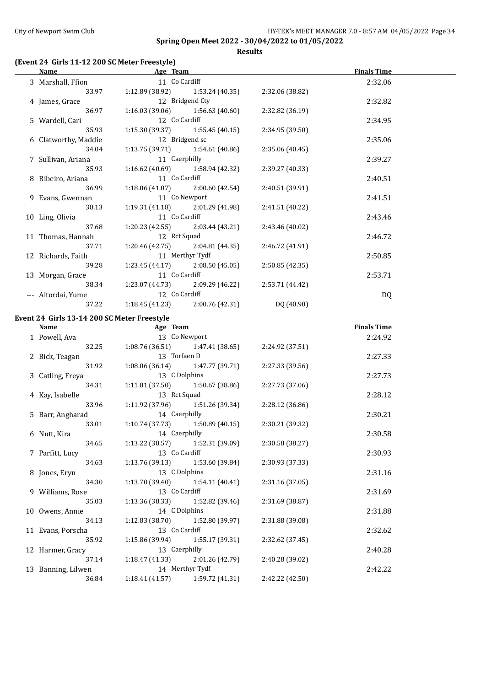**Results**

## **(Event 24 Girls 11-12 200 SC Meter Freestyle)**

| Name                 | Age Team        |                                         |                 | <b>Finals Time</b> |  |
|----------------------|-----------------|-----------------------------------------|-----------------|--------------------|--|
| 3 Marshall, Ffion    | 11 Co Cardiff   |                                         |                 | 2:32.06            |  |
| 33.97                |                 | $1:12.89(38.92)$ $1:53.24(40.35)$       | 2:32.06 (38.82) |                    |  |
| 4 James, Grace       |                 | 12 Bridgend Cty                         |                 | 2:32.82            |  |
| 36.97                |                 | $1:16.03(39.06)$ $1:56.63(40.60)$       | 2:32.82 (36.19) |                    |  |
| 5 Wardell, Cari      | 12 Co Cardiff   |                                         |                 | 2:34.95            |  |
| 35.93                |                 | $1:15.30(39.37)$ $1:55.45(40.15)$       | 2:34.95 (39.50) |                    |  |
| 6 Clatworthy, Maddie | 12 Bridgend sc  |                                         |                 | 2:35.06            |  |
| 34.04                |                 | $1:13.75(39.71)$ $1:54.61(40.86)$       | 2:35.06 (40.45) |                    |  |
| 7 Sullivan, Ariana   | 11 Caerphilly   |                                         |                 | 2:39.27            |  |
| 35.93                |                 | $1:16.62(40.69)$ $1:58.94(42.32)$       | 2:39.27 (40.33) |                    |  |
| 8 Ribeiro, Ariana    | 11 Co Cardiff   |                                         |                 | 2:40.51            |  |
| 36.99                |                 | $1:18.06(41.07)$ $2:00.60(42.54)$       | 2:40.51(39.91)  |                    |  |
| 9 Evans, Gwennan     | 11 Co Newport   |                                         |                 | 2:41.51            |  |
| 38.13                |                 | $1:19.31(41.18)$ $2:01.29(41.98)$       | 2:41.51 (40.22) |                    |  |
| 10 Ling, Olivia      | 11 Co Cardiff   |                                         |                 | 2:43.46            |  |
| 37.68                |                 | $1:20.23$ $(42.55)$ $2:03.44$ $(43.21)$ | 2:43.46 (40.02) |                    |  |
| 11 Thomas, Hannah    | 12 Rct Squad    |                                         |                 | 2:46.72            |  |
| 37.71                |                 | $1:20.46(42.75)$ $2:04.81(44.35)$       | 2:46.72 (41.91) |                    |  |
| 12 Richards, Faith   | 11 Merthyr Tydf |                                         |                 | 2:50.85            |  |
| 39.28                |                 | $1:23.45(44.17)$ $2:08.50(45.05)$       | 2:50.85 (42.35) |                    |  |
| 13 Morgan, Grace     | 11 Co Cardiff   |                                         |                 | 2:53.71            |  |
| 38.34                |                 | $1:23.07(44.73)$ $2:09.29(46.22)$       | 2:53.71 (44.42) |                    |  |
| --- Altordai, Yume   | 12 Co Cardiff   |                                         |                 | DQ                 |  |
| 37.22                |                 | $1:18.45(41.23)$ $2:00.76(42.31)$       | DQ (40.90)      |                    |  |

#### **Event 24 Girls 13-14 200 SC Meter Freestyle**

| Name               | Age Team        |                                     |                 | <b>Finals Time</b> |  |
|--------------------|-----------------|-------------------------------------|-----------------|--------------------|--|
| 1 Powell, Ava      | 13 Co Newport   |                                     |                 | 2:24.92            |  |
| 32.25              |                 | $1:08.76(36.51)$ $1:47.41(38.65)$   | 2:24.92 (37.51) |                    |  |
| 2 Bick, Teagan     | 13 Torfaen D    |                                     |                 | 2:27.33            |  |
| 31.92              |                 | $1:08.06(36.14)$ $1:47.77(39.71)$   | 2:27.33 (39.56) |                    |  |
| 3 Catling, Freya   | 13 C Dolphins   |                                     |                 | 2:27.73            |  |
| 34.31              |                 | $1:11.81(37.50)$ $1:50.67(38.86)$   | 2:27.73 (37.06) |                    |  |
| 4 Kay, Isabelle    | 13 Rct Squad    |                                     |                 | 2:28.12            |  |
| 33.96              |                 | 1:11.92 (37.96) 1:51.26 (39.34)     | 2:28.12(36.86)  |                    |  |
| 5 Barr, Angharad   | 14 Caerphilly   |                                     |                 | 2:30.21            |  |
| 33.01              |                 | $1:10.74(37.73)$ $1:50.89(40.15)$   | 2:30.21 (39.32) |                    |  |
| 6 Nutt, Kira       | 14 Caerphilly   |                                     |                 | 2:30.58            |  |
| 34.65              |                 | $1:13.22$ (38.57) $1:52.31$ (39.09) | 2:30.58 (38.27) |                    |  |
| 7 Parfitt, Lucy    | 13 Co Cardiff   |                                     |                 | 2:30.93            |  |
| 34.63              |                 | $1:13.76(39.13)$ $1:53.60(39.84)$   | 2:30.93 (37.33) |                    |  |
| 8 Jones, Eryn      | 13 C Dolphins   |                                     |                 | 2:31.16            |  |
| 34.30              |                 | $1:13.70(39.40)$ $1:54.11(40.41)$   | 2:31.16(37.05)  |                    |  |
| 9 Williams, Rose   | 13 Co Cardiff   |                                     |                 | 2:31.69            |  |
| 35.03              |                 | $1:13.36(38.33)$ $1:52.82(39.46)$   | 2:31.69(38.87)  |                    |  |
| 10 Owens, Annie    | 14 C Dolphins   |                                     |                 | 2:31.88            |  |
| 34.13              |                 | $1:12.83(38.70)$ $1:52.80(39.97)$   | 2:31.88 (39.08) |                    |  |
| 11 Evans, Porscha  | 13 Co Cardiff   |                                     |                 | 2:32.62            |  |
| 35.92              |                 | $1:15.86(39.94)$ $1:55.17(39.31)$   | 2:32.62 (37.45) |                    |  |
| 12 Harmer, Gracy   | 13 Caerphilly   |                                     |                 | 2:40.28            |  |
| 37.14              |                 | $1:18.47(41.33)$ $2:01.26(42.79)$   | 2:40.28 (39.02) |                    |  |
| 13 Banning, Lilwen | 14 Merthyr Tydf |                                     |                 | 2:42.22            |  |
| 36.84              |                 | $1:18.41(41.57)$ $1:59.72(41.31)$   | 2:42.22 (42.50) |                    |  |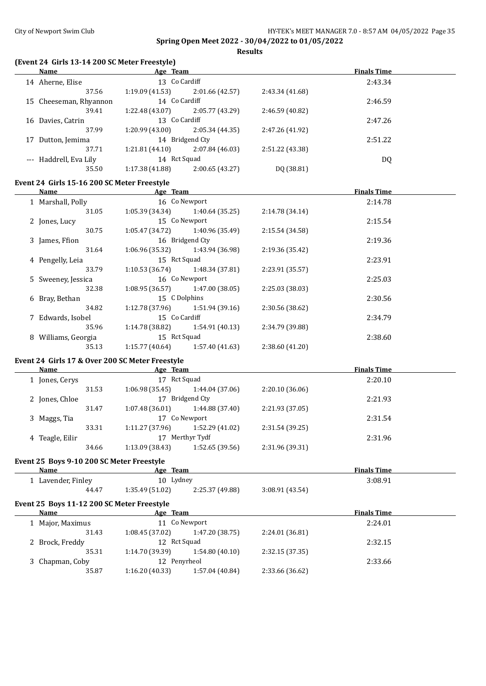**Results**

## **(Event 24 Girls 13-14 200 SC Meter Freestyle)**

| <b>Name</b>                                     | Age Team                          |                                   |                 | <b>Finals Time</b> |  |
|-------------------------------------------------|-----------------------------------|-----------------------------------|-----------------|--------------------|--|
| 14 Aherne, Elise                                | 13 Co Cardiff                     |                                   |                 | 2:43.34            |  |
| 37.56                                           |                                   | $1:19.09(41.53)$ $2:01.66(42.57)$ | 2:43.34 (41.68) |                    |  |
| 15 Cheeseman, Rhyannon                          | 14 Co Cardiff                     |                                   |                 | 2:46.59            |  |
| 39.41                                           | 1:22.48 (43.07)                   | 2:05.77 (43.29)                   | 2:46.59 (40.82) |                    |  |
| 16 Davies, Catrin                               | 13 Co Cardiff                     |                                   |                 | 2:47.26            |  |
| 37.99                                           | 1:20.99 (43.00)                   | 2:05.34 (44.35)                   | 2:47.26 (41.92) |                    |  |
| 17 Dutton, Jemima                               |                                   | 14 Bridgend Cty                   |                 | 2:51.22            |  |
| 37.71                                           | 1:21.81 (44.10)                   | 2:07.84(46.03)                    | 2:51.22 (43.38) |                    |  |
| --- Haddrell, Eva Lily                          | 14 Rct Squad                      |                                   |                 | DQ                 |  |
| 35.50                                           | 1:17.38 (41.88)                   | 2:00.65(43.27)                    | DQ (38.81)      |                    |  |
|                                                 |                                   |                                   |                 |                    |  |
| Event 24 Girls 15-16 200 SC Meter Freestyle     |                                   |                                   |                 |                    |  |
| Name                                            | Age Team                          |                                   |                 | <b>Finals Time</b> |  |
| 1 Marshall, Polly                               | 16 Co Newport                     |                                   |                 | 2:14.78            |  |
| 31.05                                           | 1:05.39 (34.34)                   | 1:40.64 (35.25)                   | 2:14.78 (34.14) |                    |  |
| 2 Jones, Lucy                                   |                                   | 15 Co Newport                     |                 | 2:15.54            |  |
| 30.75                                           | 1:05.47(34.72)                    | 1:40.96 (35.49)                   | 2:15.54 (34.58) |                    |  |
| 3 James, Ffion                                  |                                   | 16 Bridgend Cty                   |                 | 2:19.36            |  |
| 31.64                                           | 1:06.96 (35.32)                   | 1:43.94 (36.98)                   | 2:19.36 (35.42) |                    |  |
| 4 Pengelly, Leia                                | 15 Rct Squad                      |                                   |                 | 2:23.91            |  |
| 33.79                                           | 1:10.53(36.74)                    | 1:48.34 (37.81)                   | 2:23.91 (35.57) |                    |  |
| 5 Sweeney, Jessica                              |                                   | 16 Co Newport                     |                 | 2:25.03            |  |
| 32.38                                           | 1:08.95(36.57)                    | 1:47.00 (38.05)                   | 2:25.03 (38.03) |                    |  |
| 6 Bray, Bethan                                  | 15 C Dolphins                     |                                   |                 | 2:30.56            |  |
| 34.82                                           | 1:12.78 (37.96)                   | 1:51.94 (39.16)                   | 2:30.56 (38.62) |                    |  |
| 7 Edwards, Isobel                               | 15 Co Cardiff                     |                                   |                 | 2:34.79            |  |
| 35.96                                           | 1:14.78 (38.82)                   | 1:54.91 (40.13)                   | 2:34.79 (39.88) |                    |  |
| 8 Williams, Georgia                             | 15 Rct Squad                      |                                   |                 | 2:38.60            |  |
| 35.13                                           |                                   | $1:15.77(40.64)$ $1:57.40(41.63)$ | 2:38.60 (41.20) |                    |  |
|                                                 |                                   |                                   |                 |                    |  |
| Event 24 Girls 17 & Over 200 SC Meter Freestyle |                                   |                                   |                 |                    |  |
| <b>Name</b>                                     | <b>Example 2</b> Age Team         |                                   |                 | <b>Finals Time</b> |  |
| 1 Jones, Cerys                                  | 17 Rct Squad                      |                                   |                 | 2:20.10            |  |
| 31.53                                           |                                   | $1:06.98(35.45)$ $1:44.04(37.06)$ | 2:20.10 (36.06) |                    |  |
| 2 Jones, Chloe                                  |                                   | 17 Bridgend Cty                   |                 | 2:21.93            |  |
| 31.47                                           |                                   | $1:07.48(36.01)$ $1:44.88(37.40)$ | 2:21.93 (37.05) |                    |  |
| 3 Maggs, Tia                                    | 17 Co Newport                     |                                   |                 | 2:31.54            |  |
| 33.31                                           | $1:11.27(37.96)$ $1:52.29(41.02)$ |                                   | 2:31.54 (39.25) |                    |  |
| 4 Teagle, Eilir                                 |                                   | 17 Merthyr Tydf                   |                 | 2:31.96            |  |
| 34.66                                           | 1:13.09 (38.43)                   | 1:52.65 (39.56)                   | 2:31.96 (39.31) |                    |  |
|                                                 |                                   |                                   |                 |                    |  |
| Event 25 Boys 9-10 200 SC Meter Freestyle       |                                   |                                   |                 |                    |  |
| <b>Name</b>                                     | Age Team                          |                                   |                 | <b>Finals Time</b> |  |
| 1 Lavender, Finley                              | 10 Lydney                         |                                   |                 | 3:08.91            |  |
| 44.47                                           | 1:35.49 (51.02)                   | 2:25.37 (49.88)                   | 3:08.91 (43.54) |                    |  |
| Event 25 Boys 11-12 200 SC Meter Freestyle      |                                   |                                   |                 |                    |  |
| <b>Name</b>                                     | Age Team                          |                                   |                 | <b>Finals Time</b> |  |
| 1 Major, Maximus                                |                                   | 11 Co Newport                     |                 | 2:24.01            |  |
| 31.43                                           | 1:08.45(37.02)                    | 1:47.20 (38.75)                   | 2:24.01 (36.81) |                    |  |
| 2 Brock, Freddy                                 | 12 Rct Squad                      |                                   |                 | 2:32.15            |  |
| 35.31                                           | 1:14.70 (39.39)                   | 1:54.80 (40.10)                   | 2:32.15 (37.35) |                    |  |
| 3 Chapman, Coby                                 | 12 Penyrheol                      |                                   |                 | 2:33.66            |  |
| 35.87                                           | 1:16.20(40.33)                    | 1:57.04 (40.84)                   | 2:33.66 (36.62) |                    |  |
|                                                 |                                   |                                   |                 |                    |  |
|                                                 |                                   |                                   |                 |                    |  |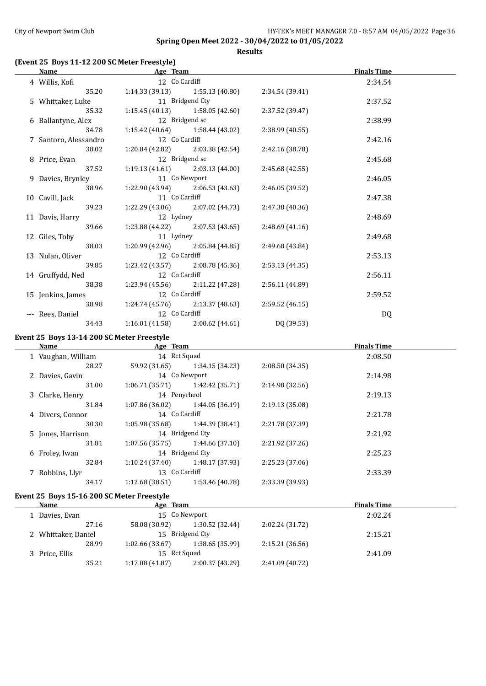**Results**

## **(Event 25 Boys 11-12 200 SC Meter Freestyle)**

| Name                              | Age Team                                              |                                                    |                 | <b>Finals Time</b> |  |
|-----------------------------------|-------------------------------------------------------|----------------------------------------------------|-----------------|--------------------|--|
| 4 Willis, Kofi                    | 12 Co Cardiff                                         |                                                    |                 | 2:34.54            |  |
|                                   | 35.20 1:14.33 (39.13) 1:55.13 (40.80) 2:34.54 (39.41) |                                                    |                 |                    |  |
| 5 Whittaker, Luke 11 Bridgend Cty |                                                       |                                                    |                 | 2:37.52            |  |
| 35.32                             |                                                       | $1:15.45(40.13)$ $1:58.05(42.60)$                  | 2:37.52 (39.47) |                    |  |
| 6 Ballantyne, Alex 12 Bridgend sc |                                                       |                                                    |                 | 2:38.99            |  |
| 34.78                             |                                                       | $1:15.42$ (40.64) $1:58.44$ (43.02)                | 2:38.99(40.55)  |                    |  |
| 7 Santoro, Alessandro             | 12 Co Cardiff                                         |                                                    |                 | 2:42.16            |  |
| 38.02                             |                                                       | $1:20.84(42.82)$ $2:03.38(42.54)$ $2:42.16(38.78)$ |                 |                    |  |
| 8 Price, Evan                     | 12 Bridgend sc                                        |                                                    |                 | 2:45.68            |  |
| 37.52                             |                                                       | $1:19.13(41.61)$ $2:03.13(44.00)$                  | 2:45.68(42.55)  |                    |  |
| 9 Davies, Brynley                 | 11 Co Newport                                         |                                                    |                 | 2:46.05            |  |
| 38.96                             |                                                       | $1:22.90(43.94)$ $2:06.53(43.63)$                  | 2:46.05 (39.52) |                    |  |
| 10 Cavill, Jack                   | 11 Co Cardiff                                         |                                                    |                 | 2:47.38            |  |
| 39.23                             |                                                       | $1:22.29(43.06)$ $2:07.02(44.73)$                  | 2:47.38 (40.36) |                    |  |
| 11 Davis, Harry                   | 12 Lydney                                             |                                                    |                 | 2:48.69            |  |
| 39.66                             |                                                       | $1:23.88(44.22)$ $2:07.53(43.65)$                  | 2:48.69 (41.16) |                    |  |
| 12 Giles, Toby                    | 11 Lydney                                             |                                                    |                 | 2:49.68            |  |
| 38.03                             |                                                       | $1:20.99(42.96)$ $2:05.84(44.85)$                  | 2:49.68 (43.84) |                    |  |
| 13 Nolan, Oliver                  | 12 Co Cardiff                                         |                                                    |                 | 2:53.13            |  |
| 39.85                             |                                                       | $1:23.42$ (43.57) $2:08.78$ (45.36)                | 2:53.13(44.35)  |                    |  |
| 14 Gruffydd, Ned                  | 12 Co Cardiff                                         |                                                    |                 | 2:56.11            |  |
| 38.38                             |                                                       | $1:23.94(45.56)$ $2:11.22(47.28)$                  | 2:56.11(44.89)  |                    |  |
| 15 Jenkins, James                 | 12 Co Cardiff                                         |                                                    |                 | 2:59.52            |  |
|                                   | 38.98 1:24.74 (45.76) 2:13.37 (48.63) 2:59.52 (46.15) |                                                    |                 |                    |  |
| --- Rees, Daniel                  | 12 Co Cardiff                                         |                                                    |                 | DQ                 |  |
| 34.43                             |                                                       | $1:16.01(41.58)$ $2:00.62(44.61)$                  | DQ (39.53)      |                    |  |

## **Event 25 Boys 13-14 200 SC Meter Freestyle**

| Name               | Age Team        |                 |                 | <b>Finals Time</b> |  |
|--------------------|-----------------|-----------------|-----------------|--------------------|--|
| 1 Vaughan, William | 14 Rct Squad    |                 |                 | 2:08.50            |  |
| 28.27              | 59.92 (31.65)   | 1:34.15 (34.23) | 2:08.50 (34.35) |                    |  |
| 2 Davies, Gavin    |                 | 14 Co Newport   |                 | 2:14.98            |  |
| 31.00              | 1:06.71(35.71)  | 1:42.42 (35.71) | 2:14.98(32.56)  |                    |  |
| 3 Clarke, Henry    | 14 Penyrheol    |                 |                 | 2:19.13            |  |
| 31.84              | 1:07.86 (36.02) | 1:44.05 (36.19) | 2:19.13 (35.08) |                    |  |
| 4 Divers, Connor   | 14 Co Cardiff   |                 |                 | 2:21.78            |  |
| 30.30              | 1:05.98 (35.68) | 1:44.39 (38.41) | 2:21.78 (37.39) |                    |  |
| 5 Jones, Harrison  |                 | 14 Bridgend Cty |                 | 2:21.92            |  |
| 31.81              | 1:07.56(35.75)  | 1:44.66(37.10)  | 2:21.92 (37.26) |                    |  |
| 6 Froley, Iwan     |                 | 14 Bridgend Cty |                 | 2:25.23            |  |
| 32.84              | 1:10.24 (37.40) | 1:48.17 (37.93) | 2:25.23 (37.06) |                    |  |
| 7 Robbins, Llyr    | 13 Co Cardiff   |                 |                 | 2:33.39            |  |
| 34.17              | 1:12.68(38.51)  | 1:53.46 (40.78) | 2:33.39 (39.93) |                    |  |

## **Event 25 Boys 15-16 200 SC Meter Freestyle**

| Name                |       | Age Team       |                 |                 | <b>Finals Time</b> |  |
|---------------------|-------|----------------|-----------------|-----------------|--------------------|--|
| 1 Davies, Evan      |       |                | 15 Co Newport   |                 | 2:02.24            |  |
|                     | 27.16 | 58.08 (30.92)  | 1:30.52 (32.44) | 2:02.24 (31.72) |                    |  |
| 2 Whittaker, Daniel |       |                | 15 Bridgend Cty |                 | 2:15.21            |  |
|                     | 28.99 | 1:02.66(33.67) | 1:38.65(35.99)  | 2:15.21(36.56)  |                    |  |
| 3 Price, Ellis      |       | 15 Rct Squad   |                 |                 | 2:41.09            |  |
|                     | 35.21 | 1:17.08(41.87) | 2:00.37(43.29)  | 2:41.09 (40.72) |                    |  |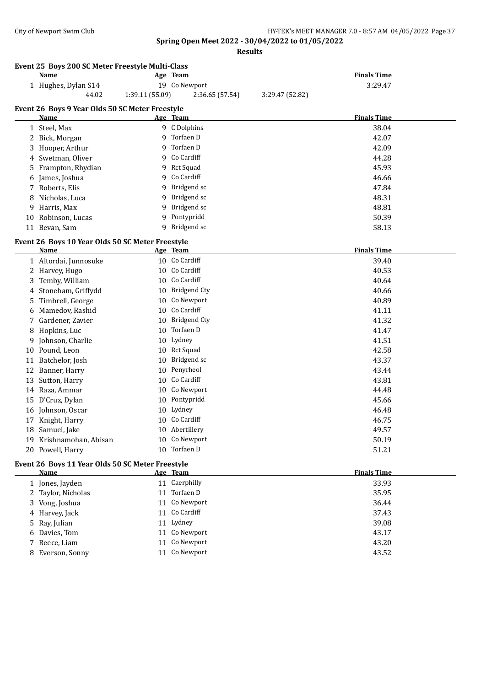|    | Event 25 Boys 200 SC Meter Freestyle Multi-Class<br>Name |                 | Age Team            |                 | <b>Finals Time</b> |
|----|----------------------------------------------------------|-----------------|---------------------|-----------------|--------------------|
|    | 1 Hughes, Dylan S14                                      |                 | 19 Co Newport       |                 | 3:29.47            |
|    | 44.02                                                    | 1:39.11 (55.09) | 2:36.65 (57.54)     | 3:29.47 (52.82) |                    |
|    | Event 26 Boys 9 Year Olds 50 SC Meter Freestyle          |                 |                     |                 |                    |
|    | Name                                                     |                 | Age Team            |                 | <b>Finals Time</b> |
|    | 1 Steel, Max                                             |                 | 9 C Dolphins        |                 | 38.04              |
|    | 2 Bick, Morgan                                           | 9               | Torfaen D           |                 | 42.07              |
| 3  | Hooper, Arthur                                           | 9               | Torfaen D           |                 | 42.09              |
| 4  | Swetman, Oliver                                          | 9               | Co Cardiff          |                 | 44.28              |
| 5  | Frampton, Rhydian                                        | 9               | <b>Rct Squad</b>    |                 | 45.93              |
| 6  | James, Joshua                                            | 9               | Co Cardiff          |                 | 46.66              |
| 7  | Roberts, Elis                                            | 9               | Bridgend sc         |                 | 47.84              |
| 8  | Nicholas, Luca                                           | 9               | Bridgend sc         |                 | 48.31              |
| 9  | Harris, Max                                              | 9               | Bridgend sc         |                 | 48.81              |
| 10 | Robinson, Lucas                                          | 9               | Pontypridd          |                 | 50.39              |
| 11 | Bevan, Sam                                               | 9               | Bridgend sc         |                 | 58.13              |
|    |                                                          |                 |                     |                 |                    |
|    | Event 26 Boys 10 Year Olds 50 SC Meter Freestyle         |                 |                     |                 |                    |
|    | <b>Name</b>                                              |                 | Age Team            |                 | <b>Finals Time</b> |
|    | 1 Altordai, Junnosuke                                    |                 | 10 Co Cardiff       |                 | 39.40              |
|    | 2 Harvey, Hugo                                           |                 | 10 Co Cardiff       |                 | 40.53              |
| 3  | Temby, William                                           |                 | 10 Co Cardiff       |                 | 40.64              |
| 4  | Stoneham, Griffydd                                       | 10              | <b>Bridgend Cty</b> |                 | 40.66              |
| 5  | Timbrell, George                                         | 10              | Co Newport          |                 | 40.89              |
| 6  | Mamedov, Rashid                                          | 10              | Co Cardiff          |                 | 41.11              |
| 7  | Gardener, Zavier                                         | 10              | <b>Bridgend Cty</b> |                 | 41.32              |
| 8  | Hopkins, Luc                                             | 10              | Torfaen D           |                 | 41.47              |
| 9  | Johnson, Charlie                                         | 10              | Lydney              |                 | 41.51              |
| 10 | Pound, Leon                                              | 10              | <b>Rct Squad</b>    |                 | 42.58              |
| 11 | Batchelor, Josh                                          | 10              | Bridgend sc         |                 | 43.37              |
| 12 | Banner, Harry                                            | 10              | Penyrheol           |                 | 43.44              |
| 13 | Sutton, Harry                                            | 10              | Co Cardiff          |                 | 43.81              |
|    | 14 Raza, Ammar                                           | 10              | Co Newport          |                 | 44.48              |
| 15 | D'Cruz, Dylan                                            | 10              | Pontypridd          |                 | 45.66              |
|    | 16 Johnson, Oscar                                        | 10              | Lydney              |                 | 46.48              |
|    | 17 Knight, Harry                                         |                 | 10 Co Cardiff       |                 | 46.75              |
|    | 18 Samuel, Jake                                          |                 | 10 Abertillery      |                 | 49.57              |
|    | 19 Krishnamohan, Abisan                                  | 10              | Co Newport          |                 | 50.19              |
|    | 20 Powell, Harry                                         |                 | 10 Torfaen D        |                 | 51.21              |
|    | Event 26 Boys 11 Year Olds 50 SC Meter Freestyle         |                 |                     |                 |                    |
|    | <b>Name</b>                                              |                 | Age Team            |                 | <b>Finals Time</b> |
|    | 1 Jones, Jayden                                          |                 | 11 Caerphilly       |                 | 33.93              |
|    | 2 Taylor, Nicholas                                       |                 | 11 Torfaen D        |                 | 35.95              |
|    | Vong, Joshua                                             |                 | 11 Co Newport       |                 | 36.44              |
|    | 4 Harvey, Jack                                           |                 | 11 Co Cardiff       |                 | 37.43              |
| 5  | Ray, Julian                                              |                 | 11 Lydney           |                 | 39.08              |
| 6  | Davies, Tom                                              |                 | 11 Co Newport       |                 | 43.17              |
| 7  | Reece, Liam                                              |                 | 11 Co Newport       |                 | 43.20              |
|    | 8 Everson, Sonny                                         |                 | 11 Co Newport       |                 | 43.52              |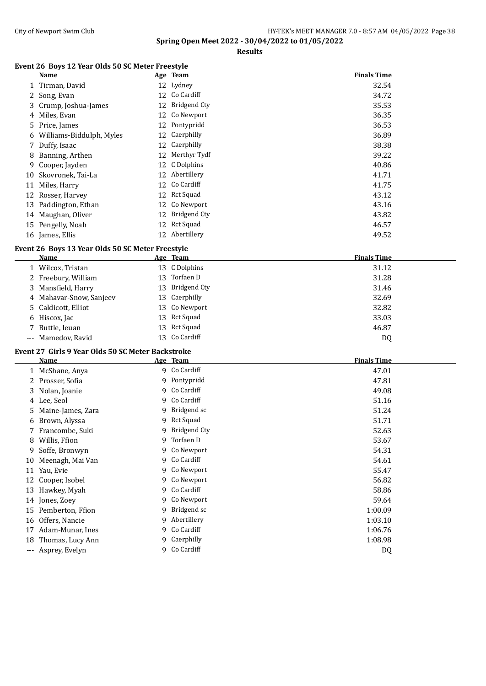#### City of Newport Swim Club City of Newport Swim Club HY-TEK's MEET MANAGER 7.0 - 8:57 AM 04/05/2022 Page 38

**Spring Open Meet 2022 - 30/04/2022 to 01/05/2022**

**Results**

#### **Event 26 Boys 12 Year Olds 50 SC Meter Freestyle**

|    | <b>Name</b>                |    | Age Team        | <b>Finals Time</b> |
|----|----------------------------|----|-----------------|--------------------|
|    | 1 Tirman, David            |    | 12 Lydney       | 32.54              |
|    | 2 Song, Evan               |    | 12 Co Cardiff   | 34.72              |
|    | 3 Crump, Joshua-James      |    | 12 Bridgend Cty | 35.53              |
|    | 4 Miles, Evan              |    | 12 Co Newport   | 36.35              |
|    | 5 Price, James             |    | 12 Pontypridd   | 36.53              |
|    | 6 Williams-Biddulph, Myles |    | 12 Caerphilly   | 36.89              |
|    | 7 Duffy, Isaac             |    | 12 Caerphilly   | 38.38              |
| 8  | Banning, Arthen            |    | 12 Merthyr Tydf | 39.22              |
|    | 9 Cooper, Jayden           |    | 12 C Dolphins   | 40.86              |
|    | 10 Skovronek, Tai-La       |    | 12 Abertillery  | 41.71              |
|    | 11 Miles, Harry            |    | 12 Co Cardiff   | 41.75              |
|    | 12 Rosser, Harvey          |    | 12 Rct Squad    | 43.12              |
|    | 13 Paddington, Ethan       |    | 12 Co Newport   | 43.16              |
| 14 | Maughan, Oliver            | 12 | Bridgend Cty    | 43.82              |
|    | 15 Pengelly, Noah          |    | 12 Rct Squad    | 46.57              |
|    | 16 James, Ellis            |    | 12 Abertillery  | 49.52              |

#### **Event 26 Boys 13 Year Olds 50 SC Meter Freestyle**

| Name                    |     | Age Team        | <b>Finals Time</b> |
|-------------------------|-----|-----------------|--------------------|
| 1 Wilcox, Tristan       |     | 13 C Dolphins   | 31.12              |
| 2 Freebury, William     | 13. | Torfaen D       | 31.28              |
| 3 Mansfield, Harry      |     | 13 Bridgend Cty | 31.46              |
| 4 Mahavar-Snow, Sanjeev |     | 13 Caerphilly   | 32.69              |
| 5 Caldicott, Elliot     |     | 13 Co Newport   | 32.82              |
| 6 Hiscox, Jac           |     | 13 Rct Squad    | 33.03              |
| 7 Buttle, Ieuan         |     | 13 Rct Squad    | 46.87              |
| --- Mamedov, Ravid      |     | 13 Co Cardiff   | DQ                 |
|                         |     |                 |                    |

#### **Event 27 Girls 9 Year Olds 50 SC Meter Backstroke**

|     | <b>Name</b>       |   | Age Team     | <b>Finals Time</b> |
|-----|-------------------|---|--------------|--------------------|
|     | 1 McShane, Anya   |   | 9 Co Cardiff | 47.01              |
|     | 2 Prosser, Sofia  |   | 9 Pontypridd | 47.81              |
|     | 3 Nolan, Joanie   |   | 9 Co Cardiff | 49.08              |
|     | 4 Lee, Seol       |   | 9 Co Cardiff | 51.16              |
| 5.  | Maine-James, Zara | 9 | Bridgend sc  | 51.24              |
| 6   | Brown, Alyssa     | 9 | Rct Squad    | 51.71              |
|     | 7 Francombe, Suki | 9 | Bridgend Cty | 52.63              |
| 8   | Willis, Ffion     |   | 9 Torfaen D  | 53.67              |
| 9.  | Soffe, Bronwyn    |   | 9 Co Newport | 54.31              |
| 10  | Meenagh, Mai Van  |   | 9 Co Cardiff | 54.61              |
| 11  | Yau, Evie         |   | 9 Co Newport | 55.47              |
| 12  | Cooper, Isobel    |   | 9 Co Newport | 56.82              |
| 13  | Hawkey, Myah      |   | 9 Co Cardiff | 58.86              |
|     | 14 Jones, Zoey    |   | 9 Co Newport | 59.64              |
| 15  | Pemberton, Ffion  | q | Bridgend sc  | 1:00.09            |
| 16  | Offers, Nancie    | 9 | Abertillery  | 1:03.10            |
| 17  | Adam-Munar, Ines  |   | 9 Co Cardiff | 1:06.76            |
| 18  | Thomas, Lucy Ann  |   | 9 Caerphilly | 1:08.98            |
| --- | Asprey, Evelyn    |   | 9 Co Cardiff | DQ                 |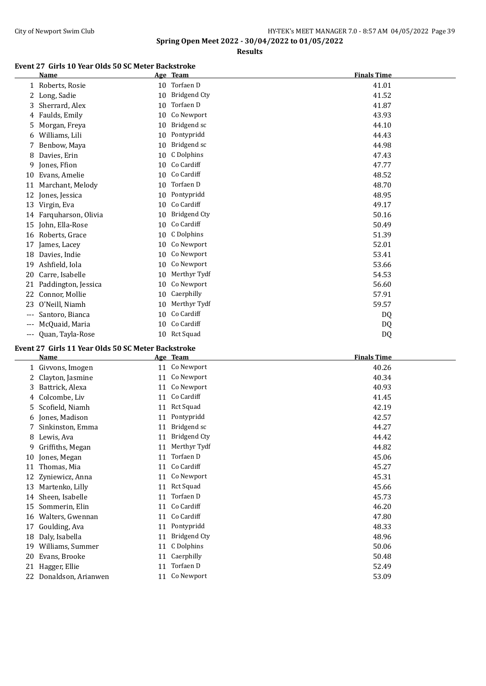#### City of Newport Swim Club City of Newport Swim Club HY-TEK's MEET MANAGER 7.0 - 8:57 AM 04/05/2022 Page 39

**Spring Open Meet 2022 - 30/04/2022 to 01/05/2022**

**Results**

#### **Event 27 Girls 10 Year Olds 50 SC Meter Backstroke**

|       | <b>Name</b>         |    | Age Team            | <b>Finals Time</b> |
|-------|---------------------|----|---------------------|--------------------|
|       | 1 Roberts, Rosie    | 10 | Torfaen D           | 41.01              |
| 2     | Long, Sadie         | 10 | <b>Bridgend Cty</b> | 41.52              |
| 3     | Sherrard, Alex      | 10 | Torfaen D           | 41.87              |
| 4     | Faulds, Emily       | 10 | Co Newport          | 43.93              |
| 5     | Morgan, Freya       | 10 | Bridgend sc         | 44.10              |
| 6     | Williams, Lili      | 10 | Pontypridd          | 44.43              |
| 7     | Benbow, Maya        | 10 | Bridgend sc         | 44.98              |
| 8     | Davies, Erin        | 10 | C Dolphins          | 47.43              |
| 9     | Jones, Ffion        | 10 | Co Cardiff          | 47.77              |
| 10    | Evans, Amelie       | 10 | Co Cardiff          | 48.52              |
| 11    | Marchant, Melody    | 10 | Torfaen D           | 48.70              |
| 12    | Jones, Jessica      | 10 | Pontypridd          | 48.95              |
| 13    | Virgin, Eva         | 10 | Co Cardiff          | 49.17              |
| 14    | Farquharson, Olivia | 10 | <b>Bridgend Cty</b> | 50.16              |
| 15    | John, Ella-Rose     | 10 | Co Cardiff          | 50.49              |
| 16    | Roberts, Grace      | 10 | C Dolphins          | 51.39              |
| 17    | James, Lacey        | 10 | Co Newport          | 52.01              |
| 18    | Davies, Indie       | 10 | Co Newport          | 53.41              |
| 19    | Ashfield, Iola      | 10 | Co Newport          | 53.66              |
| 20    | Carre, Isabelle     | 10 | Merthyr Tydf        | 54.53              |
| 21    | Paddington, Jessica | 10 | Co Newport          | 56.60              |
| 22    | Connor, Mollie      | 10 | Caerphilly          | 57.91              |
| 23    | O'Neill, Niamh      | 10 | Merthyr Tydf        | 59.57              |
| ---   | Santoro, Bianca     | 10 | Co Cardiff          | DQ                 |
| $---$ | McQuaid, Maria      | 10 | Co Cardiff          | DQ                 |
| ---   | Quan, Tayla-Rose    | 10 | <b>Rct Squad</b>    | DQ                 |

## **Event 27 Girls 11 Year Olds 50 SC Meter Backstroke**

| 1 Givvons, Imogen<br>2 Clayton, Jasmine<br>3 Battrick, Alexa<br>Colcombe, Liv<br>4<br>5 Scofield, Niamh<br>6 Jones, Madison | 11<br>11<br>11                                                | 11 Co Newport<br>11 Co Newport<br>Co Newport<br>Co Cardiff | 40.26<br>40.34<br>40.93<br>41.45                                                   |
|-----------------------------------------------------------------------------------------------------------------------------|---------------------------------------------------------------|------------------------------------------------------------|------------------------------------------------------------------------------------|
|                                                                                                                             |                                                               |                                                            |                                                                                    |
|                                                                                                                             |                                                               |                                                            |                                                                                    |
|                                                                                                                             |                                                               |                                                            |                                                                                    |
|                                                                                                                             |                                                               |                                                            |                                                                                    |
|                                                                                                                             |                                                               | Rct Squad                                                  | 42.19                                                                              |
|                                                                                                                             | 11                                                            | Pontypridd                                                 | 42.57                                                                              |
|                                                                                                                             | 11                                                            | Bridgend sc                                                | 44.27                                                                              |
|                                                                                                                             | 11                                                            | <b>Bridgend Cty</b>                                        | 44.42                                                                              |
| Griffiths, Megan                                                                                                            | 11                                                            | Merthyr Tydf                                               | 44.82                                                                              |
| Jones, Megan                                                                                                                | 11                                                            | Torfaen D                                                  | 45.06                                                                              |
| Thomas, Mia                                                                                                                 | 11                                                            |                                                            | 45.27                                                                              |
| Zyniewicz, Anna                                                                                                             | 11                                                            |                                                            | 45.31                                                                              |
| Martenko, Lilly                                                                                                             | 11                                                            |                                                            | 45.66                                                                              |
| Sheen, Isabelle                                                                                                             | 11                                                            | Torfaen D                                                  | 45.73                                                                              |
| Sommerin, Elin                                                                                                              | 11                                                            |                                                            | 46.20                                                                              |
| Walters, Gwennan                                                                                                            | 11                                                            |                                                            | 47.80                                                                              |
| Goulding, Ava                                                                                                               | 11                                                            | Pontypridd                                                 | 48.33                                                                              |
| Daly, Isabella                                                                                                              | 11                                                            | Bridgend Cty                                               | 48.96                                                                              |
| Williams, Summer                                                                                                            | 11                                                            | C Dolphins                                                 | 50.06                                                                              |
| Evans, Brooke                                                                                                               | 11                                                            | Caerphilly                                                 | 50.48                                                                              |
| Hagger, Ellie                                                                                                               | 11                                                            | Torfaen D                                                  | 52.49                                                                              |
|                                                                                                                             |                                                               |                                                            | 53.09                                                                              |
|                                                                                                                             | Sinkinston, Emma<br>8 Lewis, Ava<br>Donaldson, Arianwen<br>22 |                                                            | Co Cardiff<br>Co Newport<br>Rct Squad<br>Co Cardiff<br>Co Cardiff<br>11 Co Newport |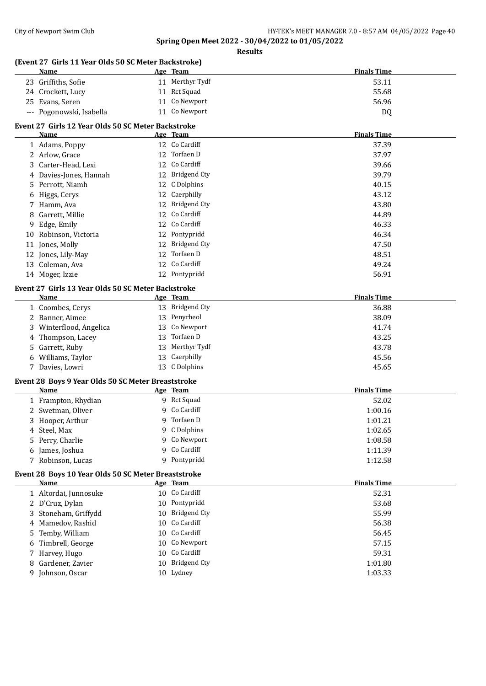## **Spring Open Meet 2022 - 30/04/2022 to 01/05/2022 Results**

|    | (Event 27 Girls 11 Year Olds 50 SC Meter Backstroke) |                 |                    |
|----|------------------------------------------------------|-----------------|--------------------|
|    | Name                                                 | Age Team        | <b>Finals Time</b> |
|    | 23 Griffiths, Sofie                                  | 11 Merthyr Tydf | 53.11              |
|    | 24 Crockett, Lucy                                    | 11 Rct Squad    | 55.68              |
|    | 25 Evans, Seren                                      | 11 Co Newport   | 56.96              |
|    | --- Pogonowski, Isabella                             | 11 Co Newport   | DQ                 |
|    | Event 27 Girls 12 Year Olds 50 SC Meter Backstroke   |                 |                    |
|    | Name                                                 | Age Team        | <b>Finals Time</b> |
|    | 1 Adams, Poppy                                       | 12 Co Cardiff   | 37.39              |
|    | 2 Arlow, Grace                                       | 12 Torfaen D    | 37.97              |
|    | 3 Carter-Head, Lexi                                  | 12 Co Cardiff   | 39.66              |
|    | 4 Davies-Jones, Hannah                               | 12 Bridgend Cty | 39.79              |
|    |                                                      | 12 C Dolphins   |                    |
|    | 5 Perrott, Niamh                                     |                 | 40.15              |
|    | 6 Higgs, Cerys                                       | 12 Caerphilly   | 43.12              |
|    | 7 Hamm, Ava                                          | 12 Bridgend Cty | 43.80              |
|    | 8 Garrett, Millie                                    | 12 Co Cardiff   | 44.89              |
| 9  | Edge, Emily                                          | 12 Co Cardiff   | 46.33              |
|    | 10 Robinson, Victoria                                | 12 Pontypridd   | 46.34              |
|    | 11 Jones, Molly                                      | 12 Bridgend Cty | 47.50              |
|    | 12 Jones, Lily-May                                   | 12 Torfaen D    | 48.51              |
|    | 13 Coleman, Ava                                      | 12 Co Cardiff   | 49.24              |
|    | 14 Moger, Izzie                                      | 12 Pontypridd   | 56.91              |
|    | Event 27 Girls 13 Year Olds 50 SC Meter Backstroke   |                 |                    |
|    | Name                                                 | Age Team        | <b>Finals Time</b> |
|    | 1 Coombes, Cerys                                     | 13 Bridgend Cty | 36.88              |
|    | 2 Banner, Aimee                                      | 13 Penyrheol    | 38.09              |
|    | 3 Winterflood, Angelica                              | 13 Co Newport   | 41.74              |
|    | 4 Thompson, Lacey                                    | 13 Torfaen D    | 43.25              |
|    | 5 Garrett, Ruby                                      | 13 Merthyr Tydf | 43.78              |
|    | 6 Williams, Taylor                                   | 13 Caerphilly   | 45.56              |
|    | 7 Davies, Lowri                                      | 13 C Dolphins   | 45.65              |
|    |                                                      |                 |                    |
|    | Event 28 Boys 9 Year Olds 50 SC Meter Breaststroke   |                 |                    |
|    | Name                                                 | Age Team        | <b>Finals Time</b> |
|    | 1 Frampton, Rhydian                                  | 9 Rct Squad     | 52.02              |
|    | 2 Swetman, Oliver                                    | 9 Co Cardiff    | 1:00.16            |
|    | 3 Hooper, Arthur                                     | 9 Torfaen D     | 1:01.21            |
|    | 4 Steel, Max                                         | 9 C Dolphins    | 1:02.65            |
|    | 5 Perry, Charlie                                     | 9 Co Newport    | 1:08.58            |
|    | 6 James, Joshua                                      | 9 Co Cardiff    | 1:11.39            |
|    | 7 Robinson, Lucas                                    | 9 Pontypridd    | 1:12.58            |
|    | Event 28 Boys 10 Year Olds 50 SC Meter Breaststroke  |                 |                    |
|    | <u>Name</u>                                          | Age Team        | <b>Finals Time</b> |
|    | 1 Altordai, Junnosuke                                | 10 Co Cardiff   | 52.31              |
|    | 2 D'Cruz, Dylan                                      | 10 Pontypridd   | 53.68              |
|    | 3 Stoneham, Griffydd                                 | 10 Bridgend Cty | 55.99              |
|    | 4 Mamedov, Rashid                                    | 10 Co Cardiff   | 56.38              |
| 5. | Temby, William                                       | 10 Co Cardiff   | 56.45              |
|    | Timbrell, George                                     | 10 Co Newport   | 57.15              |
| 6  |                                                      | 10 Co Cardiff   | 59.31              |
|    | 7 Harvey, Hugo                                       | 10 Bridgend Cty |                    |
| 8  | Gardener, Zavier                                     |                 | 1:01.80            |
|    | 9 Johnson, Oscar                                     | 10 Lydney       | 1:03.33            |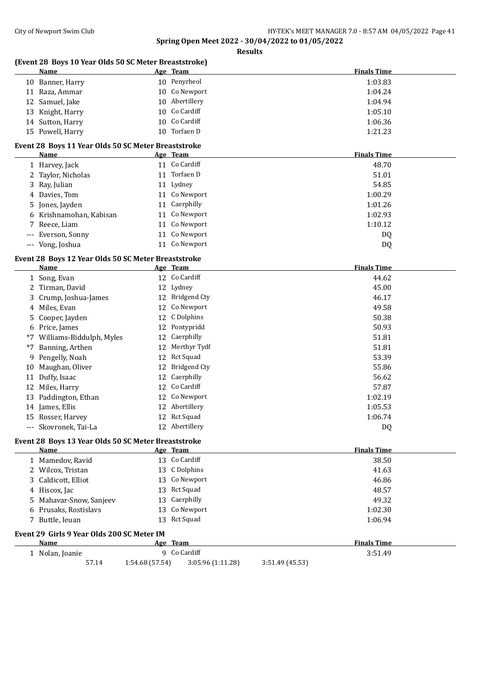**Spring Open Meet 2022 - 30/04/2022 to 01/05/2022 Results**

|          | (Event 28 Boys 10 Year Olds 50 SC Meter Breaststroke)<br>Name      |          | Age Team                  | <b>Finals Time</b>            |
|----------|--------------------------------------------------------------------|----------|---------------------------|-------------------------------|
|          | 10 Banner, Harry                                                   |          | 10 Penyrheol              | 1:03.83                       |
|          | 11 Raza, Ammar                                                     |          | 10 Co Newport             | 1:04.24                       |
| 12       | Samuel, Jake                                                       | 10       | Abertillery               | 1:04.94                       |
| 13       | Knight, Harry                                                      | 10       | Co Cardiff                | 1:05.10                       |
| 14       | Sutton, Harry                                                      | 10       | Co Cardiff                | 1:06.36                       |
|          | 15 Powell, Harry                                                   |          | 10 Torfaen D              | 1:21.23                       |
|          | Event 28 Boys 11 Year Olds 50 SC Meter Breaststroke                |          |                           |                               |
|          | Name                                                               |          | Age Team                  | <b>Finals Time</b>            |
|          | 1 Harvey, Jack                                                     |          | 11 Co Cardiff             | 48.70                         |
|          | 2 Taylor, Nicholas                                                 |          | 11 Torfaen D              | 51.01                         |
| 3        | Ray, Julian                                                        |          | 11 Lydney                 | 54.85                         |
| 4        | Davies, Tom                                                        |          | 11 Co Newport             | 1:00.29                       |
| 5        | Jones, Jayden                                                      |          | 11 Caerphilly             | 1:01.26                       |
| 6        | Krishnamohan, Kabisan                                              | 11       | Co Newport                | 1:02.93                       |
| 7        | Reece, Liam                                                        | 11       | Co Newport                | 1:10.12                       |
|          | Everson, Sonny                                                     | 11       | Co Newport                | DQ                            |
| $\cdots$ | Vong, Joshua                                                       |          | 11 Co Newport             | DQ                            |
|          | Event 28 Boys 12 Year Olds 50 SC Meter Breaststroke<br><b>Name</b> |          | Age Team                  | <b>Finals Time</b>            |
|          | 1 Song, Evan                                                       |          | 12 Co Cardiff             | 44.62                         |
| 2        | Tirman, David                                                      |          | 12 Lydney                 | 45.00                         |
|          |                                                                    | 12       | <b>Bridgend Cty</b>       |                               |
| 3        | Crump, Joshua-James<br>Miles, Evan                                 | 12       | Co Newport                | 46.17<br>49.58                |
| 4        |                                                                    |          |                           |                               |
| 5        | Cooper, Jayden                                                     | 12       | C Dolphins                | 50.38                         |
| 6        | Price, James                                                       | 12       | Pontypridd                | 50.93                         |
| $*7$     | Williams-Biddulph, Myles                                           | 12       | Caerphilly                | 51.81                         |
| *7       | Banning, Arthen                                                    | 12       | Merthyr Tydf              | 51.81                         |
| 9        | Pengelly, Noah                                                     | 12       | <b>Rct Squad</b>          | 53.39                         |
| 10       | Maughan, Oliver                                                    | 12       | <b>Bridgend Cty</b>       | 55.86                         |
|          | 11 Duffy, Isaac                                                    | 12       | Caerphilly                | 56.62                         |
|          | 12 Miles, Harry                                                    |          | 12 Co Cardiff             | 57.87                         |
| 13       | Paddington, Ethan                                                  |          | 12 Co Newport             | 1:02.19                       |
|          | 14 James, Ellis                                                    |          | 12 Abertillery            | 1:05.53                       |
|          | 15 Rosser, Harvey                                                  |          | 12 Rct Squad              | 1:06.74                       |
|          | Skovronek, Tai-La                                                  |          | 12 Abertillery            | DQ                            |
|          | Event 28 Boys 13 Year Olds 50 SC Meter Breaststroke                |          |                           |                               |
|          | Name<br>1 Mamedov, Ravid                                           |          | Age Team<br>13 Co Cardiff | <b>Finals Time</b><br>38.50   |
|          |                                                                    |          |                           |                               |
|          | 2 Wilcox, Tristan                                                  |          | 13 C Dolphins             | 41.63                         |
|          | Caldicott, Elliot                                                  |          | 13 Co Newport             | 46.86                         |
|          | 4 Hiscox, Jac                                                      |          | 13 Rct Squad              | 48.57                         |
| 5        | Mahavar-Snow, Sanjeev                                              | 13       | Caerphilly                | 49.32                         |
| 6        | Prusaks, Rostislavs                                                |          | 13 Co Newport             | 1:02.30                       |
|          | 7 Buttle, Ieuan                                                    |          | 13 Rct Squad              | 1:06.94                       |
|          | Event 29 Girls 9 Year Olds 200 SC Meter IM                         |          |                           |                               |
|          |                                                                    |          |                           |                               |
|          | Name<br>1 Nolan, Joanie                                            | Age Team | 9 Co Cardiff              | <b>Finals Time</b><br>3:51.49 |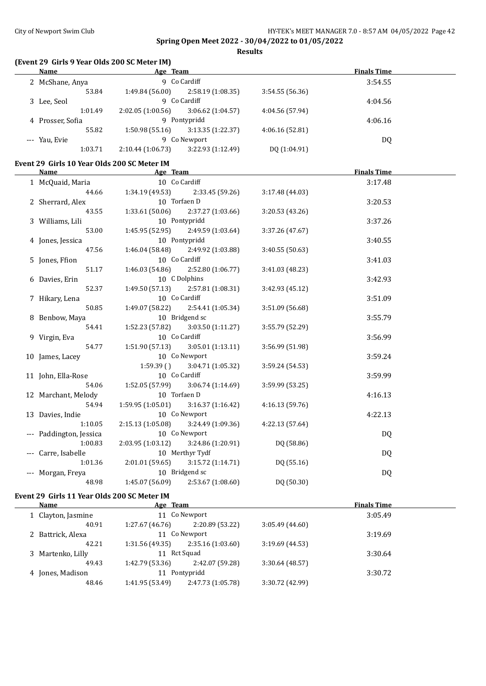**Results**

#### **(Event 29 Girls 9 Year Olds 200 SC Meter IM)**

| Name             | Age Team         |                   |                 | <b>Finals Time</b> |  |
|------------------|------------------|-------------------|-----------------|--------------------|--|
| 2 McShane, Anya  |                  | 9 Co Cardiff      |                 | 3:54.55            |  |
| 53.84            | 1:49.84(56.00)   | 2:58.19 (1:08.35) | 3:54.55(56.36)  |                    |  |
| 3 Lee, Seol      |                  | 9 Co Cardiff      |                 | 4:04.56            |  |
| 1:01.49          | 2:02.05(1:00.56) | 3:06.62(1:04.57)  | 4:04.56 (57.94) |                    |  |
| 4 Prosser, Sofia |                  | 9 Pontypridd      |                 | 4:06.16            |  |
| 55.82            | 1:50.98(55.16)   | 3:13.35(1:22.37)  | 4:06.16(52.81)  |                    |  |
| --- Yau, Evie    |                  | 9 Co Newport      |                 | DQ                 |  |
| 1:03.71          | 2:10.44(1:06.73) | 3:22.93(1:12.49)  | DQ (1:04.91)    |                    |  |

#### **Event 29 Girls 10 Year Olds 200 SC Meter IM**

| Name                    | Age Team                              |                                     |                 | <b>Finals Time</b> |  |
|-------------------------|---------------------------------------|-------------------------------------|-----------------|--------------------|--|
| 1 McQuaid, Maria        | 10 Co Cardiff                         |                                     |                 | 3:17.48            |  |
| 44.66                   |                                       | $1:34.19(49.53)$ $2:33.45(59.26)$   | 3:17.48(44.03)  |                    |  |
| 2 Sherrard, Alex        | 10 Torfaen D                          |                                     |                 | 3:20.53            |  |
| 43.55                   |                                       | $1:33.61(50.06)$ $2:37.27(1:03.66)$ | 3:20.53 (43.26) |                    |  |
| 3 Williams, Lili        | 10 Pontypridd                         |                                     |                 | 3:37.26            |  |
| 53.00                   |                                       | $1:45.95(52.95)$ $2:49.59(1:03.64)$ | 3:37.26 (47.67) |                    |  |
| 4 Jones, Jessica        | 10 Pontypridd                         |                                     |                 | 3:40.55            |  |
| 47.56                   | 1:46.04 (58.48)                       | 2:49.92 (1:03.88)                   | 3:40.55(50.63)  |                    |  |
| 5 Jones, Ffion          | 10 Co Cardiff                         |                                     |                 | 3:41.03            |  |
| 51.17                   |                                       | $1:46.03(54.86)$ $2:52.80(1:06.77)$ | 3:41.03 (48.23) |                    |  |
| 6 Davies, Erin          | 10 C Dolphins                         |                                     |                 | 3:42.93            |  |
| 52.37                   |                                       | $1:49.50(57.13)$ $2:57.81(1:08.31)$ | 3:42.93(45.12)  |                    |  |
| 7 Hikary, Lena          | 10 Co Cardiff                         |                                     |                 | 3:51.09            |  |
| 50.85                   | 1:49.07 (58.22)                       | 2:54.41 (1:05.34)                   | 3:51.09 (56.68) |                    |  |
| 8 Benbow, Maya          | 10 Bridgend sc                        |                                     |                 | 3:55.79            |  |
| 54.41                   | 1:52.23 (57.82)                       | 3:03.50 (1:11.27)                   | 3:55.79 (52.29) |                    |  |
| 9 Virgin, Eva           | 10 Co Cardiff                         |                                     |                 | 3:56.99            |  |
| 54.77                   |                                       | $1:51.90(57.13)$ $3:05.01(1:13.11)$ | 3:56.99 (51.98) |                    |  |
| 10 James, Lacey         |                                       | 10 Co Newport                       |                 | 3:59.24            |  |
|                         |                                       | $1:59.39()$ $3:04.71(1:05.32)$      | 3:59.24 (54.53) |                    |  |
| 11 John, Ella-Rose      | 10 Co Cardiff                         |                                     |                 | 3:59.99            |  |
| 54.06                   | 1:52.05 (57.99)                       | 3:06.74(1:14.69)                    | 3:59.99 (53.25) |                    |  |
| 12 Marchant, Melody     | 10 Torfaen D                          |                                     |                 | 4:16.13            |  |
| 54.94                   | $1:59.95(1:05.01)$ $3:16.37(1:16.42)$ |                                     | 4:16.13(59.76)  |                    |  |
| 13 Davies, Indie        |                                       | 10 Co Newport                       |                 | 4:22.13            |  |
| 1:10.05                 | $2:15.13(1:05.08)$ $3:24.49(1:09.36)$ |                                     | 4:22.13 (57.64) |                    |  |
| --- Paddington, Jessica |                                       | 10 Co Newport                       |                 | DQ                 |  |
| 1:00.83                 | $2:03.95(1:03.12)$ $3:24.86(1:20.91)$ |                                     | DQ (58.86)      |                    |  |
| --- Carre, Isabelle     |                                       | 10 Merthyr Tydf                     |                 | DQ                 |  |
| 1:01.36                 |                                       | $2:01.01(59.65)$ $3:15.72(1:14.71)$ | DQ (55.16)      |                    |  |
| --- Morgan, Freya       | 10 Bridgend sc                        |                                     |                 | DQ                 |  |
| 48.98                   |                                       | $1:45.07(56.09)$ $2:53.67(1:08.60)$ | DQ (50.30)      |                    |  |

## **Event 29 Girls 11 Year Olds 200 SC Meter IM**

| Name                                 | Age Team        |                   |                 | <b>Finals Time</b> |  |
|--------------------------------------|-----------------|-------------------|-----------------|--------------------|--|
| 1 Clayton, Jasmine                   |                 | 11 Co Newport     |                 | 3:05.49            |  |
| 40.91                                | 1:27.67(46.76)  | 2:20.89 (53.22)   | 3:05.49(44.60)  |                    |  |
| 2 Battrick, Alexa                    |                 | 11 Co Newport     |                 | 3:19.69            |  |
| 42.21                                | 1:31.56(49.35)  | 2:35.16(1:03.60)  | 3:19.69(44.53)  |                    |  |
| 3 Martenko, Lilly                    | 11 Rct Squad    |                   |                 | 3:30.64            |  |
| 49.43                                | 1:42.79 (53.36) | 2:42.07 (59.28)   | 3:30.64(48.57)  |                    |  |
| Pontypridd<br>4 Jones, Madison<br>11 |                 |                   |                 | 3:30.72            |  |
| 48.46                                | 1:41.95 (53.49) | 2:47.73 (1:05.78) | 3:30.72 (42.99) |                    |  |
|                                      |                 |                   |                 |                    |  |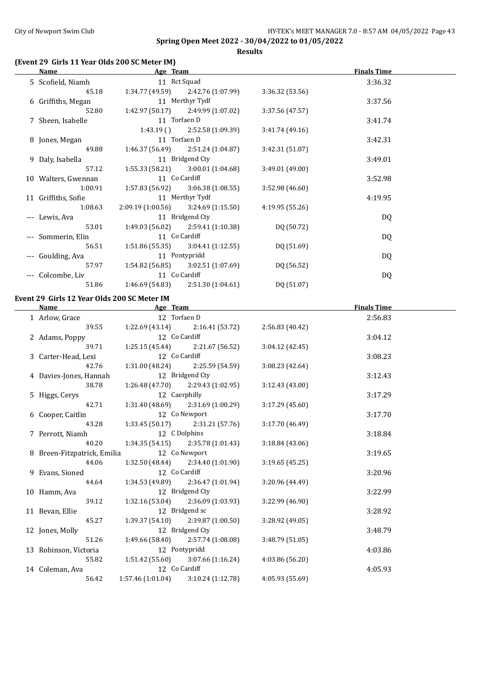**Results**

## **(Event 29 Girls 11 Year Olds 200 SC Meter IM)**

| $\mu$ and $\mu$ and $\mu$ and $\mu$ and $\mu$ and $\mu$ and $\mu$<br>Name and the same state of the state of the state of the state of the state of the state of the state of the state of the state of the state of the state of the state of the state of the state of the state of the state of | <b>Example 2</b> Age Team           |                   |                 | <b>Finals Time</b> |  |
|----------------------------------------------------------------------------------------------------------------------------------------------------------------------------------------------------------------------------------------------------------------------------------------------------|-------------------------------------|-------------------|-----------------|--------------------|--|
| 5 Scofield, Niamh                                                                                                                                                                                                                                                                                  | 11 Rct Squad                        |                   |                 | 3:36.32            |  |
| 45.18                                                                                                                                                                                                                                                                                              | $1:34.77(49.59)$ $2:42.76(1:07.99)$ |                   | 3:36.32 (53.56) |                    |  |
| 6 Griffiths, Megan                                                                                                                                                                                                                                                                                 |                                     | 11 Merthyr Tydf   |                 | 3:37.56            |  |
| 52.80                                                                                                                                                                                                                                                                                              | 1:42.97 (50.17)                     | 2:49.99 (1:07.02) | 3:37.56 (47.57) |                    |  |
| 7 Sheen, Isabelle                                                                                                                                                                                                                                                                                  | 11 Torfaen D                        |                   |                 | 3:41.74            |  |
|                                                                                                                                                                                                                                                                                                    | 1:43.19(                            | 2:52.58 (1:09.39) | 3:41.74 (49.16) |                    |  |
| 8 Jones, Megan                                                                                                                                                                                                                                                                                     | 11 Torfaen D                        |                   |                 | 3:42.31            |  |
| 49.88                                                                                                                                                                                                                                                                                              | 1:46.37 (56.49)                     | 2:51.24 (1:04.87) | 3:42.31 (51.07) |                    |  |
|                                                                                                                                                                                                                                                                                                    |                                     | 11 Bridgend Cty   |                 | 3:49.01            |  |
| 9 Daly, Isabella<br>57.12                                                                                                                                                                                                                                                                          | 1:55.33 (58.21)                     | 3:00.01 (1:04.68) | 3:49.01 (49.00) |                    |  |
| 10 Walters, Gwennan                                                                                                                                                                                                                                                                                | 11 Co Cardiff                       |                   |                 | 3:52.98            |  |
| 1:00.91                                                                                                                                                                                                                                                                                            | 1:57.83 (56.92)                     | 3:06.38(1:08.55)  | 3:52.98 (46.60) |                    |  |
| 11 Griffiths, Sofie                                                                                                                                                                                                                                                                                |                                     | 11 Merthyr Tydf   |                 | 4:19.95            |  |
| 1:08.63                                                                                                                                                                                                                                                                                            | 2:09.19 (1:00.56)                   | 3:24.69 (1:15.50) | 4:19.95 (55.26) |                    |  |
| --- Lewis, Ava                                                                                                                                                                                                                                                                                     |                                     | 11 Bridgend Cty   |                 | DQ                 |  |
| 53.01                                                                                                                                                                                                                                                                                              | 1:49.03(56.02)                      | 2:59.41 (1:10.38) | DQ (50.72)      |                    |  |
| --- Sommerin, Elin                                                                                                                                                                                                                                                                                 | 11 Co Cardiff                       |                   |                 | DQ                 |  |
| 56.51                                                                                                                                                                                                                                                                                              | 1:51.86(55.35)                      | 3:04.41 (1:12.55) | DQ (51.69)      |                    |  |
|                                                                                                                                                                                                                                                                                                    | 11 Pontypridd                       |                   |                 |                    |  |
| --- Goulding, Ava<br>57.97                                                                                                                                                                                                                                                                         | 1:54.82 (56.85)                     | 3:02.51 (1:07.69) | DQ (56.52)      | DQ                 |  |
|                                                                                                                                                                                                                                                                                                    | 11 Co Cardiff                       |                   |                 |                    |  |
| --- Colcombe, Liv<br>51.86                                                                                                                                                                                                                                                                         | 1:46.69 (54.83)                     | 2:51.30 (1:04.61) |                 | DQ                 |  |
|                                                                                                                                                                                                                                                                                                    |                                     |                   | DQ (51.07)      |                    |  |
| Event 29 Girls 12 Year Olds 200 SC Meter IM                                                                                                                                                                                                                                                        |                                     |                   |                 |                    |  |
| <b>Name</b>                                                                                                                                                                                                                                                                                        | <b>Example 2</b> Age Team           |                   |                 | <b>Finals Time</b> |  |
| 1 Arlow, Grace                                                                                                                                                                                                                                                                                     | 12 Torfaen D                        |                   |                 | 2:56.83            |  |
| 39.55                                                                                                                                                                                                                                                                                              | $1:22.69(43.14)$ $2:16.41(53.72)$   |                   | 2:56.83 (40.42) |                    |  |
| 2 Adams, Poppy                                                                                                                                                                                                                                                                                     | 12 Co Cardiff                       |                   |                 | 3:04.12            |  |
| 39.71                                                                                                                                                                                                                                                                                              | $1:25.15(45.44)$ $2:21.67(56.52)$   |                   | 3:04.12 (42.45) |                    |  |
| 3 Carter-Head, Lexi                                                                                                                                                                                                                                                                                | 12 Co Cardiff                       |                   |                 | 3:08.23            |  |
| 42.76                                                                                                                                                                                                                                                                                              | $1:31.00(48.24)$ $2:25.59(54.59)$   |                   | 3:08.23 (42.64) |                    |  |
| 4 Davies-Jones, Hannah                                                                                                                                                                                                                                                                             | 12 Bridgend Cty                     |                   |                 | 3:12.43            |  |
| 38.78                                                                                                                                                                                                                                                                                              | $1:26.48(47.70)$ $2:29.43(1:02.95)$ |                   | 3:12.43 (43.00) |                    |  |
| 5 Higgs, Cerys                                                                                                                                                                                                                                                                                     | 12 Caerphilly                       |                   |                 | 3:17.29            |  |
| 42.71                                                                                                                                                                                                                                                                                              | $1:31.40(48.69)$ $2:31.69(1:00.29)$ |                   | 3:17.29 (45.60) |                    |  |
| 6 Cooper, Caitlin                                                                                                                                                                                                                                                                                  | 12 Co Newport                       |                   |                 | 3:17.70            |  |
| 43.28                                                                                                                                                                                                                                                                                              | 1:33.45 (50.17) 2:31.21 (57.76)     |                   | 3:17.70 (46.49) |                    |  |
| 7 Perrott, Niamh                                                                                                                                                                                                                                                                                   | 12 C Dolphins                       |                   |                 | 3:18.84            |  |
| 40.20                                                                                                                                                                                                                                                                                              | 1:34.35 (54.15)                     | 2:35.78 (1:01.43) | 3:18.84 (43.06) |                    |  |
| 8 Breen-Fitzpatrick, Emilia                                                                                                                                                                                                                                                                        | 12 Co Newport                       |                   |                 | 3:19.65            |  |
| 44.06                                                                                                                                                                                                                                                                                              | 1:32.50 (48.44)                     | 2:34.40 (1:01.90) | 3:19.65 (45.25) |                    |  |
| 9 Evans, Sioned                                                                                                                                                                                                                                                                                    | 12 Co Cardiff                       |                   |                 | 3:20.96            |  |
| 44.64                                                                                                                                                                                                                                                                                              | 1:34.53 (49.89)                     | 2:36.47 (1:01.94) | 3:20.96 (44.49) |                    |  |
| 10 Hamm, Ava                                                                                                                                                                                                                                                                                       |                                     | 12 Bridgend Cty   |                 | 3:22.99            |  |
| 39.12                                                                                                                                                                                                                                                                                              | 1:32.16(53.04)                      | 2:36.09 (1:03.93) | 3:22.99 (46.90) |                    |  |
| 11 Bevan, Ellie                                                                                                                                                                                                                                                                                    | 12 Bridgend sc                      |                   |                 | 3:28.92            |  |
| 45.27                                                                                                                                                                                                                                                                                              | 1:39.37(54.10)                      | 2:39.87 (1:00.50) | 3:28.92 (49.05) |                    |  |
| 12 Jones, Molly                                                                                                                                                                                                                                                                                    |                                     | 12 Bridgend Cty   |                 | 3:48.79            |  |
| 51.26                                                                                                                                                                                                                                                                                              | 1:49.66 (58.40)                     | 2:57.74 (1:08.08) | 3:48.79 (51.05) |                    |  |
| 13 Robinson, Victoria                                                                                                                                                                                                                                                                              | 12 Pontypridd                       |                   |                 | 4:03.86            |  |
| 55.82                                                                                                                                                                                                                                                                                              | 1:51.42 (55.60)                     | 3:07.66 (1:16.24) | 4:03.86 (56.20) |                    |  |
| 14 Coleman, Ava                                                                                                                                                                                                                                                                                    | 12 Co Cardiff                       |                   |                 | 4:05.93            |  |
| 56.42                                                                                                                                                                                                                                                                                              | 1:57.46 (1:01.04)                   | 3:10.24 (1:12.78) | 4:05.93 (55.69) |                    |  |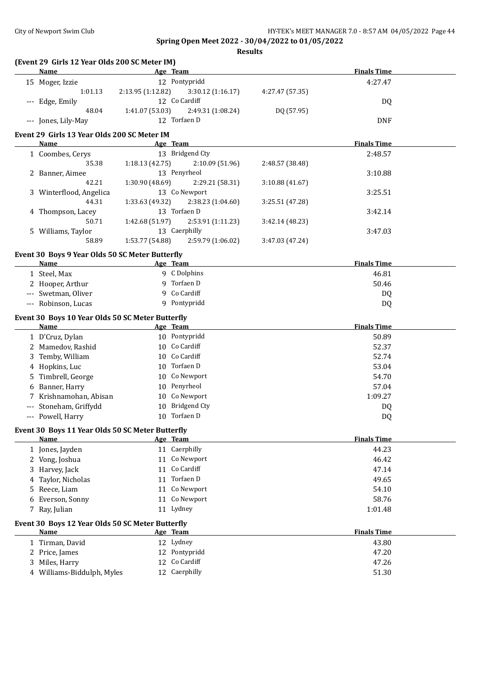|                      | (Event 29 Girls 12 Year Olds 200 SC Meter IM)<br><b>Name</b> |                   | Age Team          |                 | <b>Finals Time</b> |  |
|----------------------|--------------------------------------------------------------|-------------------|-------------------|-----------------|--------------------|--|
|                      | 15 Moger, Izzie                                              |                   | 12 Pontypridd     |                 | 4:27.47            |  |
|                      | 1:01.13                                                      | 2:13.95 (1:12.82) | 3:30.12 (1:16.17) | 4:27.47 (57.35) |                    |  |
|                      | --- Edge, Emily                                              |                   | 12 Co Cardiff     |                 | DQ                 |  |
|                      | 48.04                                                        | 1:41.07 (53.03)   | 2:49.31 (1:08.24) | DQ (57.95)      |                    |  |
|                      | --- Jones, Lily-May                                          |                   | 12 Torfaen D      |                 | <b>DNF</b>         |  |
|                      | Event 29 Girls 13 Year Olds 200 SC Meter IM                  |                   |                   |                 |                    |  |
|                      | Name                                                         |                   | Age Team          |                 | <b>Finals Time</b> |  |
|                      | 1 Coombes, Cerys                                             |                   | 13 Bridgend Cty   |                 | 2:48.57            |  |
|                      | 35.38                                                        | 1:18.13(42.75)    | 2:10.09 (51.96)   | 2:48.57 (38.48) |                    |  |
|                      | 2 Banner, Aimee                                              |                   | 13 Penyrheol      |                 | 3:10.88            |  |
|                      | 42.21                                                        | 1:30.90 (48.69)   | 2:29.21 (58.31)   | 3:10.88 (41.67) |                    |  |
|                      | 3 Winterflood, Angelica                                      |                   | 13 Co Newport     |                 | 3:25.51            |  |
|                      | 44.31                                                        | 1:33.63 (49.32)   | 2:38.23 (1:04.60) | 3:25.51 (47.28) |                    |  |
|                      | 4 Thompson, Lacey                                            |                   | 13 Torfaen D      |                 | 3:42.14            |  |
|                      | 50.71                                                        | 1:42.68 (51.97)   | 2:53.91 (1:11.23) | 3:42.14 (48.23) |                    |  |
|                      | 5 Williams, Taylor                                           |                   | 13 Caerphilly     |                 | 3:47.03            |  |
|                      | 58.89                                                        | 1:53.77 (54.88)   | 2:59.79 (1:06.02) | 3:47.03 (47.24) |                    |  |
|                      |                                                              |                   |                   |                 |                    |  |
|                      | Event 30 Boys 9 Year Olds 50 SC Meter Butterfly              |                   |                   |                 |                    |  |
|                      | Name                                                         |                   | Age Team          |                 | <b>Finals Time</b> |  |
|                      | 1 Steel, Max                                                 |                   | 9 C Dolphins      |                 | 46.81              |  |
|                      | 2 Hooper, Arthur                                             |                   | 9 Torfaen D       |                 | 50.46              |  |
|                      | --- Swetman, Oliver                                          |                   | 9 Co Cardiff      |                 | DQ                 |  |
|                      | --- Robinson, Lucas                                          |                   | 9 Pontypridd      |                 | DQ                 |  |
|                      | Event 30 Boys 10 Year Olds 50 SC Meter Butterfly             |                   |                   |                 |                    |  |
|                      | Name                                                         |                   | Age Team          |                 | <b>Finals Time</b> |  |
|                      | 1 D'Cruz, Dylan                                              |                   | 10 Pontypridd     |                 | 50.89              |  |
|                      | 2 Mamedov, Rashid                                            |                   | 10 Co Cardiff     |                 | 52.37              |  |
|                      | 3 Temby, William                                             |                   | 10 Co Cardiff     |                 | 52.74              |  |
|                      | 4 Hopkins, Luc                                               |                   | 10 Torfaen D      |                 | 53.04              |  |
|                      | 5 Timbrell, George                                           |                   | 10 Co Newport     |                 | 54.70              |  |
|                      | 6 Banner, Harry                                              |                   | 10 Penyrheol      |                 | 57.04              |  |
|                      | 7 Krishnamohan, Abisan                                       |                   | 10 Co Newport     |                 | 1:09.27            |  |
| $\scriptstyle\cdots$ | Stoneham, Griffydd                                           |                   | 10 Bridgend Cty   |                 | DQ                 |  |
|                      | --- Powell, Harry                                            |                   | 10 Torfaen D      |                 | DQ                 |  |
|                      |                                                              |                   |                   |                 |                    |  |
|                      | Event 30 Boys 11 Year Olds 50 SC Meter Butterfly             |                   |                   |                 |                    |  |
|                      | <b>Name</b>                                                  |                   | Age Team          |                 | <b>Finals Time</b> |  |
|                      | 1 Jones, Jayden                                              |                   | 11 Caerphilly     |                 | 44.23              |  |
|                      | 2 Vong, Joshua                                               |                   | 11 Co Newport     |                 | 46.42              |  |
| 3                    | Harvey, Jack                                                 | 11                | Co Cardiff        |                 | 47.14              |  |
| 4                    | Taylor, Nicholas                                             |                   | 11 Torfaen D      |                 | 49.65              |  |
| 5.                   | Reece, Liam                                                  |                   | 11 Co Newport     |                 | 54.10              |  |
| 6                    | Everson, Sonny                                               |                   | 11 Co Newport     |                 | 58.76              |  |
|                      | 7 Ray, Julian                                                |                   | 11 Lydney         |                 | 1:01.48            |  |
|                      | Event 30 Boys 12 Year Olds 50 SC Meter Butterfly             |                   |                   |                 |                    |  |
|                      | Name                                                         |                   | Age Team          |                 | <b>Finals Time</b> |  |
|                      | 1 Tirman, David                                              |                   | 12 Lydney         |                 | 43.80              |  |
|                      | 2 Price, James                                               | 12                | Pontypridd        |                 | 47.20              |  |
| 3                    | Miles, Harry                                                 | 12                | Co Cardiff        |                 | 47.26              |  |
|                      | 4 Williams-Biddulph, Myles                                   |                   | 12 Caerphilly     |                 | 51.30              |  |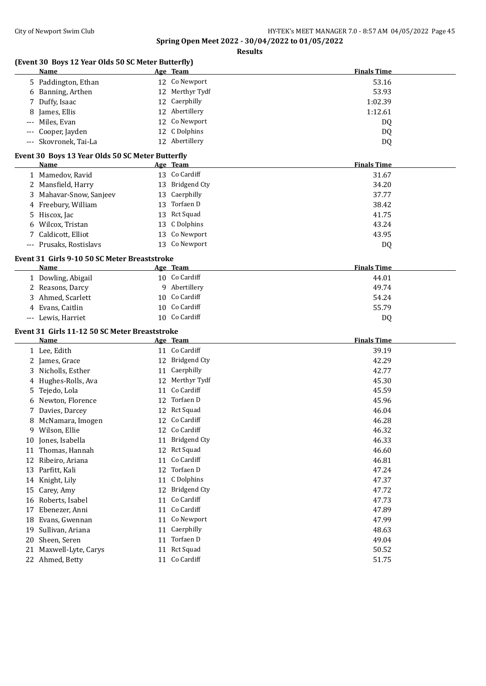| (Event 30 Boys 12 Year Olds 50 SC Meter Butterfly)<br>Name | Age Team                      | <b>Finals Time</b> |
|------------------------------------------------------------|-------------------------------|--------------------|
| 5 Paddington, Ethan                                        | 12 Co Newport                 | 53.16              |
| 6 Banning, Arthen                                          | 12 Merthyr Tydf               | 53.93              |
| 7 Duffy, Isaac                                             | 12 Caerphilly                 | 1:02.39            |
| James, Ellis<br>8                                          | 12 Abertillery                | 1:12.61            |
| Miles, Evan                                                | 12 Co Newport                 | DQ                 |
| Cooper, Jayden                                             | 12 C Dolphins                 | DQ                 |
| --- Skovronek, Tai-La                                      | 12 Abertillery                | DQ                 |
| Event 30 Boys 13 Year Olds 50 SC Meter Butterfly           |                               |                    |
| Name                                                       | Age Team                      | <b>Finals Time</b> |
| 1 Mamedov, Ravid                                           | 13 Co Cardiff                 | 31.67              |
| 2 Mansfield, Harry                                         | 13 Bridgend Cty               | 34.20              |
| 3 Mahavar-Snow, Sanjeev                                    | 13 Caerphilly                 | 37.77              |
| 4 Freebury, William                                        | 13 Torfaen D                  | 38.42              |
| 5 Hiscox, Jac                                              | 13 Rct Squad                  | 41.75              |
| 6 Wilcox, Tristan                                          | 13 C Dolphins                 | 43.24              |
| Caldicott, Elliot<br>7                                     | 13 Co Newport                 | 43.95              |
| --- Prusaks, Rostislavs                                    | 13 Co Newport                 | DQ                 |
|                                                            |                               |                    |
| Event 31 Girls 9-10 50 SC Meter Breaststroke<br>Name       | Age Team                      | <b>Finals Time</b> |
| 1 Dowling, Abigail                                         | 10 Co Cardiff                 | 44.01              |
| 2 Reasons, Darcy                                           | 9 Abertillery                 | 49.74              |
| 3 Ahmed, Scarlett                                          | 10 Co Cardiff                 | 54.24              |
| 4 Evans, Caitlin                                           | 10 Co Cardiff                 | 55.79              |
| --- Lewis, Harriet                                         | 10 Co Cardiff                 | DQ                 |
|                                                            |                               |                    |
| Event 31 Girls 11-12 50 SC Meter Breaststroke<br>Name      | Age Team                      | <b>Finals Time</b> |
| 1 Lee, Edith                                               | 11 Co Cardiff                 | 39.19              |
| 2 James, Grace                                             | 12 Bridgend Cty               | 42.29              |
| 3 Nicholls, Esther                                         | 11 Caerphilly                 | 42.77              |
| Hughes-Rolls, Ava<br>4                                     | 12 Merthyr Tydf               | 45.30              |
| Tejedo, Lola<br>5.                                         | 11 Co Cardiff                 | 45.59              |
| 6 Newton, Florence                                         | 12 Torfaen D                  | 45.96              |
| Davies, Darcey                                             | 12 Rct Squad                  | 46.04              |
| 8 McNamara, Imogen                                         | 12 Co Cardiff                 | 46.28              |
| 9 Wilson, Ellie                                            | 12 Co Cardiff                 | 46.32              |
| Jones, Isabella<br>10                                      | 11 Bridgend Cty               | 46.33              |
| 11 Thomas, Hannah                                          | 12 Rct Squad                  | 46.60              |
|                                                            | 11 Co Cardiff                 | 46.81              |
| 12 Ribeiro, Ariana                                         | 12 Torfaen D                  |                    |
| Parfitt, Kali<br>13                                        |                               | 47.24              |
| 14 Knight, Lily                                            | 11 C Dolphins                 | 47.37              |
| Carey, Amy<br>15                                           | 12 Bridgend Cty               | 47.72              |
| Roberts, Isabel<br>16                                      | 11 Co Cardiff                 | 47.73              |
| Ebenezer, Anni<br>17                                       | 11 Co Cardiff                 | 47.89              |
| Evans, Gwennan<br>18                                       | Co Newport<br>11              | 47.99              |
| Sullivan, Ariana<br>19                                     | 11 Caerphilly                 | 48.63              |
|                                                            |                               |                    |
| Sheen, Seren<br>20                                         | Torfaen D<br>11               | 49.04              |
| Maxwell-Lyte, Carys<br>21<br>22 Ahmed, Betty               | 11 Rct Squad<br>11 Co Cardiff | 50.52<br>51.75     |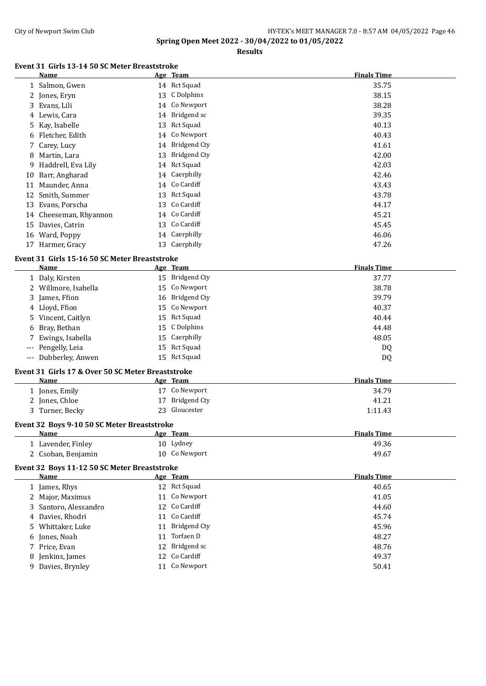**Results**

## **Event 31 Girls 13-14 50 SC Meter Breaststroke**

|    | <b>Name</b>                                       |    | Age Team            | <b>Finals Time</b> |
|----|---------------------------------------------------|----|---------------------|--------------------|
|    | 1 Salmon, Gwen                                    |    | 14 Rct Squad        | 35.75              |
|    | 2 Jones, Eryn                                     |    | 13 C Dolphins       | 38.15              |
|    | 3 Evans, Lili                                     |    | 14 Co Newport       | 38.28              |
|    | 4 Lewis, Cara                                     |    | 14 Bridgend sc      | 39.35              |
|    | 5 Kay, Isabelle                                   | 13 | <b>Rct Squad</b>    | 40.13              |
| 6  | Fletcher, Edith                                   | 14 | Co Newport          | 40.43              |
| 7  | Carey, Lucy                                       | 14 | <b>Bridgend Cty</b> | 41.61              |
| 8  | Martin, Lara                                      | 13 | <b>Bridgend Cty</b> | 42.00              |
| 9  | Haddrell, Eva Lily                                |    | 14 Rct Squad        | 42.03              |
| 10 | Barr, Angharad                                    | 14 | Caerphilly          | 42.46              |
|    | 11 Maunder, Anna                                  |    | 14 Co Cardiff       | 43.43              |
|    | 12 Smith, Summer                                  |    | 13 Rct Squad        | 43.78              |
|    | 13 Evans, Porscha                                 |    | 13 Co Cardiff       | 44.17              |
|    | 14 Cheeseman, Rhyannon                            |    | 14 Co Cardiff       | 45.21              |
|    | 15 Davies, Catrin                                 |    | 13 Co Cardiff       | 45.45              |
|    | 16 Ward, Poppy                                    |    | 14 Caerphilly       | 46.06              |
|    | 17 Harmer, Gracy                                  |    | 13 Caerphilly       | 47.26              |
|    | Event 31 Girls 15-16 50 SC Meter Breaststroke     |    |                     |                    |
|    | Name                                              |    | Age Team            | <b>Finals Time</b> |
|    | 1 Daly, Kirsten                                   |    | 15 Bridgend Cty     | 37.77              |
|    | 2 Willmore, Isabella                              | 15 | Co Newport          | 38.78              |
|    | 3 James, Ffion                                    |    | 16 Bridgend Cty     | 39.79              |
|    | 4 Lloyd, Ffion                                    | 15 | Co Newport          | 40.37              |
|    | 5 Vincent, Caitlyn                                |    | 15 Rct Squad        | 40.44              |
|    | 6 Bray, Bethan                                    | 15 | C Dolphins          | 44.48              |
|    | Ewings, Isabella                                  |    | 15 Caerphilly       | 48.05              |
|    | Pengelly, Leia                                    |    | 15 Rct Squad        | DQ                 |
|    | --- Dubberley, Anwen                              |    | 15 Rct Squad        | DQ                 |
|    |                                                   |    |                     |                    |
|    | Event 31 Girls 17 & Over 50 SC Meter Breaststroke |    |                     |                    |
|    | Name                                              |    | Age Team            | <b>Finals Time</b> |
|    | 1 Jones, Emily                                    |    | 17 Co Newport       | 34.79              |
|    | 2 Jones, Chloe                                    | 17 | <b>Bridgend Cty</b> | 41.21              |
|    | 3 Turner, Becky                                   |    | 23 Gloucester       | 1:11.43            |
|    | Event 32 Boys 9-10 50 SC Meter Breaststroke       |    |                     |                    |
|    | Name                                              |    | Age Team            | <b>Finals Time</b> |
|    | 1 Lavender, Finley                                |    | 10 Lydney           | 49.36              |
|    | 2 Csoban, Benjamin                                |    | 10 Co Newport       | 49.67              |
|    | Event 32 Boys 11-12 50 SC Meter Breaststroke      |    |                     |                    |
|    | Name                                              |    | Age Team            | <b>Finals Time</b> |
|    | 1 James, Rhys                                     |    | 12 Rct Squad        | 40.65              |
|    | 2 Major, Maximus                                  |    | 11 Co Newport       | 41.05              |
|    | 3 Santoro, Alessandro                             |    | 12 Co Cardiff       | 44.60              |
|    | 4 Davies, Rhodri                                  | 11 | Co Cardiff          | 45.74              |
|    | 5 Whittaker, Luke                                 | 11 | <b>Bridgend Cty</b> | 45.96              |
|    | 6 Jones, Noah                                     | 11 | Torfaen D           | 48.27              |
|    |                                                   | 12 | Bridgend sc         | 48.76              |
|    | 7 Price, Evan                                     |    | Co Cardiff          |                    |
|    | 8 Jenkins, James                                  | 12 | 11 Co Newport       | 49.37              |
|    | 9 Davies, Brynley                                 |    |                     | 50.41              |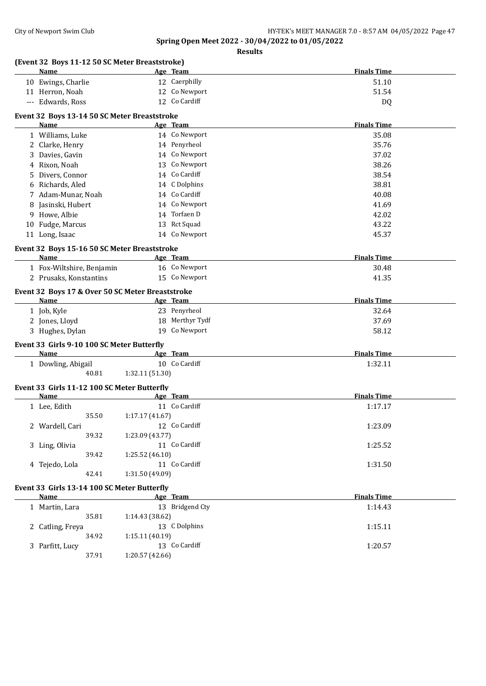|   | (Event 32 Boys 11-12 50 SC Meter Breaststroke)            |                 |                 |                    |
|---|-----------------------------------------------------------|-----------------|-----------------|--------------------|
|   | <b>Name</b>                                               |                 | Age Team        | <b>Finals Time</b> |
|   | 10 Ewings, Charlie                                        |                 | 12 Caerphilly   | 51.10              |
|   | 11 Herron, Noah                                           |                 | 12 Co Newport   | 51.54              |
|   | --- Edwards, Ross                                         |                 | 12 Co Cardiff   | DQ                 |
|   | Event 32 Boys 13-14 50 SC Meter Breaststroke              |                 |                 |                    |
|   | Name                                                      |                 | Age Team        | <b>Finals Time</b> |
|   | 1 Williams, Luke                                          |                 | 14 Co Newport   | 35.08              |
|   | 2 Clarke, Henry                                           |                 | 14 Penyrheol    | 35.76              |
|   | 3 Davies, Gavin                                           |                 | 14 Co Newport   | 37.02              |
|   | 4 Rixon, Noah                                             |                 | 13 Co Newport   | 38.26              |
| 5 | Divers, Connor                                            |                 | 14 Co Cardiff   | 38.54              |
| 6 | Richards, Aled                                            |                 | 14 C Dolphins   | 38.81              |
|   | 7 Adam-Munar, Noah                                        |                 | 14 Co Cardiff   | 40.08              |
|   | 8 Jasinski, Hubert                                        |                 | 14 Co Newport   | 41.69              |
|   | 9 Howe, Albie                                             |                 | 14 Torfaen D    | 42.02              |
|   | 10 Fudge, Marcus                                          |                 | 13 Rct Squad    | 43.22              |
|   |                                                           |                 | 14 Co Newport   |                    |
|   | 11 Long, Isaac                                            |                 |                 | 45.37              |
|   | Event 32 Boys 15-16 50 SC Meter Breaststroke              |                 |                 |                    |
|   | <b>Name</b>                                               |                 | Age Team        | <b>Finals Time</b> |
|   | 1 Fox-Wiltshire, Benjamin                                 |                 | 16 Co Newport   | 30.48              |
|   | 2 Prusaks, Konstantins                                    |                 | 15 Co Newport   | 41.35              |
|   | Event 32 Boys 17 & Over 50 SC Meter Breaststroke          |                 |                 |                    |
|   | Name                                                      |                 | Age Team        | <b>Finals Time</b> |
|   | 1 Job, Kyle                                               |                 | 23 Penyrheol    | 32.64              |
|   | 2 Jones, Lloyd                                            |                 | 18 Merthyr Tydf | 37.69              |
|   | 3 Hughes, Dylan                                           |                 | 19 Co Newport   | 58.12              |
|   |                                                           |                 |                 |                    |
|   | Event 33 Girls 9-10 100 SC Meter Butterfly<br><b>Name</b> |                 | Age Team        | <b>Finals Time</b> |
|   | 1 Dowling, Abigail                                        |                 | 10 Co Cardiff   | 1:32.11            |
|   | 40.81                                                     | 1:32.11 (51.30) |                 |                    |
|   |                                                           |                 |                 |                    |
|   | Event 33 Girls 11-12 100 SC Meter Butterfly               |                 |                 |                    |
|   | Name                                                      |                 | Age Team        | <b>Finals Time</b> |
|   | 1 Lee, Edith                                              |                 | 11 Co Cardiff   | 1:17.17            |
|   | 35.50                                                     | 1:17.17(41.67)  |                 |                    |
|   | 2 Wardell, Cari                                           |                 | 12 Co Cardiff   | 1:23.09            |
|   | 39.32                                                     | 1:23.09 (43.77) |                 |                    |
|   | 3 Ling, Olivia                                            |                 | 11 Co Cardiff   | 1:25.52            |
|   | 39.42                                                     | 1:25.52(46.10)  |                 |                    |
|   | 4 Tejedo, Lola                                            |                 | 11 Co Cardiff   | 1:31.50            |
|   | 42.41                                                     | 1:31.50 (49.09) |                 |                    |
|   | Event 33 Girls 13-14 100 SC Meter Butterfly               |                 |                 |                    |
|   | <b>Name</b>                                               |                 | Age Team        | <b>Finals Time</b> |
|   | 1 Martin, Lara                                            |                 | 13 Bridgend Cty | 1:14.43            |
|   | 35.81                                                     | 1:14.43 (38.62) |                 |                    |
|   | 2 Catling, Freya                                          |                 | 13 C Dolphins   | 1:15.11            |
|   | 34.92                                                     | 1:15.11 (40.19) |                 |                    |
|   | 3 Parfitt, Lucy                                           |                 | 13 Co Cardiff   | 1:20.57            |
|   | 37.91                                                     | 1:20.57 (42.66) |                 |                    |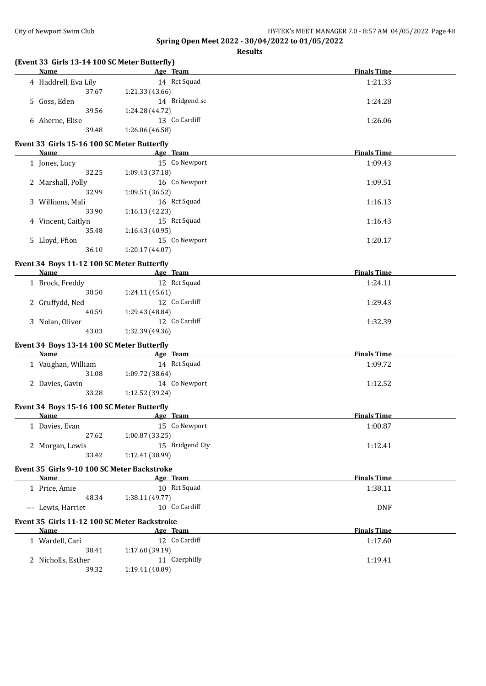| (Event 33 Girls 13-14 100 SC Meter Butterfly)<br>Name     | Age Team                         | <b>Finals Time</b> |
|-----------------------------------------------------------|----------------------------------|--------------------|
| 4 Haddrell, Eva Lily                                      | 14 Rct Squad                     | 1:21.33            |
| 37.67                                                     | 1:21.33 (43.66)                  |                    |
| 5 Goss, Eden                                              | 14 Bridgend sc                   | 1:24.28            |
| 39.56                                                     | 1:24.28 (44.72)                  |                    |
| 6 Aherne, Elise                                           | 13 Co Cardiff                    | 1:26.06            |
| 39.48                                                     | 1:26.06 (46.58)                  |                    |
|                                                           |                                  |                    |
| Event 33 Girls 15-16 100 SC Meter Butterfly<br>Name       | Age Team                         | <b>Finals Time</b> |
| 1 Jones, Lucy                                             | 15 Co Newport                    | 1:09.43            |
| 32.25                                                     | 1:09.43 (37.18)                  |                    |
|                                                           |                                  |                    |
| 2 Marshall, Polly                                         | 16 Co Newport                    | 1:09.51            |
| 32.99                                                     | 1:09.51 (36.52)                  |                    |
| 3 Williams, Mali                                          | 16 Rct Squad                     | 1:16.13            |
| 33.90                                                     | 1:16.13 (42.23)                  |                    |
| 4 Vincent, Caitlyn                                        | 15 Rct Squad                     | 1:16.43            |
| 35.48                                                     | 1:16.43 (40.95)                  |                    |
| 5 Lloyd, Ffion                                            | 15 Co Newport                    | 1:20.17            |
| 36.10                                                     | 1:20.17 (44.07)                  |                    |
| Event 34 Boys 11-12 100 SC Meter Butterfly                |                                  |                    |
| Name                                                      | Age Team                         | <b>Finals Time</b> |
| 1 Brock, Freddy                                           | 12 Rct Squad                     | 1:24.11            |
| 38.50                                                     | 1:24.11 (45.61)                  |                    |
| 2 Gruffydd, Ned                                           | 12 Co Cardiff                    | 1:29.43            |
| 40.59                                                     | 1:29.43 (48.84)                  |                    |
| 3 Nolan, Oliver                                           | 12 Co Cardiff                    | 1:32.39            |
| 43.03                                                     | 1:32.39 (49.36)                  |                    |
|                                                           |                                  |                    |
| Event 34 Boys 13-14 100 SC Meter Butterfly<br><b>Name</b> |                                  |                    |
|                                                           | Age Team                         | <b>Finals Time</b> |
| 1 Vaughan, William                                        | 14 Rct Squad                     | 1:09.72            |
| 31.08                                                     | 1:09.72 (38.64)                  |                    |
| 2 Davies, Gavin                                           | 14 Co Newport                    | 1:12.52            |
| 33.28                                                     | 1:12.52 (39.24)                  |                    |
| Event 34 Boys 15-16 100 SC Meter Butterfly                |                                  |                    |
| <u>Name</u>                                               | Age Team                         | <b>Finals Time</b> |
| 1 Davies, Evan                                            | 15 Co Newport                    | 1:00.87            |
| 27.62                                                     | 1:00.87 (33.25)                  |                    |
| 2 Morgan, Lewis                                           | 15 Bridgend Cty                  | 1:12.41            |
| 33.42                                                     | 1:12.41 (38.99)                  |                    |
|                                                           |                                  |                    |
| Event 35 Girls 9-10 100 SC Meter Backstroke<br>Name       | Age Team                         | <b>Finals Time</b> |
|                                                           | 10 Rct Squad                     |                    |
| 1 Price, Amie                                             |                                  | 1:38.11            |
| 48.34                                                     | 1:38.11 (49.77)                  |                    |
| --- Lewis, Harriet                                        | 10 Co Cardiff                    | <b>DNF</b>         |
| Event 35 Girls 11-12 100 SC Meter Backstroke              |                                  |                    |
| Name                                                      | Age Team                         | <b>Finals Time</b> |
|                                                           |                                  |                    |
|                                                           | 12 Co Cardiff                    |                    |
| 1 Wardell, Cari<br>38.41                                  |                                  | 1:17.60            |
| 2 Nicholls, Esther                                        | 1:17.60 (39.19)<br>11 Caerphilly | 1:19.41            |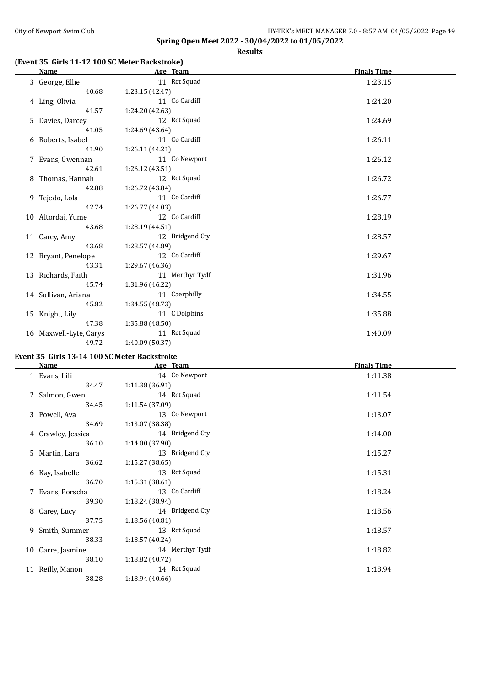**Results**

## **(Event 35 Girls 11-12 100 SC Meter Backstroke)**

| Name                   | Age Team        | <b>Finals Time</b> |
|------------------------|-----------------|--------------------|
| 3 George, Ellie        | 11 Rct Squad    | 1:23.15            |
| 40.68                  | 1:23.15(42.47)  |                    |
| 4 Ling, Olivia         | 11 Co Cardiff   | 1:24.20            |
| 41.57                  | 1:24.20 (42.63) |                    |
| 5 Davies, Darcey       | 12 Rct Squad    | 1:24.69            |
| 41.05                  | 1:24.69 (43.64) |                    |
| 6 Roberts, Isabel      | 11 Co Cardiff   | 1:26.11            |
| 41.90                  | 1:26.11 (44.21) |                    |
| 7 Evans, Gwennan       | 11 Co Newport   | 1:26.12            |
| 42.61                  | 1:26.12(43.51)  |                    |
| 8 Thomas, Hannah       | 12 Rct Squad    | 1:26.72            |
| 42.88                  | 1:26.72 (43.84) |                    |
| 9 Tejedo, Lola         | 11 Co Cardiff   | 1:26.77            |
| 42.74                  | 1:26.77(44.03)  |                    |
| 10 Altordai, Yume      | 12 Co Cardiff   | 1:28.19            |
| 43.68                  | 1:28.19(44.51)  |                    |
| 11 Carey, Amy          | 12 Bridgend Cty | 1:28.57            |
| 43.68                  | 1:28.57 (44.89) |                    |
| 12 Bryant, Penelope    | 12 Co Cardiff   | 1:29.67            |
| 43.31                  | 1:29.67(46.36)  |                    |
| 13 Richards, Faith     | 11 Merthyr Tydf | 1:31.96            |
| 45.74                  | 1:31.96 (46.22) |                    |
| 14 Sullivan, Ariana    | 11 Caerphilly   | 1:34.55            |
| 45.82                  | 1:34.55(48.73)  |                    |
| 15 Knight, Lily        | 11 C Dolphins   | 1:35.88            |
| 47.38                  | 1:35.88(48.50)  |                    |
| 16 Maxwell-Lyte, Carys | 11 Rct Squad    | 1:40.09            |
| 49.72                  | 1:40.09 (50.37) |                    |

## **Event 35 Girls 13-14 100 SC Meter Backstroke**

| Name               | Age Team        | <b>Finals Time</b> |
|--------------------|-----------------|--------------------|
| 1 Evans, Lili      | 14 Co Newport   | 1:11.38            |
| 34.47              | 1:11.38(36.91)  |                    |
| 2 Salmon, Gwen     | 14 Rct Squad    | 1:11.54            |
| 34.45              | 1:11.54(37.09)  |                    |
| 3 Powell, Ava      | 13 Co Newport   | 1:13.07            |
| 34.69              | 1:13.07 (38.38) |                    |
| 4 Crawley, Jessica | 14 Bridgend Cty | 1:14.00            |
| 36.10              | 1:14.00 (37.90) |                    |
| 5 Martin, Lara     | 13 Bridgend Cty | 1:15.27            |
| 36.62              | 1:15.27(38.65)  |                    |
| 6 Kay, Isabelle    | 13 Rct Squad    | 1:15.31            |
| 36.70              | 1:15.31(38.61)  |                    |
| 7 Evans, Porscha   | 13 Co Cardiff   | 1:18.24            |
| 39.30              | 1:18.24 (38.94) |                    |
| 8 Carey, Lucy      | 14 Bridgend Cty | 1:18.56            |
| 37.75              | 1:18.56(40.81)  |                    |
| 9 Smith, Summer    | 13 Rct Squad    | 1:18.57            |
| 38.33              | 1:18.57(40.24)  |                    |
| 10 Carre, Jasmine  | 14 Merthyr Tydf | 1:18.82            |
| 38.10              | 1:18.82(40.72)  |                    |
| 11 Reilly, Manon   | 14 Rct Squad    | 1:18.94            |
| 38.28              | 1:18.94(40.66)  |                    |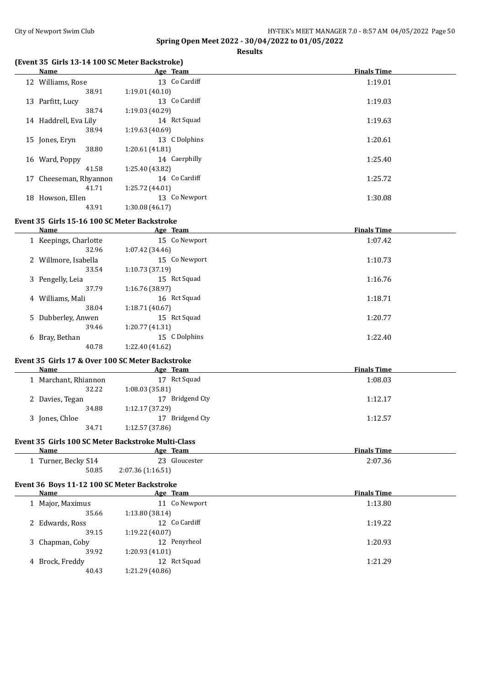**Results**

#### **(Event 35 Girls 13-14 100 SC Meter Backstroke)**

| Name          | Age Team                                                                                                                           | <b>Finals Time</b> |
|---------------|------------------------------------------------------------------------------------------------------------------------------------|--------------------|
|               | 13 Co Cardiff                                                                                                                      | 1:19.01            |
| 38.91         | 1:19.01(40.10)                                                                                                                     |                    |
|               | 13 Co Cardiff                                                                                                                      | 1:19.03            |
| 38.74         | 1:19.03 (40.29)                                                                                                                    |                    |
|               | 14 Rct Squad                                                                                                                       | 1:19.63            |
| 38.94         | 1:19.63(40.69)                                                                                                                     |                    |
|               | 13 C Dolphins                                                                                                                      | 1:20.61            |
| 38.80         | 1:20.61(41.81)                                                                                                                     |                    |
|               | 14 Caerphilly                                                                                                                      | 1:25.40            |
| 41.58         | 1:25.40 (43.82)                                                                                                                    |                    |
|               | 14 Co Cardiff                                                                                                                      | 1:25.72            |
| 41.71         | 1:25.72 (44.01)                                                                                                                    |                    |
| Howson, Ellen | 13 Co Newport                                                                                                                      | 1:30.08            |
| 43.91         | 1:30.08(46.17)                                                                                                                     |                    |
|               | 12 Williams, Rose<br>13 Parfitt, Lucy<br>14 Haddrell, Eva Lily<br>15 Jones, Eryn<br>16 Ward, Poppy<br>17 Cheeseman, Rhyannon<br>18 |                    |

#### **Event 35 Girls 15-16 100 SC Meter Backstroke**

| Name                                             | Age Team        | <b>Finals Time</b> |
|--------------------------------------------------|-----------------|--------------------|
| 1 Keepings, Charlotte                            | 15 Co Newport   | 1:07.42            |
| 32.96                                            | 1:07.42(34.46)  |                    |
| 2 Willmore, Isabella                             | 15 Co Newport   | 1:10.73            |
| 33.54                                            | 1:10.73 (37.19) |                    |
| 3 Pengelly, Leia                                 | 15 Rct Squad    | 1:16.76            |
| 37.79                                            | 1:16.76(38.97)  |                    |
| 4 Williams, Mali                                 | 16 Rct Squad    | 1:18.71            |
| 38.04                                            | 1:18.71 (40.67) |                    |
| 5 Dubberley, Anwen                               | 15 Rct Squad    | 1:20.77            |
| 39.46                                            | 1:20.77 (41.31) |                    |
| 6 Bray, Bethan                                   | 15 C Dolphins   | 1:22.40            |
| 40.78                                            | 1:22.40 (41.62) |                    |
| Event 35 Girls 17 & Over 100 SC Meter Backstroke |                 |                    |
| Name                                             | Age Team        | <b>Finals Time</b> |
| 1 Marchant, Rhiannon                             | 17 Rct Squad    | 1:08.03            |

| - Marchant, Kinannon | nu vyuau           | 1.00.0 <i>0</i> |
|----------------------|--------------------|-----------------|
| 32.22                | 1:08.03 (35.81)    |                 |
| 2 Davies, Tegan      | Bridgend Cty<br>17 | 1:12.17         |
| 34.88                | 1:12.17(37.29)     |                 |
| Jones, Chloe         | Bridgend Cty       | 1:12.57         |
| 34.71                | 1:12.57(37.86)     |                 |

## **Event 35 Girls 100 SC Meter Backstroke Multi-Class**

| Name                  | Team<br>Age      | <b>Finals Time</b> |
|-----------------------|------------------|--------------------|
| ⊥   Turner, Becky S14 | 23 Gloucester    | 2:07.36            |
| 50.85                 | 2:07.36(1:16.51) |                    |

## **Event 36 Boys 11-12 100 SC Meter Backstroke**

| Name             | Age Team        | <b>Finals Time</b> |
|------------------|-----------------|--------------------|
| 1 Major, Maximus | 11 Co Newport   | 1:13.80            |
| 35.66            | 1:13.80 (38.14) |                    |
| 2 Edwards, Ross  | 12 Co Cardiff   | 1:19.22            |
| 39.15            | 1:19.22 (40.07) |                    |
| 3 Chapman, Coby  | 12 Penyrheol    | 1:20.93            |
| 39.92            | 1:20.93(41.01)  |                    |
| 4 Brock, Freddy  | 12 Rct Squad    | 1:21.29            |
| 40.43            | 1:21.29(40.86)  |                    |
|                  |                 |                    |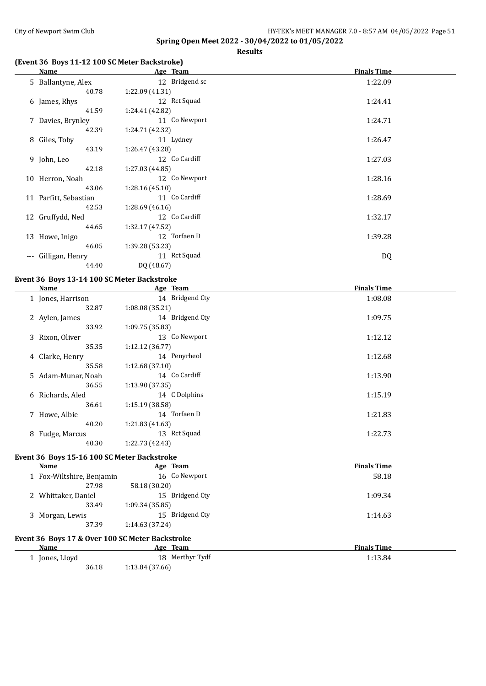**Results**

## **(Event 36 Boys 11-12 100 SC Meter Backstroke)**

|       | Name                  | Age Team        | <b>Finals Time</b> |
|-------|-----------------------|-----------------|--------------------|
|       | 5 Ballantyne, Alex    | 12 Bridgend sc  | 1:22.09            |
|       | 40.78                 | 1:22.09(41.31)  |                    |
|       | 6 James, Rhys         | 12 Rct Squad    | 1:24.41            |
|       | 41.59                 | 1:24.41 (42.82) |                    |
|       | 7 Davies, Brynley     | 11 Co Newport   | 1:24.71            |
|       | 42.39                 | 1:24.71 (42.32) |                    |
|       | 8 Giles, Toby         | 11 Lydney       | 1:26.47            |
|       | 43.19                 | 1:26.47(43.28)  |                    |
|       | 9 John, Leo           | 12 Co Cardiff   | 1:27.03            |
|       | 42.18                 | 1:27.03 (44.85) |                    |
|       | 10 Herron, Noah       | 12 Co Newport   | 1:28.16            |
|       | 43.06                 | 1:28.16(45.10)  |                    |
|       | 11 Parfitt, Sebastian | 11 Co Cardiff   | 1:28.69            |
|       | 42.53                 | 1:28.69(46.16)  |                    |
|       | 12 Gruffydd, Ned      | 12 Co Cardiff   | 1:32.17            |
|       | 44.65                 | 1:32.17(47.52)  |                    |
|       | 13 Howe, Inigo        | 12 Torfaen D    | 1:39.28            |
|       | 46.05                 | 1:39.28 (53.23) |                    |
| $---$ | Gilligan, Henry       | 11 Rct Squad    | DQ                 |
|       | 44.40                 | DQ (48.67)      |                    |

## **Event 36 Boys 13-14 100 SC Meter Backstroke**

| Name               | Age Team        | <b>Finals Time</b> |
|--------------------|-----------------|--------------------|
| 1 Jones, Harrison  | 14 Bridgend Cty | 1:08.08            |
| 32.87              | 1:08.08(35.21)  |                    |
| 2 Aylen, James     | 14 Bridgend Cty | 1:09.75            |
| 33.92              | 1:09.75(35.83)  |                    |
| 3 Rixon, Oliver    | 13 Co Newport   | 1:12.12            |
| 35.35              | 1:12.12(36.77)  |                    |
| 4 Clarke, Henry    | 14 Penyrheol    | 1:12.68            |
| 35.58              | 1:12.68(37.10)  |                    |
| 5 Adam-Munar, Noah | 14 Co Cardiff   | 1:13.90            |
| 36.55              | 1:13.90 (37.35) |                    |
| 6 Richards, Aled   | 14 C Dolphins   | 1:15.19            |
| 36.61              | 1:15.19(38.58)  |                    |
| 7 Howe, Albie      | 14 Torfaen D    | 1:21.83            |
| 40.20              | 1:21.83(41.63)  |                    |
| 8 Fudge, Marcus    | 13 Rct Squad    | 1:22.73            |
| 40.30              | 1:22.73 (42.43) |                    |
|                    |                 |                    |

## **Event 36 Boys 15-16 100 SC Meter Backstroke**

| Name                                            | Age Team        | <b>Finals Time</b> |
|-------------------------------------------------|-----------------|--------------------|
| 1 Fox-Wiltshire, Benjamin                       | 16 Co Newport   | 58.18              |
| 27.98                                           | 58.18 (30.20)   |                    |
| 2 Whittaker, Daniel                             | 15 Bridgend Cty | 1:09.34            |
| 33.49                                           | 1:09.34(35.85)  |                    |
| 3 Morgan, Lewis                                 | 15 Bridgend Cty | 1:14.63            |
| 37.39                                           | 1:14.63 (37.24) |                    |
| Event 36 Boys 17 & Over 100 SC Meter Backstroke |                 |                    |

| Name         | Age Team        | <b>Finals Time</b> |
|--------------|-----------------|--------------------|
| Jones, Lloyd | 18 Merthyr Tydf | 1:13.84            |
| 36.18        | 1:13.84 (37.66) |                    |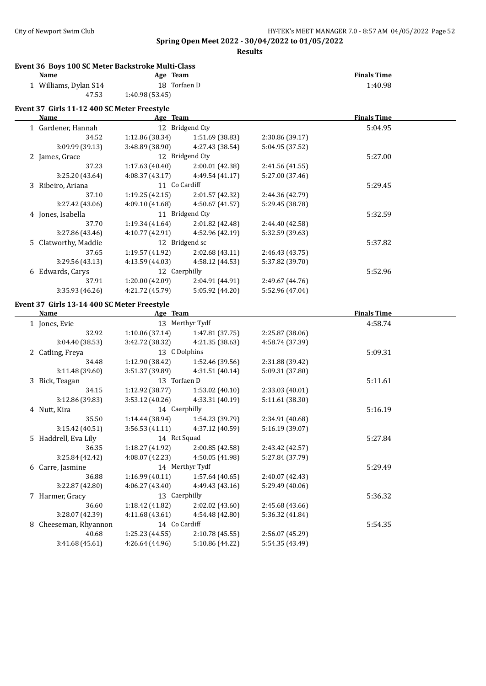#### City of Newport Swim Club City of Newport Swim Club HY-TEK's MEET MANAGER 7.0 - 8:57 AM 04/05/2022 Page 52

**Spring Open Meet 2022 - 30/04/2022 to 01/05/2022**

| Event 36 Boys 100 SC Meter Backstroke Multi-Class |                 |                 |                 |                    |  |
|---------------------------------------------------|-----------------|-----------------|-----------------|--------------------|--|
| <b>Name</b>                                       | Age Team        |                 |                 | <b>Finals Time</b> |  |
| 1 Williams, Dylan S14                             | 18 Torfaen D    |                 |                 | 1:40.98            |  |
| 47.53                                             | 1:40.98 (53.45) |                 |                 |                    |  |
| Event 37 Girls 11-12 400 SC Meter Freestyle       |                 |                 |                 |                    |  |
| Name                                              | Age Team        |                 |                 | <b>Finals Time</b> |  |
| 1 Gardener, Hannah                                |                 | 12 Bridgend Cty |                 | 5:04.95            |  |
| 34.52                                             | 1:12.86 (38.34) | 1:51.69 (38.83) | 2:30.86 (39.17) |                    |  |
| 3:09.99 (39.13)                                   | 3:48.89 (38.90) | 4:27.43 (38.54) | 5:04.95 (37.52) |                    |  |
| 2 James, Grace                                    |                 | 12 Bridgend Cty |                 | 5:27.00            |  |
| 37.23                                             | 1:17.63(40.40)  | 2:00.01 (42.38) | 2:41.56 (41.55) |                    |  |
| 3:25.20 (43.64)                                   | 4:08.37(43.17)  | 4:49.54 (41.17) | 5:27.00 (37.46) |                    |  |
| 3 Ribeiro, Ariana                                 | 11 Co Cardiff   |                 |                 | 5:29.45            |  |
| 37.10                                             | 1:19.25(42.15)  | 2:01.57 (42.32) | 2:44.36 (42.79) |                    |  |
| 3:27.42 (43.06)                                   | 4:09.10 (41.68) | 4:50.67(41.57)  | 5:29.45 (38.78) |                    |  |
| 4 Jones, Isabella                                 |                 | 11 Bridgend Cty |                 | 5:32.59            |  |
| 37.70                                             | 1:19.34 (41.64) | 2:01.82 (42.48) | 2:44.40 (42.58) |                    |  |
| 3:27.86 (43.46)                                   | 4:10.77 (42.91) | 4:52.96 (42.19) | 5:32.59 (39.63) |                    |  |
| 5 Clatworthy, Maddie                              |                 | 12 Bridgend sc  |                 | 5:37.82            |  |
| 37.65                                             | 1:19.57(41.92)  | 2:02.68 (43.11) | 2:46.43 (43.75) |                    |  |
| 3:29.56 (43.13)                                   | 4:13.59(44.03)  | 4:58.12 (44.53) | 5:37.82 (39.70) |                    |  |
| 6 Edwards, Carys                                  | 12 Caerphilly   |                 |                 | 5:52.96            |  |
| 37.91                                             | 1:20.00(42.09)  | 2:04.91 (44.91) | 2:49.67 (44.76) |                    |  |
| 3:35.93 (46.26)                                   | 4:21.72 (45.79) | 5:05.92 (44.20) | 5:52.96 (47.04) |                    |  |
| Event 37 Girls 13-14 400 SC Meter Freestyle       |                 |                 |                 |                    |  |
| <b>Name</b>                                       | Age Team        |                 |                 | <b>Finals Time</b> |  |
| 1 Jones, Evie                                     |                 | 13 Merthyr Tydf |                 | 4:58.74            |  |
| 32.92                                             | 1:10.06(37.14)  | 1:47.81 (37.75) | 2:25.87 (38.06) |                    |  |
| 3:04.40 (38.53)                                   | 3:42.72 (38.32) | 4:21.35 (38.63) | 4:58.74 (37.39) |                    |  |
| 2 Catling, Freya                                  | 13 C Dolphins   |                 |                 | 5:09.31            |  |
| 34.48                                             | 1:12.90 (38.42) | 1:52.46 (39.56) | 2:31.88 (39.42) |                    |  |
| 3:11.48 (39.60)                                   | 3:51.37(39.89)  | 4:31.51(40.14)  | 5:09.31 (37.80) |                    |  |
| 3 Rick Teagan                                     | 13 Torfaen D    |                 |                 | 5.11.61            |  |

| 0.1110101001          | 0.01011071071   | 1.01.0111101111 | 0.001011011001  |         |
|-----------------------|-----------------|-----------------|-----------------|---------|
| 3 Bick, Teagan        | 13 Torfaen D    |                 |                 | 5:11.61 |
| 34.15                 | 1:12.92(38.77)  | 1:53.02(40.10)  | 2:33.03 (40.01) |         |
| 3:12.86 (39.83)       | 3:53.12 (40.26) | 4:33.31 (40.19) | 5:11.61 (38.30) |         |
| 4 Nutt, Kira          | 14 Caerphilly   |                 |                 | 5:16.19 |
| 35.50                 | 1:14.44(38.94)  | 1:54.23 (39.79) | 2:34.91 (40.68) |         |
| 3:15.42(40.51)        | 3:56.53(41.11)  | 4:37.12 (40.59) | 5:16.19 (39.07) |         |
| 5 Haddrell, Eva Lily  | 14 Rct Squad    |                 |                 | 5:27.84 |
| 36.35                 | 1:18.27 (41.92) | 2:00.85(42.58)  | 2:43.42 (42.57) |         |
| 3:25.84 (42.42)       | 4:08.07(42.23)  | 4:50.05 (41.98) | 5:27.84 (37.79) |         |
| 6 Carre, Jasmine      |                 | 14 Merthyr Tydf |                 | 5:29.49 |
| 36.88                 | 1:16.99(40.11)  | 1:57.64(40.65)  | 2:40.07 (42.43) |         |
| 3:22.87 (42.80)       | 4:06.27 (43.40) | 4:49.43 (43.16) | 5:29.49 (40.06) |         |
| 7 Harmer, Gracy       | 13 Caerphilly   |                 |                 | 5:36.32 |
| 36.60                 | 1:18.42(41.82)  | 2:02.02 (43.60) | 2:45.68 (43.66) |         |
| 3:28.07 (42.39)       | 4:11.68 (43.61) | 4:54.48 (42.80) | 5:36.32 (41.84) |         |
| 8 Cheeseman, Rhyannon | 14 Co Cardiff   |                 |                 | 5:54.35 |
| 40.68                 | 1:25.23 (44.55) | 2:10.78(45.55)  | 2:56.07 (45.29) |         |
| 3:41.68 (45.61)       | 4:26.64 (44.96) | 5:10.86 (44.22) | 5:54.35 (43.49) |         |
|                       |                 |                 |                 |         |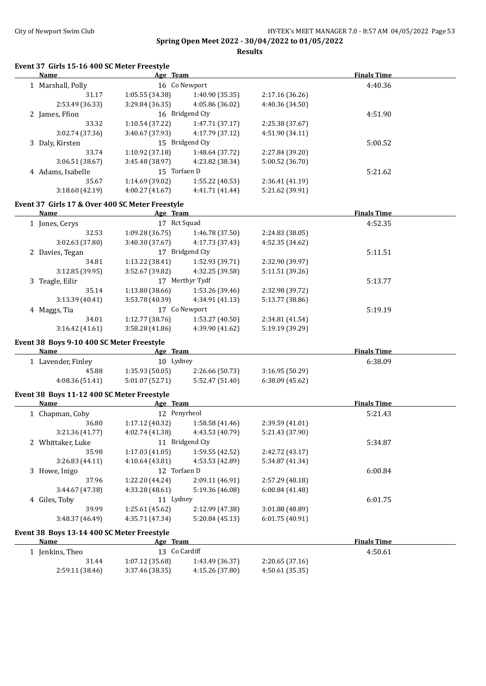#### City of Newport Swim Club City of Newport Swim Club HY-TEK's MEET MANAGER 7.0 - 8:57 AM 04/05/2022 Page 53

**Spring Open Meet 2022 - 30/04/2022 to 01/05/2022**

**Results**

#### **Event 37 Girls 15-16 400 SC Meter Freestyle**

| Name              | Age Team        |                 |                 | <b>Finals Time</b> |  |
|-------------------|-----------------|-----------------|-----------------|--------------------|--|
| 1 Marshall, Polly | 16 Co Newport   |                 |                 | 4:40.36            |  |
| 31.17             | 1:05.55(34.38)  | 1:40.90 (35.35) | 2:17.16(36.26)  |                    |  |
| 2:53.49 (36.33)   | 3:29.84(36.35)  | 4:05.86 (36.02) | 4:40.36 (34.50) |                    |  |
| 2 James, Ffion    |                 | 16 Bridgend Cty |                 | 4:51.90            |  |
| 33.32             | 1:10.54(37.22)  | 1:47.71(37.17)  | 2:25.38 (37.67) |                    |  |
| 3:02.74 (37.36)   | 3:40.67(37.93)  | 4:17.79 (37.12) | 4:51.90(34.11)  |                    |  |
| 3 Daly, Kirsten   |                 | 15 Bridgend Cty |                 | 5:00.52            |  |
| 33.74             | 1:10.92(37.18)  | 1:48.64 (37.72) | 2:27.84 (39.20) |                    |  |
| 3:06.51 (38.67)   | 3:45.48 (38.97) | 4:23.82 (38.34) | 5:00.52 (36.70) |                    |  |
| 4 Adams, Isabelle | 15 Torfaen D    |                 |                 | 5:21.62            |  |
| 35.67             | 1:14.69 (39.02) | 1:55.22 (40.53) | 2:36.41(41.19)  |                    |  |
| 3:18.60(42.19)    | 4:00.27(41.67)  | 4:41.71 (41.44) | 5:21.62 (39.91) |                    |  |
|                   |                 |                 |                 |                    |  |

#### **Event 37 Girls 17 & Over 400 SC Meter Freestyle**

| Name                              | Age Team           |                 |                 | <b>Finals Time</b> |  |
|-----------------------------------|--------------------|-----------------|-----------------|--------------------|--|
| Rct Squad<br>17<br>1 Jones, Cerys |                    |                 | 4:52.35         |                    |  |
| 32.53                             | 1:09.28(36.75)     | 1:46.78(37.50)  | 2:24.83 (38.05) |                    |  |
| 3:02.63(37.80)                    | 3:40.30(37.67)     | 4:17.73 (37.43) | 4:52.35 (34.62) |                    |  |
| 2 Davies, Tegan                   | 17                 | Bridgend Cty    |                 | 5:11.51            |  |
| 34.81                             | 1:13.22 (38.41)    | 1:52.93 (39.71) | 2:32.90 (39.97) |                    |  |
| 3:12.85(39.95)                    | 3:52.67 (39.82)    | 4:32.25 (39.58) | 5:11.51 (39.26) |                    |  |
| 3 Teagle, Eilir                   | Merthyr Tydf<br>17 |                 |                 | 5:13.77            |  |
| 35.14                             | 1:13.80(38.66)     | 1:53.26 (39.46) | 2:32.98 (39.72) |                    |  |
| 3:13.39(40.41)                    | 3:53.78 (40.39)    | 4:34.91(41.13)  | 5:13.77 (38.86) |                    |  |
| 4 Maggs, Tia                      | 17                 | Co Newport      |                 | 5:19.19            |  |
| 34.01                             | 1:12.77(38.76)     | 1:53.27(40.50)  | 2:34.81 (41.54) |                    |  |
| 3:16.42(41.61)                    | 3:58.28(41.86)     | 4:39.90 (41.62) | 5:19.19 (39.29) |                    |  |
|                                   |                    |                 |                 |                    |  |

#### **Event 38 Boys 9-10 400 SC Meter Freestyle**

 $\overline{\phantom{a}}$ 

| <b>Name</b>      | Age Team       |                 |                | <b>Finals Time</b> |  |
|------------------|----------------|-----------------|----------------|--------------------|--|
| Lavender, Finley | 10 Lydney      |                 |                | 6:38.09            |  |
| 45.88            | 1:35.93(50.05) | 2:26.66 (50.73) | 3:16.95(50.29) |                    |  |
| 4:08.36(51.41)   | 5:01.07(52.71) | 5:52.47(51.40)  | 6:38.09(45.62) |                    |  |

#### **Event 38 Boys 11-12 400 SC Meter Freestyle**

| <b>Name</b>                     | Age Team        |                 | <b>Finals Time</b> |         |  |
|---------------------------------|-----------------|-----------------|--------------------|---------|--|
| 12 Penyrheol<br>1 Chapman, Coby |                 |                 |                    | 5:21.43 |  |
| 36.80                           | 1:17.12(40.32)  | 1:58.58(41.46)  | 2:39.59 (41.01)    |         |  |
| 3:21.36 (41.77)                 | 4:02.74 (41.38) | 4:43.53 (40.79) | 5:21.43 (37.90)    |         |  |
| 2 Whittaker, Luke               |                 | 11 Bridgend Cty |                    | 5:34.87 |  |
| 35.98                           | 1:17.03(41.05)  | 1:59.55(42.52)  | 2:42.72 (43.17)    |         |  |
| 3:26.83(44.11)                  | 4:10.64(43.81)  | 4:53.53 (42.89) | 5:34.87 (41.34)    |         |  |
| 3 Howe, Inigo                   | 12 Torfaen D    |                 |                    | 6:00.84 |  |
| 37.96                           | 1:22.20 (44.24) | 2:09.11 (46.91) | 2:57.29 (48.18)    |         |  |
| 3:44.67 (47.38)                 | 4:33.28 (48.61) | 5:19.36 (46.08) | 6:00.84(41.48)     |         |  |
| 4 Giles, Toby                   | 11 Lydney       |                 |                    | 6:01.75 |  |
| 39.99                           | 1:25.61(45.62)  | 2:12.99 (47.38) | 3:01.88 (48.89)    |         |  |
| 3:48.37 (46.49)                 | 4:35.71 (47.34) | 5:20.84(45.13)  | 6:01.75(40.91)     |         |  |
|                                 |                 |                 |                    |         |  |

#### **Event 38 Boys 13-14 400 SC Meter Freestyle**

| Name           | Age Team          |                 |                | <b>Finals Time</b> |  |
|----------------|-------------------|-----------------|----------------|--------------------|--|
| Jenkins, Theo  | 13 Co Cardiff     |                 |                | 4:50.61            |  |
| 31.44          | 1:07.12(35.68)    | 1:43.49 (36.37) | 2:20.65(37.16) |                    |  |
| 2:59.11(38.46) | $3:37.46$ (38.35) | 4:15.26 (37.80) | 4:50.61(35.35) |                    |  |